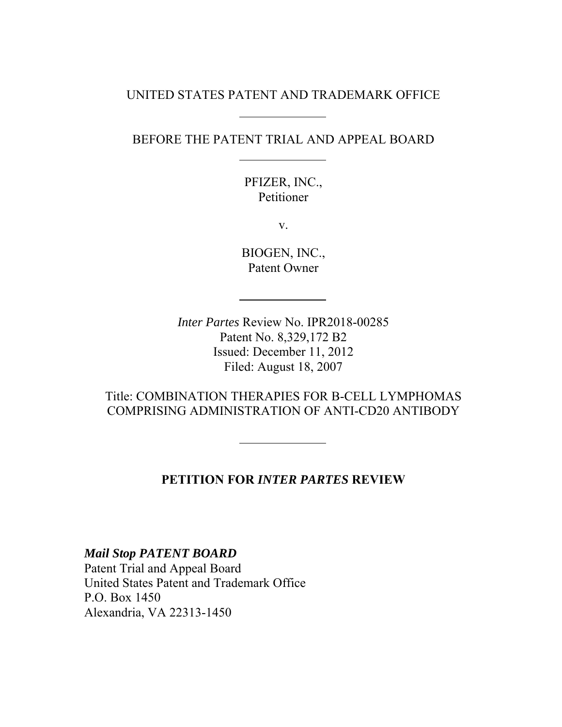### UNITED STATES PATENT AND TRADEMARK OFFICE

### BEFORE THE PATENT TRIAL AND APPEAL BOARD

PFIZER, INC., Petitioner

v.

BIOGEN, INC., Patent Owner

*Inter Partes* Review No. IPR2018-00285 Patent No. 8,329,172 B2 Issued: December 11, 2012 Filed: August 18, 2007

Title: COMBINATION THERAPIES FOR B-CELL LYMPHOMAS COMPRISING ADMINISTRATION OF ANTI-CD20 ANTIBODY

#### **PETITION FOR** *INTER PARTES* **REVIEW**

*Mail Stop PATENT BOARD* Patent Trial and Appeal Board United States Patent and Trademark Office P.O. Box 1450 Alexandria, VA 22313-1450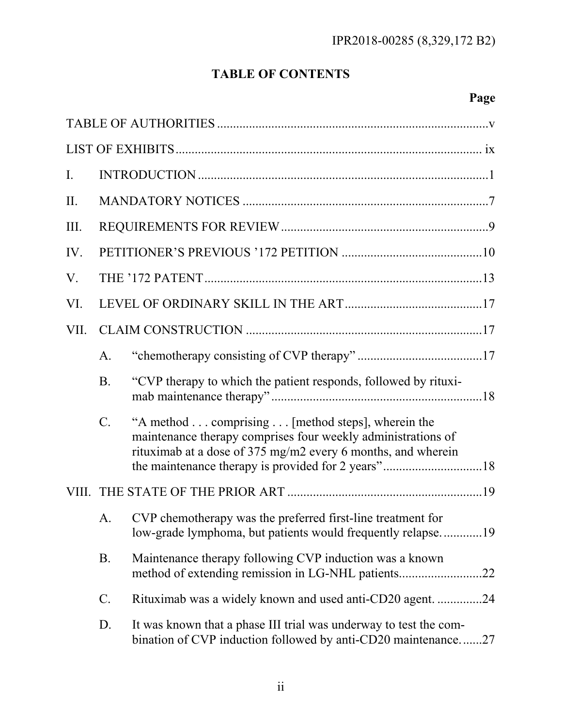# **TABLE OF CONTENTS**

# **Page**

| $\mathbf{I}$ . |                |                                                                                                                                                                                  |  |
|----------------|----------------|----------------------------------------------------------------------------------------------------------------------------------------------------------------------------------|--|
| II.            |                |                                                                                                                                                                                  |  |
| III.           |                |                                                                                                                                                                                  |  |
| IV.            |                |                                                                                                                                                                                  |  |
| V.             |                |                                                                                                                                                                                  |  |
| VI.            |                |                                                                                                                                                                                  |  |
| VII.           |                |                                                                                                                                                                                  |  |
|                | A <sub>1</sub> |                                                                                                                                                                                  |  |
|                | B <sub>1</sub> | "CVP therapy to which the patient responds, followed by rituxi-                                                                                                                  |  |
|                | $C_{\cdot}$    | "A method comprising [method steps], wherein the<br>maintenance therapy comprises four weekly administrations of<br>rituximab at a dose of 375 mg/m2 every 6 months, and wherein |  |
|                |                |                                                                                                                                                                                  |  |
|                | A.             | CVP chemotherapy was the preferred first-line treatment for                                                                                                                      |  |
|                | <b>B.</b>      | Maintenance therapy following CVP induction was a known                                                                                                                          |  |
|                | C.             | Rituximab was a widely known and used anti-CD20 agent. 24                                                                                                                        |  |
|                | D.             | It was known that a phase III trial was underway to test the com-<br>bination of CVP induction followed by anti-CD20 maintenance27                                               |  |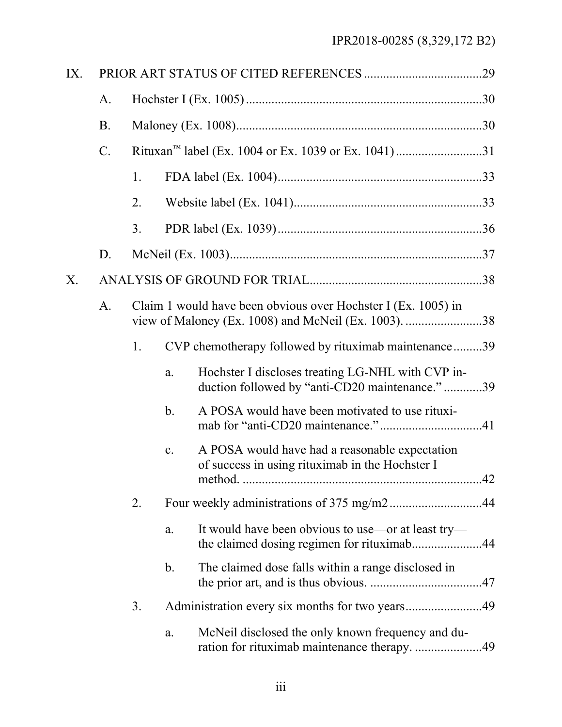| IX. |                 |    |                |                                                                                                                       |  |
|-----|-----------------|----|----------------|-----------------------------------------------------------------------------------------------------------------------|--|
|     | A.              |    |                |                                                                                                                       |  |
|     | <b>B.</b>       |    |                |                                                                                                                       |  |
|     | $\mathcal{C}$ . |    |                | Rituxan <sup>™</sup> label (Ex. 1004 or Ex. 1039 or Ex. 1041)31                                                       |  |
|     |                 | 1. |                |                                                                                                                       |  |
|     |                 | 2. |                |                                                                                                                       |  |
|     |                 | 3. |                |                                                                                                                       |  |
|     | D.              |    |                |                                                                                                                       |  |
| X.  |                 |    |                |                                                                                                                       |  |
|     | $A_{\cdot}$     |    |                | Claim 1 would have been obvious over Hochster I (Ex. 1005) in<br>view of Maloney (Ex. 1008) and McNeil (Ex. 1003). 38 |  |
|     |                 | 1. |                | CVP chemotherapy followed by rituximab maintenance39                                                                  |  |
|     |                 |    | a.             | Hochster I discloses treating LG-NHL with CVP in-<br>duction followed by "anti-CD20 maintenance."39                   |  |
|     |                 |    | $\mathbf b$ .  | A POSA would have been motivated to use rituxi-                                                                       |  |
|     |                 |    | $\mathbf{c}$ . | A POSA would have had a reasonable expectation<br>of success in using rituximab in the Hochster I                     |  |
|     |                 | 2. |                |                                                                                                                       |  |
|     |                 |    | a.             | It would have been obvious to use—or at least try—<br>the claimed dosing regimen for rituximab44                      |  |
|     |                 |    | $\mathbf b$ .  | The claimed dose falls within a range disclosed in                                                                    |  |
|     |                 | 3. |                |                                                                                                                       |  |
|     |                 |    | a.             | McNeil disclosed the only known frequency and du-<br>ration for rituximab maintenance therapy. 49                     |  |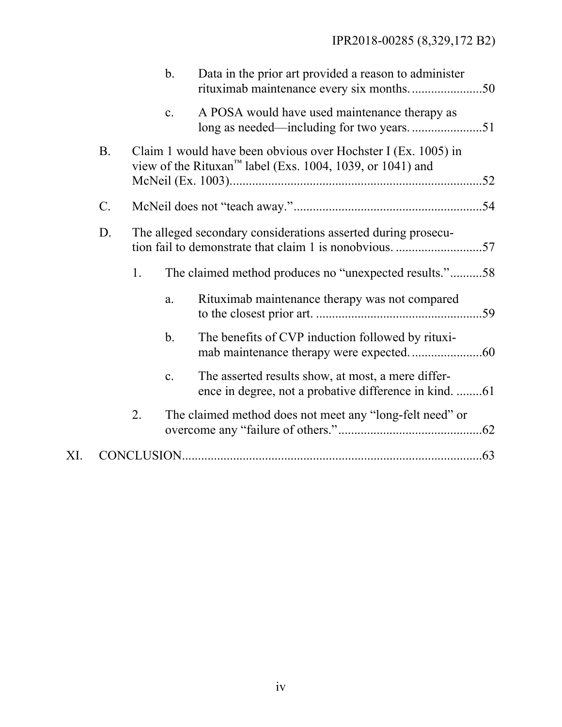|     |                 |    | $\mathbf{b}$ . | Data in the prior art provided a reason to administer                                                                                  |  |
|-----|-----------------|----|----------------|----------------------------------------------------------------------------------------------------------------------------------------|--|
|     |                 |    | $\mathbf{c}$ . | A POSA would have used maintenance therapy as                                                                                          |  |
|     | <b>B.</b>       |    |                | Claim 1 would have been obvious over Hochster I (Ex. 1005) in<br>view of the Rituxan <sup>™</sup> label (Exs. 1004, 1039, or 1041) and |  |
|     | $\mathcal{C}$ . |    |                |                                                                                                                                        |  |
|     | D.              |    |                | The alleged secondary considerations asserted during prosecu-                                                                          |  |
|     |                 | 1. |                | The claimed method produces no "unexpected results."58                                                                                 |  |
|     |                 |    | a.             | Rituximab maintenance therapy was not compared                                                                                         |  |
|     |                 |    | $\mathbf b$ .  | The benefits of CVP induction followed by rituxi-                                                                                      |  |
|     |                 |    | $\mathbf{c}$ . | The asserted results show, at most, a mere differ-<br>ence in degree, not a probative difference in kind. 61                           |  |
|     |                 | 2. |                | The claimed method does not meet any "long-felt need" or                                                                               |  |
| XI. |                 |    |                |                                                                                                                                        |  |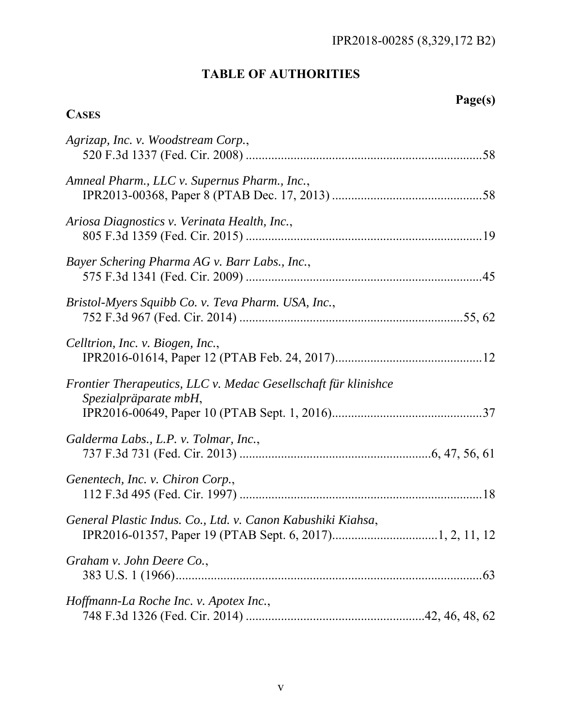# **TABLE OF AUTHORITIES**

# **Page(s)**

## **CASES**

| Agrizap, Inc. v. Woodstream Corp.,                                                      |     |
|-----------------------------------------------------------------------------------------|-----|
| Amneal Pharm., LLC v. Supernus Pharm., Inc.,                                            |     |
| Ariosa Diagnostics v. Verinata Health, Inc.,                                            |     |
| Bayer Schering Pharma AG v. Barr Labs., Inc.,                                           |     |
| Bristol-Myers Squibb Co. v. Teva Pharm. USA, Inc.,                                      |     |
| Celltrion, Inc. v. Biogen, Inc.,                                                        |     |
| Frontier Therapeutics, LLC v. Medac Gesellschaft für klinishce<br>Spezialpräparate mbH, |     |
| Galderma Labs., L.P. v. Tolmar, Inc.,                                                   |     |
| Genentech, Inc. v. Chiron Corp.,                                                        |     |
| General Plastic Indus. Co., Ltd. v. Canon Kabushiki Kiahsa,                             |     |
| Graham v. John Deere Co.,                                                               | .63 |
| Hoffmann-La Roche Inc. v. Apotex Inc.,                                                  |     |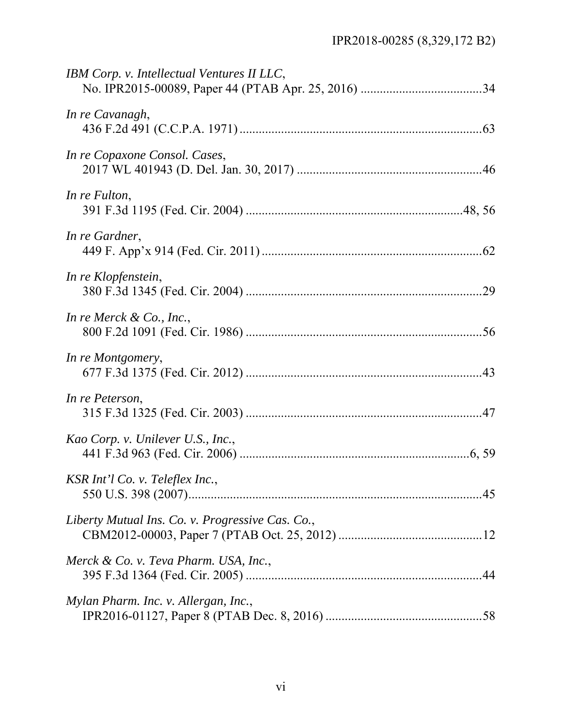| IBM Corp. v. Intellectual Ventures II LLC,       |  |
|--------------------------------------------------|--|
| In re Cavanagh,                                  |  |
| In re Copaxone Consol. Cases,                    |  |
| In re Fulton,                                    |  |
| In re Gardner,                                   |  |
| In re Klopfenstein,                              |  |
| In re Merck $\&$ Co., Inc.,                      |  |
| In re Montgomery,                                |  |
| In re Peterson,                                  |  |
| Kao Corp. v. Unilever U.S., Inc.,                |  |
| KSR Int'l Co. v. Teleflex Inc.,                  |  |
| Liberty Mutual Ins. Co. v. Progressive Cas. Co., |  |
| Merck & Co. v. Teva Pharm. USA, Inc.,            |  |
| Mylan Pharm. Inc. v. Allergan, Inc.,             |  |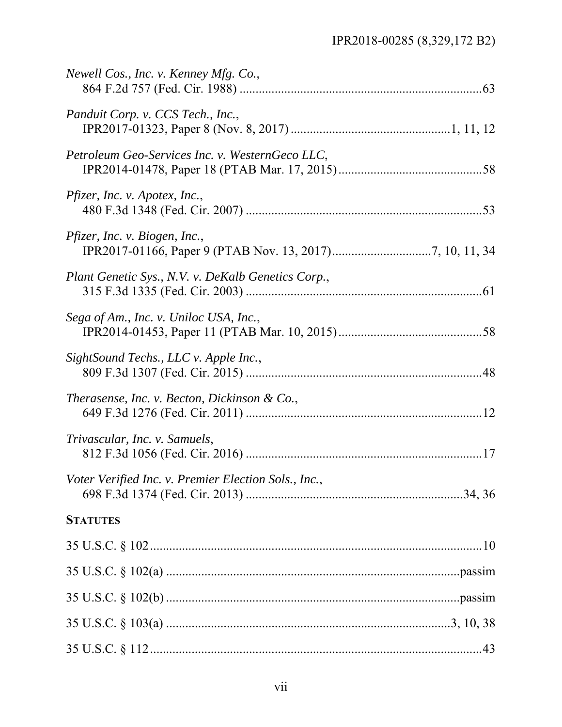| Newell Cos., Inc. v. Kenney Mfg. Co.,                |  |
|------------------------------------------------------|--|
| Panduit Corp. v. CCS Tech., Inc.,                    |  |
| Petroleum Geo-Services Inc. v. WesternGeco LLC,      |  |
| Pfizer, Inc. v. Apotex, Inc.,                        |  |
| Pfizer, Inc. v. Biogen, Inc.,                        |  |
| Plant Genetic Sys., N.V. v. DeKalb Genetics Corp.,   |  |
| Sega of Am., Inc. v. Uniloc USA, Inc.,               |  |
| SightSound Techs., LLC v. Apple Inc.,                |  |
| Therasense, Inc. v. Becton, Dickinson & Co.,         |  |
| Trivascular, Inc. v. Samuels,                        |  |
| Voter Verified Inc. v. Premier Election Sols., Inc., |  |
| <b>STATUTES</b>                                      |  |
|                                                      |  |
|                                                      |  |
|                                                      |  |
|                                                      |  |
|                                                      |  |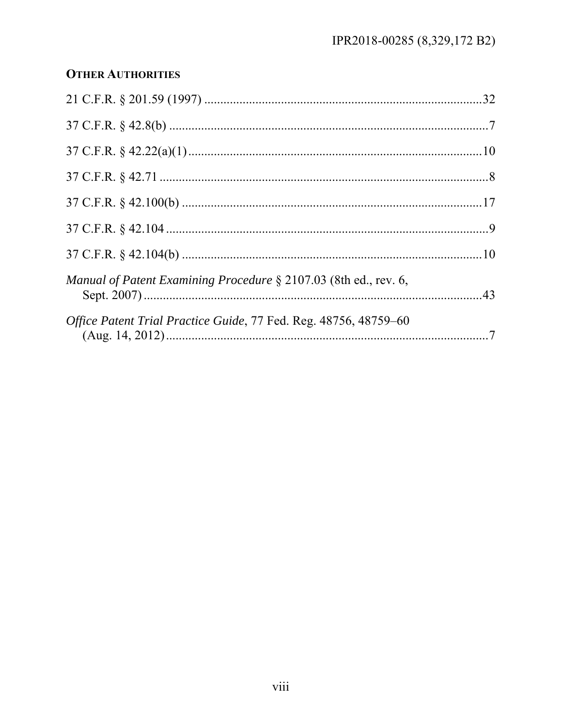## **OTHER AUTHORITIES**

|                                                                  | .32 |
|------------------------------------------------------------------|-----|
|                                                                  |     |
|                                                                  |     |
|                                                                  |     |
|                                                                  |     |
|                                                                  |     |
|                                                                  |     |
| Manual of Patent Examining Procedure § 2107.03 (8th ed., rev. 6, |     |
| Office Patent Trial Practice Guide, 77 Fed. Reg. 48756, 48759–60 |     |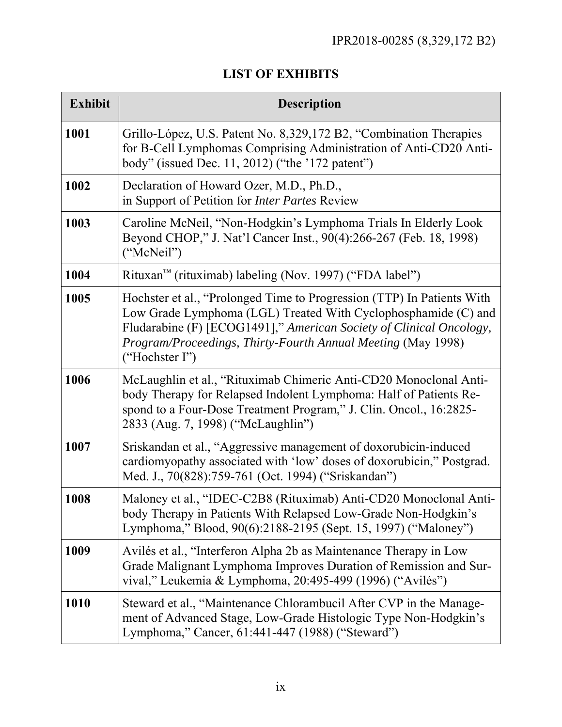## **LIST OF EXHIBITS**

| <b>Exhibit</b> | <b>Description</b>                                                                                                                                                                                                                                                                                |
|----------------|---------------------------------------------------------------------------------------------------------------------------------------------------------------------------------------------------------------------------------------------------------------------------------------------------|
| 1001           | Grillo-López, U.S. Patent No. 8,329,172 B2, "Combination Therapies<br>for B-Cell Lymphomas Comprising Administration of Anti-CD20 Anti-<br>body" (issued Dec. 11, 2012) ("the '172 patent")                                                                                                       |
| 1002           | Declaration of Howard Ozer, M.D., Ph.D.,<br>in Support of Petition for Inter Partes Review                                                                                                                                                                                                        |
| 1003           | Caroline McNeil, "Non-Hodgkin's Lymphoma Trials In Elderly Look<br>Beyond CHOP," J. Nat'l Cancer Inst., 90(4):266-267 (Feb. 18, 1998)<br>("McNeil")                                                                                                                                               |
| 1004           | Rituxan™ (rituximab) labeling (Nov. 1997) ("FDA label")                                                                                                                                                                                                                                           |
| 1005           | Hochster et al., "Prolonged Time to Progression (TTP) In Patients With<br>Low Grade Lymphoma (LGL) Treated With Cyclophosphamide (C) and<br>Fludarabine (F) [ECOG1491]," American Society of Clinical Oncology,<br>Program/Proceedings, Thirty-Fourth Annual Meeting (May 1998)<br>("Hochster I") |
| 1006           | McLaughlin et al., "Rituximab Chimeric Anti-CD20 Monoclonal Anti-<br>body Therapy for Relapsed Indolent Lymphoma: Half of Patients Re-<br>spond to a Four-Dose Treatment Program," J. Clin. Oncol., 16:2825-<br>2833 (Aug. 7, 1998) ("McLaughlin")                                                |
| 1007           | Sriskandan et al., "Aggressive management of doxorubicin-induced<br>cardiomyopathy associated with 'low' doses of doxorubicin," Postgrad.<br>Med. J., 70(828):759-761 (Oct. 1994) ("Sriskandan")                                                                                                  |
| 1008           | Maloney et al., "IDEC-C2B8 (Rituximab) Anti-CD20 Monoclonal Anti-<br>body Therapy in Patients With Relapsed Low-Grade Non-Hodgkin's<br>Lymphoma," Blood, 90(6):2188-2195 (Sept. 15, 1997) ("Maloney")                                                                                             |
| 1009           | Avilés et al., "Interferon Alpha 2b as Maintenance Therapy in Low<br>Grade Malignant Lymphoma Improves Duration of Remission and Sur-<br>vival," Leukemia & Lymphoma, 20:495-499 (1996) ("Avilés")                                                                                                |
| 1010           | Steward et al., "Maintenance Chlorambucil After CVP in the Manage-<br>ment of Advanced Stage, Low-Grade Histologic Type Non-Hodgkin's<br>Lymphoma," Cancer, 61:441-447 (1988) ("Steward")                                                                                                         |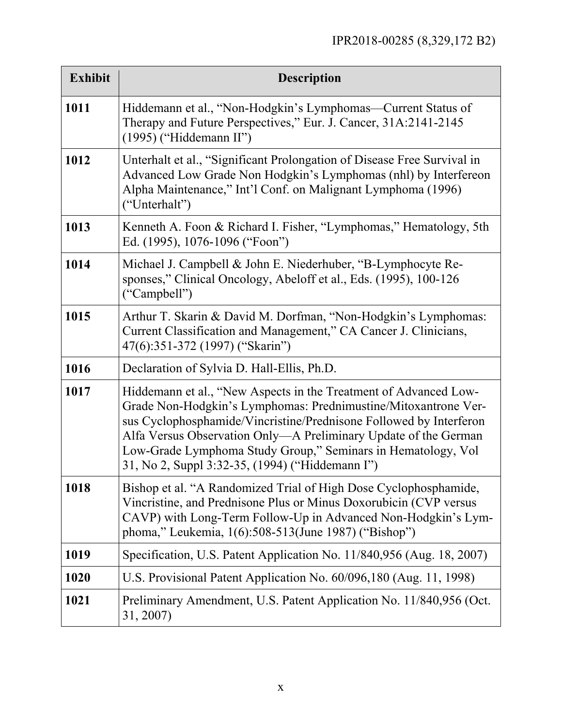| <b>Exhibit</b> | <b>Description</b>                                                                                                                                                                                                                                                                                                                                                                             |
|----------------|------------------------------------------------------------------------------------------------------------------------------------------------------------------------------------------------------------------------------------------------------------------------------------------------------------------------------------------------------------------------------------------------|
| 1011           | Hiddemann et al., "Non-Hodgkin's Lymphomas—Current Status of<br>Therapy and Future Perspectives," Eur. J. Cancer, 31A:2141-2145<br>$(1995)$ ("Hiddemann II")                                                                                                                                                                                                                                   |
| 1012           | Unterhalt et al., "Significant Prolongation of Disease Free Survival in<br>Advanced Low Grade Non Hodgkin's Lymphomas (nhl) by Interfereon<br>Alpha Maintenance," Int'l Conf. on Malignant Lymphoma (1996)<br>("Unterhalt")                                                                                                                                                                    |
| 1013           | Kenneth A. Foon & Richard I. Fisher, "Lymphomas," Hematology, 5th<br>Ed. (1995), 1076-1096 ("Foon")                                                                                                                                                                                                                                                                                            |
| 1014           | Michael J. Campbell & John E. Niederhuber, "B-Lymphocyte Re-<br>sponses," Clinical Oncology, Abeloff et al., Eds. (1995), 100-126<br>("Campbell")                                                                                                                                                                                                                                              |
| 1015           | Arthur T. Skarin & David M. Dorfman, "Non-Hodgkin's Lymphomas:<br>Current Classification and Management," CA Cancer J. Clinicians,<br>47(6):351-372 (1997) ("Skarin")                                                                                                                                                                                                                          |
| 1016           | Declaration of Sylvia D. Hall-Ellis, Ph.D.                                                                                                                                                                                                                                                                                                                                                     |
| 1017           | Hiddemann et al., "New Aspects in the Treatment of Advanced Low-<br>Grade Non-Hodgkin's Lymphomas: Prednimustine/Mitoxantrone Ver-<br>sus Cyclophosphamide/Vincristine/Prednisone Followed by Interferon<br>Alfa Versus Observation Only—A Preliminary Update of the German<br>Low-Grade Lymphoma Study Group," Seminars in Hematology, Vol<br>31, No 2, Suppl 3:32-35, (1994) ("Hiddemann I") |
| 1018           | Bishop et al. "A Randomized Trial of High Dose Cyclophosphamide,<br>Vincristine, and Prednisone Plus or Minus Doxorubicin (CVP versus<br>CAVP) with Long-Term Follow-Up in Advanced Non-Hodgkin's Lym-<br>phoma," Leukemia, 1(6):508-513(June 1987) ("Bishop")                                                                                                                                 |
| 1019           | Specification, U.S. Patent Application No. 11/840,956 (Aug. 18, 2007)                                                                                                                                                                                                                                                                                                                          |
| 1020           | U.S. Provisional Patent Application No. 60/096,180 (Aug. 11, 1998)                                                                                                                                                                                                                                                                                                                             |
| 1021           | Preliminary Amendment, U.S. Patent Application No. 11/840,956 (Oct.<br>31, 2007)                                                                                                                                                                                                                                                                                                               |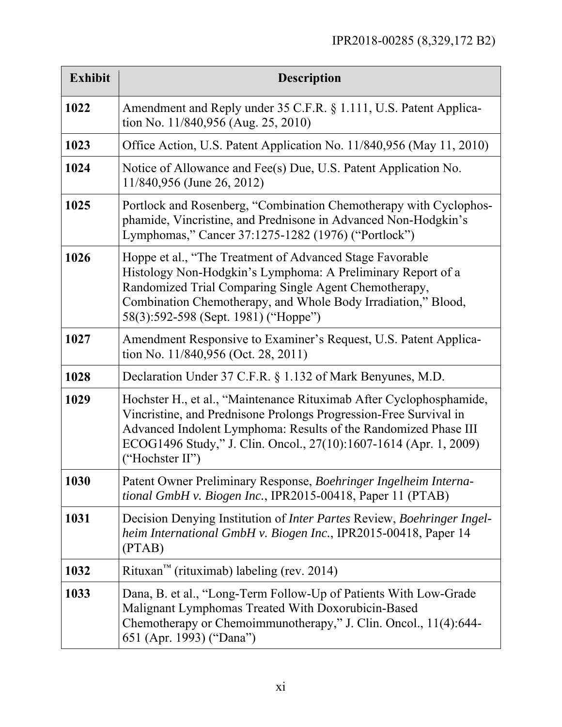| <b>Exhibit</b> | <b>Description</b>                                                                                                                                                                                                                                                                                  |
|----------------|-----------------------------------------------------------------------------------------------------------------------------------------------------------------------------------------------------------------------------------------------------------------------------------------------------|
| 1022           | Amendment and Reply under 35 C.F.R. § 1.111, U.S. Patent Applica-<br>tion No. 11/840,956 (Aug. 25, 2010)                                                                                                                                                                                            |
| 1023           | Office Action, U.S. Patent Application No. 11/840,956 (May 11, 2010)                                                                                                                                                                                                                                |
| 1024           | Notice of Allowance and Fee(s) Due, U.S. Patent Application No.<br>11/840,956 (June 26, 2012)                                                                                                                                                                                                       |
| 1025           | Portlock and Rosenberg, "Combination Chemotherapy with Cyclophos-<br>phamide, Vincristine, and Prednisone in Advanced Non-Hodgkin's<br>Lymphomas," Cancer 37:1275-1282 (1976) ("Portlock")                                                                                                          |
| 1026           | Hoppe et al., "The Treatment of Advanced Stage Favorable"<br>Histology Non-Hodgkin's Lymphoma: A Preliminary Report of a<br>Randomized Trial Comparing Single Agent Chemotherapy,<br>Combination Chemotherapy, and Whole Body Irradiation," Blood,<br>58(3):592-598 (Sept. 1981) ("Hoppe")          |
| 1027           | Amendment Responsive to Examiner's Request, U.S. Patent Applica-<br>tion No. 11/840,956 (Oct. 28, 2011)                                                                                                                                                                                             |
| 1028           | Declaration Under 37 C.F.R. § 1.132 of Mark Benyunes, M.D.                                                                                                                                                                                                                                          |
| 1029           | Hochster H., et al., "Maintenance Rituximab After Cyclophosphamide,<br>Vincristine, and Prednisone Prolongs Progression-Free Survival in<br>Advanced Indolent Lymphoma: Results of the Randomized Phase III<br>ECOG1496 Study," J. Clin. Oncol., 27(10):1607-1614 (Apr. 1, 2009)<br>("Hochster II") |
| 1030           | Patent Owner Preliminary Response, Boehringer Ingelheim Interna-<br>tional GmbH v. Biogen Inc., IPR2015-00418, Paper 11 (PTAB)                                                                                                                                                                      |
| 1031           | Decision Denying Institution of <i>Inter Partes</i> Review, <i>Boehringer Ingel-</i><br>heim International GmbH v. Biogen Inc., IPR2015-00418, Paper 14<br>(PTAB)                                                                                                                                   |
| 1032           | Rituxan <sup>™</sup> (rituximab) labeling (rev. 2014)                                                                                                                                                                                                                                               |
| 1033           | Dana, B. et al., "Long-Term Follow-Up of Patients With Low-Grade<br>Malignant Lymphomas Treated With Doxorubicin-Based<br>Chemotherapy or Chemoimmunotherapy," J. Clin. Oncol., 11(4):644-<br>651 (Apr. 1993) ("Dana")                                                                              |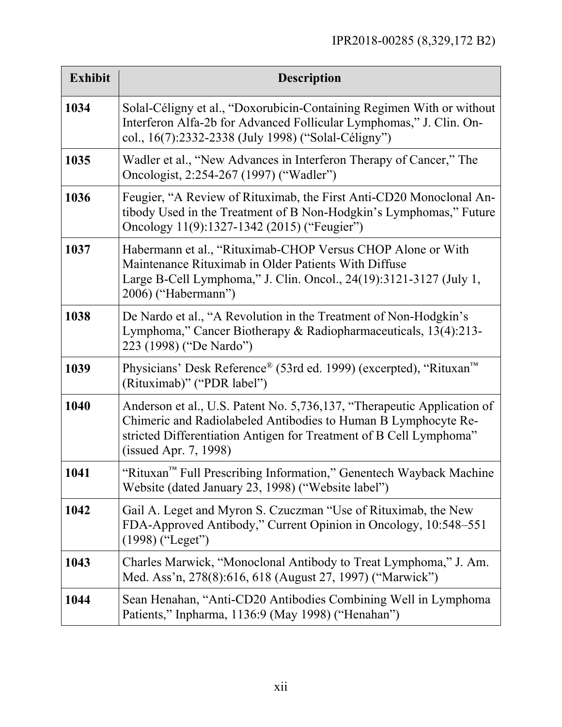| <b>Exhibit</b> | <b>Description</b>                                                                                                                                                                                                                       |
|----------------|------------------------------------------------------------------------------------------------------------------------------------------------------------------------------------------------------------------------------------------|
| 1034           | Solal-Céligny et al., "Doxorubicin-Containing Regimen With or without<br>Interferon Alfa-2b for Advanced Follicular Lymphomas," J. Clin. On-<br>col., 16(7):2332-2338 (July 1998) ("Solal-Céligny")                                      |
| 1035           | Wadler et al., "New Advances in Interferon Therapy of Cancer," The<br>Oncologist, 2:254-267 (1997) ("Wadler")                                                                                                                            |
| 1036           | Feugier, "A Review of Rituximab, the First Anti-CD20 Monoclonal An-<br>tibody Used in the Treatment of B Non-Hodgkin's Lymphomas," Future<br>Oncology 11(9):1327-1342 (2015) ("Feugier")                                                 |
| 1037           | Habermann et al., "Rituximab-CHOP Versus CHOP Alone or With<br>Maintenance Rituximab in Older Patients With Diffuse<br>Large B-Cell Lymphoma," J. Clin. Oncol., 24(19):3121-3127 (July 1,<br>2006) ("Habermann")                         |
| 1038           | De Nardo et al., "A Revolution in the Treatment of Non-Hodgkin's<br>Lymphoma," Cancer Biotherapy & Radiopharmaceuticals, 13(4):213-<br>223 (1998) ("De Nardo")                                                                           |
| 1039           | Physicians' Desk Reference® (53rd ed. 1999) (excerpted), "Rituxan™<br>(Rituximab)" ("PDR label")                                                                                                                                         |
| 1040           | Anderson et al., U.S. Patent No. 5,736,137, "Therapeutic Application of<br>Chimeric and Radiolabeled Antibodies to Human B Lymphocyte Re-<br>stricted Differentiation Antigen for Treatment of B Cell Lymphoma"<br>(issued Apr. 7, 1998) |
| 1041           | "Rituxan™ Full Prescribing Information," Genentech Wayback Machine<br>Website (dated January 23, 1998) ("Website label")                                                                                                                 |
| 1042           | Gail A. Leget and Myron S. Czuczman "Use of Rituximab, the New<br>FDA-Approved Antibody," Current Opinion in Oncology, 10:548–551<br>$(1998)$ ("Leget")                                                                                  |
| 1043           | Charles Marwick, "Monoclonal Antibody to Treat Lymphoma," J. Am.<br>Med. Ass'n, 278(8):616, 618 (August 27, 1997) ("Marwick")                                                                                                            |
| 1044           | Sean Henahan, "Anti-CD20 Antibodies Combining Well in Lymphoma<br>Patients," Inpharma, 1136:9 (May 1998) ("Henahan")                                                                                                                     |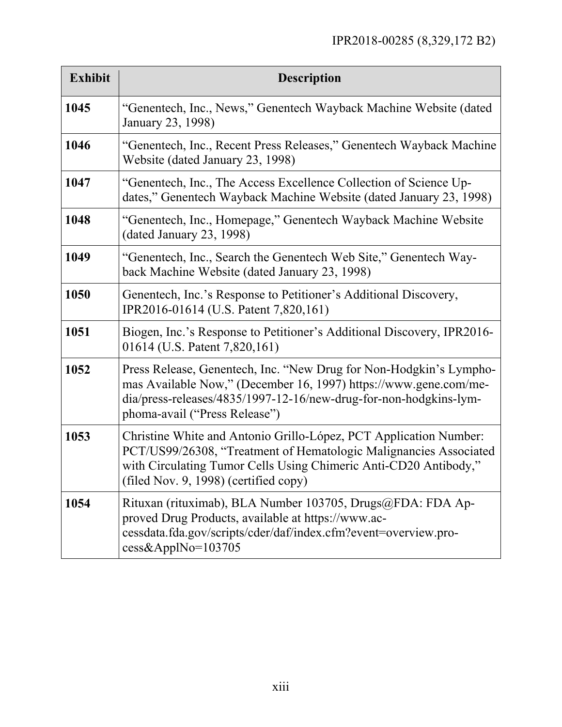| <b>Exhibit</b> | <b>Description</b>                                                                                                                                                                                                                                  |
|----------------|-----------------------------------------------------------------------------------------------------------------------------------------------------------------------------------------------------------------------------------------------------|
| 1045           | "Genentech, Inc., News," Genentech Wayback Machine Website (dated<br>January 23, 1998)                                                                                                                                                              |
| 1046           | "Genentech, Inc., Recent Press Releases," Genentech Wayback Machine<br>Website (dated January 23, 1998)                                                                                                                                             |
| 1047           | "Genentech, Inc., The Access Excellence Collection of Science Up-<br>dates," Genentech Wayback Machine Website (dated January 23, 1998)                                                                                                             |
| 1048           | "Genentech, Inc., Homepage," Genentech Wayback Machine Website<br>(dated January 23, 1998)                                                                                                                                                          |
| 1049           | "Genentech, Inc., Search the Genentech Web Site," Genentech Way-<br>back Machine Website (dated January 23, 1998)                                                                                                                                   |
| 1050           | Genentech, Inc.'s Response to Petitioner's Additional Discovery,<br>IPR2016-01614 (U.S. Patent 7,820,161)                                                                                                                                           |
| 1051           | Biogen, Inc.'s Response to Petitioner's Additional Discovery, IPR2016-<br>01614 (U.S. Patent 7,820,161)                                                                                                                                             |
| 1052           | Press Release, Genentech, Inc. "New Drug for Non-Hodgkin's Lympho-<br>mas Available Now," (December 16, 1997) https://www.gene.com/me-<br>dia/press-releases/4835/1997-12-16/new-drug-for-non-hodgkins-lym-<br>phoma-avail ("Press Release")        |
| 1053           | Christine White and Antonio Grillo-López, PCT Application Number:<br>PCT/US99/26308, "Treatment of Hematologic Malignancies Associated<br>with Circulating Tumor Cells Using Chimeric Anti-CD20 Antibody,"<br>(filed Nov. 9, 1998) (certified copy) |
| 1054           | Rituxan (rituximab), BLA Number 103705, Drugs@FDA: FDA Ap-<br>proved Drug Products, available at https://www.ac-<br>cessdata.fda.gov/scripts/cder/daf/index.cfm?event=overview.pro-<br>$cess\&ApplNo=103705$                                        |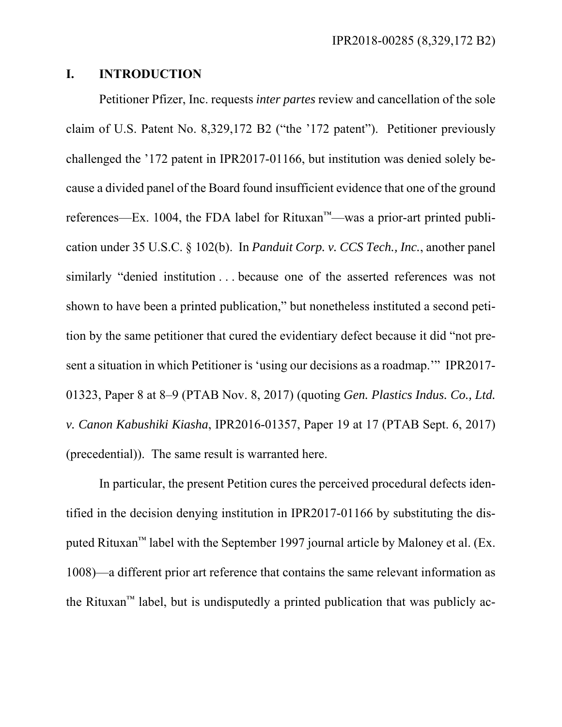### **I. INTRODUCTION**

Petitioner Pfizer, Inc. requests *inter partes* review and cancellation of the sole claim of U.S. Patent No. 8,329,172 B2 ("the '172 patent"). Petitioner previously challenged the '172 patent in IPR2017-01166, but institution was denied solely because a divided panel of the Board found insufficient evidence that one of the ground references—Ex. 1004, the FDA label for Rituxan™—was a prior-art printed publication under 35 U.S.C. § 102(b). In *Panduit Corp. v. CCS Tech., Inc.*, another panel similarly "denied institution . . . because one of the asserted references was not shown to have been a printed publication," but nonetheless instituted a second petition by the same petitioner that cured the evidentiary defect because it did "not present a situation in which Petitioner is 'using our decisions as a roadmap.'" IPR2017- 01323, Paper 8 at 8–9 (PTAB Nov. 8, 2017) (quoting *Gen. Plastics Indus. Co., Ltd. v. Canon Kabushiki Kiasha*, IPR2016-01357, Paper 19 at 17 (PTAB Sept. 6, 2017) (precedential)). The same result is warranted here.

In particular, the present Petition cures the perceived procedural defects identified in the decision denying institution in IPR2017-01166 by substituting the disputed Rituxan<sup>™</sup> label with the September 1997 journal article by Maloney et al. (Ex. 1008)—a different prior art reference that contains the same relevant information as the Rituxan<sup>™</sup> label, but is undisputedly a printed publication that was publicly ac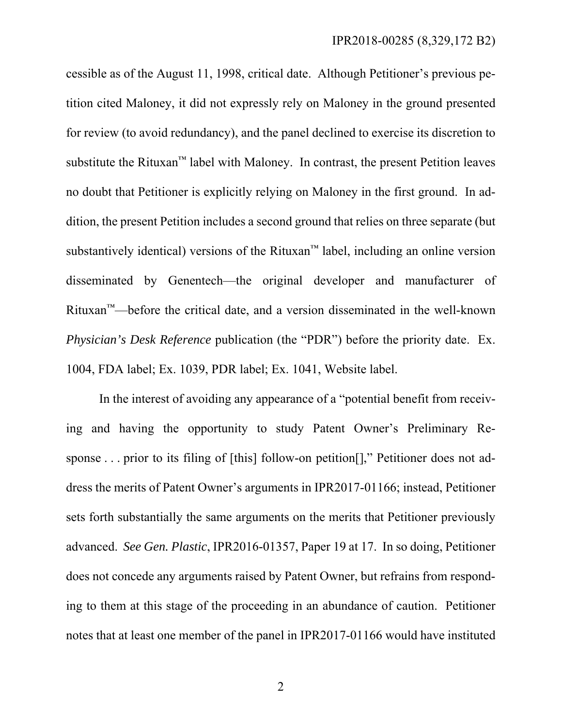cessible as of the August 11, 1998, critical date. Although Petitioner's previous petition cited Maloney, it did not expressly rely on Maloney in the ground presented for review (to avoid redundancy), and the panel declined to exercise its discretion to substitute the Rituxan™ label with Maloney. In contrast, the present Petition leaves no doubt that Petitioner is explicitly relying on Maloney in the first ground. In addition, the present Petition includes a second ground that relies on three separate (but substantively identical) versions of the Rituxan™ label, including an online version disseminated by Genentech—the original developer and manufacturer of Rituxan™—before the critical date, and a version disseminated in the well-known *Physician's Desk Reference* publication (the "PDR") before the priority date. Ex. 1004, FDA label; Ex. 1039, PDR label; Ex. 1041, Website label.

In the interest of avoiding any appearance of a "potential benefit from receiving and having the opportunity to study Patent Owner's Preliminary Response . . . prior to its filing of [this] follow-on petition[]," Petitioner does not address the merits of Patent Owner's arguments in IPR2017-01166; instead, Petitioner sets forth substantially the same arguments on the merits that Petitioner previously advanced. *See Gen. Plastic*, IPR2016-01357, Paper 19 at 17. In so doing, Petitioner does not concede any arguments raised by Patent Owner, but refrains from responding to them at this stage of the proceeding in an abundance of caution. Petitioner notes that at least one member of the panel in IPR2017-01166 would have instituted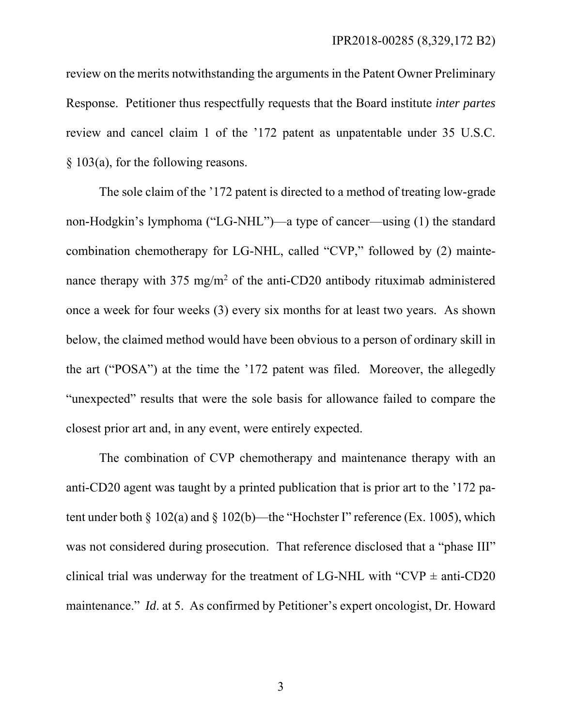review on the merits notwithstanding the arguments in the Patent Owner Preliminary Response. Petitioner thus respectfully requests that the Board institute *inter partes* review and cancel claim 1 of the '172 patent as unpatentable under 35 U.S.C. § 103(a), for the following reasons.

The sole claim of the '172 patent is directed to a method of treating low-grade non-Hodgkin's lymphoma ("LG-NHL")—a type of cancer—using (1) the standard combination chemotherapy for LG-NHL, called "CVP," followed by (2) maintenance therapy with  $375 \text{ mg/m}^2$  of the anti-CD20 antibody rituximab administered once a week for four weeks (3) every six months for at least two years. As shown below, the claimed method would have been obvious to a person of ordinary skill in the art ("POSA") at the time the '172 patent was filed. Moreover, the allegedly "unexpected" results that were the sole basis for allowance failed to compare the closest prior art and, in any event, were entirely expected.

The combination of CVP chemotherapy and maintenance therapy with an anti-CD20 agent was taught by a printed publication that is prior art to the '172 patent under both  $\S$  102(a) and  $\S$  102(b)—the "Hochster I" reference (Ex. 1005), which was not considered during prosecution. That reference disclosed that a "phase III" clinical trial was underway for the treatment of LG-NHL with "CVP  $\pm$  anti-CD20 maintenance." *Id*. at 5. As confirmed by Petitioner's expert oncologist, Dr. Howard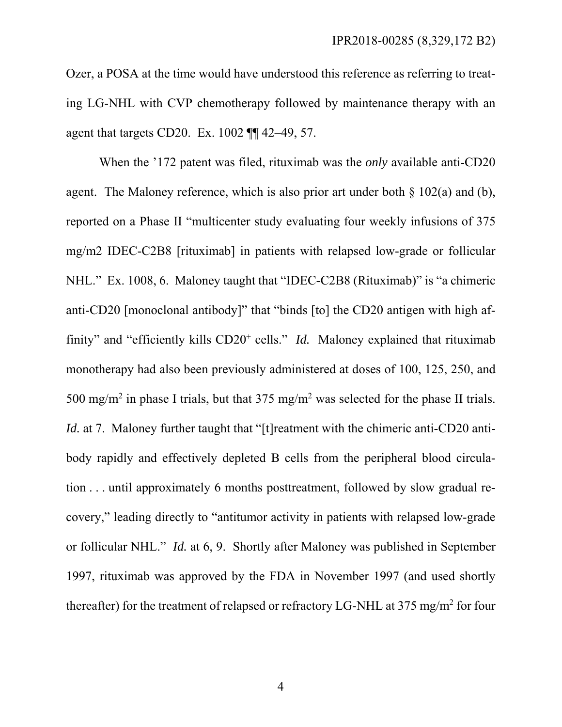Ozer, a POSA at the time would have understood this reference as referring to treating LG-NHL with CVP chemotherapy followed by maintenance therapy with an agent that targets CD20. Ex. 1002 ¶¶ 42–49, 57.

When the '172 patent was filed, rituximab was the *only* available anti-CD20 agent. The Maloney reference, which is also prior art under both  $\S$  102(a) and (b), reported on a Phase II "multicenter study evaluating four weekly infusions of 375 mg/m2 IDEC-C2B8 [rituximab] in patients with relapsed low-grade or follicular NHL." Ex. 1008, 6. Maloney taught that "IDEC-C2B8 (Rituximab)" is "a chimeric anti-CD20 [monoclonal antibody]" that "binds [to] the CD20 antigen with high affinity" and "efficiently kills CD20<sup>+</sup> cells." *Id.* Maloney explained that rituximab monotherapy had also been previously administered at doses of 100, 125, 250, and 500 mg/m<sup>2</sup> in phase I trials, but that  $375 \text{ mg/m}^2$  was selected for the phase II trials. *Id.* at 7. Maloney further taught that "[t]reatment with the chimeric anti-CD20 antibody rapidly and effectively depleted B cells from the peripheral blood circulation . . . until approximately 6 months posttreatment, followed by slow gradual recovery," leading directly to "antitumor activity in patients with relapsed low-grade or follicular NHL." *Id.* at 6, 9. Shortly after Maloney was published in September 1997, rituximab was approved by the FDA in November 1997 (and used shortly thereafter) for the treatment of relapsed or refractory LG-NHL at 375 mg/m<sup>2</sup> for four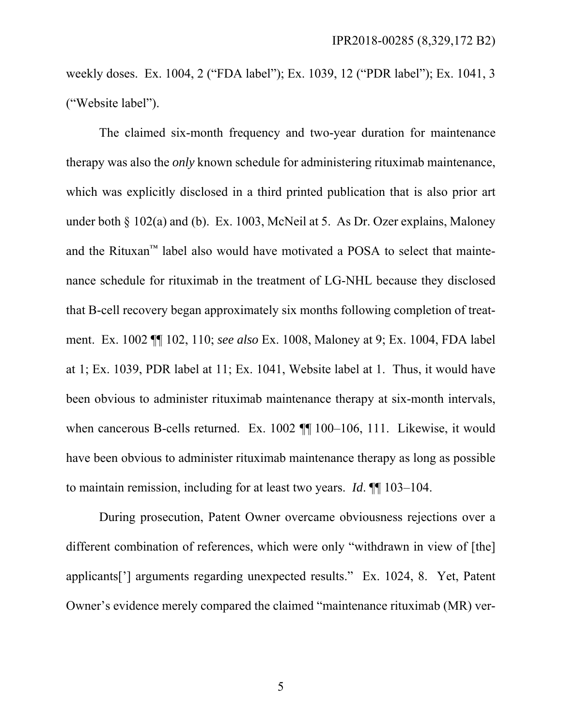weekly doses. Ex. 1004, 2 ("FDA label"); Ex. 1039, 12 ("PDR label"); Ex. 1041, 3 ("Website label").

The claimed six-month frequency and two-year duration for maintenance therapy was also the *only* known schedule for administering rituximab maintenance, which was explicitly disclosed in a third printed publication that is also prior art under both § 102(a) and (b). Ex. 1003, McNeil at 5. As Dr. Ozer explains, Maloney and the Rituxan<sup>™</sup> label also would have motivated a POSA to select that maintenance schedule for rituximab in the treatment of LG-NHL because they disclosed that B-cell recovery began approximately six months following completion of treatment. Ex. 1002 ¶¶ 102, 110; *see also* Ex. 1008, Maloney at 9; Ex. 1004, FDA label at 1; Ex. 1039, PDR label at 11; Ex. 1041, Website label at 1. Thus, it would have been obvious to administer rituximab maintenance therapy at six-month intervals, when cancerous B-cells returned. Ex. 1002  $\P$  100–106, 111. Likewise, it would have been obvious to administer rituximab maintenance therapy as long as possible to maintain remission, including for at least two years. *Id*. ¶¶ 103–104.

During prosecution, Patent Owner overcame obviousness rejections over a different combination of references, which were only "withdrawn in view of [the] applicants['] arguments regarding unexpected results." Ex. 1024, 8. Yet, Patent Owner's evidence merely compared the claimed "maintenance rituximab (MR) ver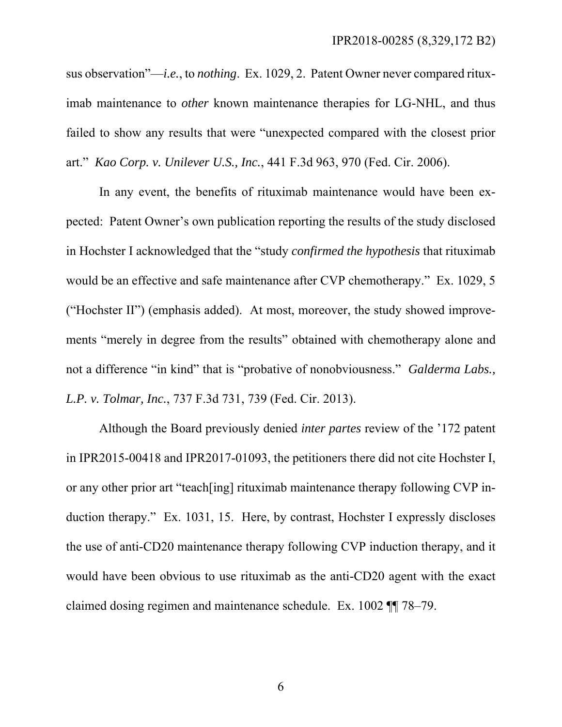sus observation"—*i.e.*, to *nothing*. Ex. 1029, 2. Patent Owner never compared rituximab maintenance to *other* known maintenance therapies for LG-NHL, and thus failed to show any results that were "unexpected compared with the closest prior art." *Kao Corp. v. Unilever U.S., Inc.*, 441 F.3d 963, 970 (Fed. Cir. 2006).

In any event, the benefits of rituximab maintenance would have been expected: Patent Owner's own publication reporting the results of the study disclosed in Hochster I acknowledged that the "study *confirmed the hypothesis* that rituximab would be an effective and safe maintenance after CVP chemotherapy." Ex. 1029, 5 ("Hochster II") (emphasis added). At most, moreover, the study showed improvements "merely in degree from the results" obtained with chemotherapy alone and not a difference "in kind" that is "probative of nonobviousness." *Galderma Labs., L.P. v. Tolmar, Inc.*, 737 F.3d 731, 739 (Fed. Cir. 2013).

Although the Board previously denied *inter partes* review of the '172 patent in IPR2015-00418 and IPR2017-01093, the petitioners there did not cite Hochster I, or any other prior art "teach[ing] rituximab maintenance therapy following CVP induction therapy." Ex. 1031, 15. Here, by contrast, Hochster I expressly discloses the use of anti-CD20 maintenance therapy following CVP induction therapy, and it would have been obvious to use rituximab as the anti-CD20 agent with the exact claimed dosing regimen and maintenance schedule. Ex. 1002 ¶¶ 78–79.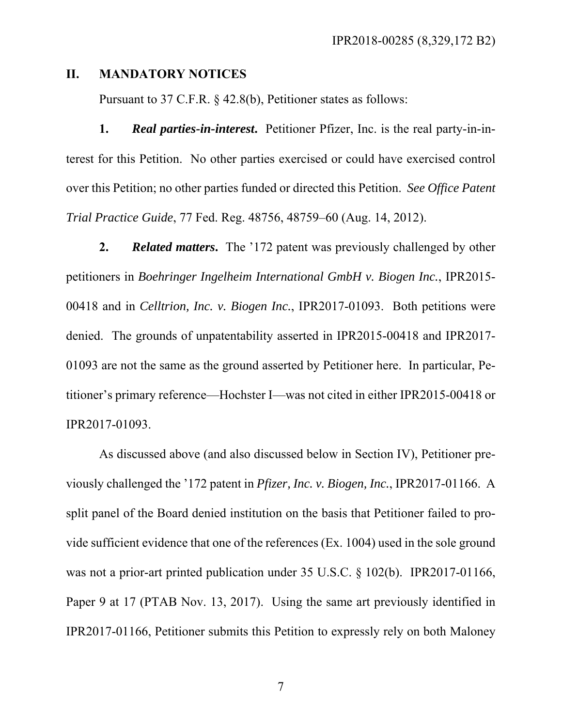#### **II. MANDATORY NOTICES**

Pursuant to 37 C.F.R. § 42.8(b), Petitioner states as follows:

**1.** *Real parties-in-interest***.** Petitioner Pfizer, Inc. is the real party-in-interest for this Petition. No other parties exercised or could have exercised control over this Petition; no other parties funded or directed this Petition. *See Office Patent Trial Practice Guide*, 77 Fed. Reg. 48756, 48759–60 (Aug. 14, 2012).

**2.** *Related matters***.** The '172 patent was previously challenged by other petitioners in *Boehringer Ingelheim International GmbH v. Biogen Inc.*, IPR2015- 00418 and in *Celltrion, Inc. v. Biogen Inc.*, IPR2017-01093. Both petitions were denied. The grounds of unpatentability asserted in IPR2015-00418 and IPR2017- 01093 are not the same as the ground asserted by Petitioner here. In particular, Petitioner's primary reference—Hochster I—was not cited in either IPR2015-00418 or IPR2017-01093.

As discussed above (and also discussed below in Section IV), Petitioner previously challenged the '172 patent in *Pfizer, Inc. v. Biogen, Inc.*, IPR2017-01166. A split panel of the Board denied institution on the basis that Petitioner failed to provide sufficient evidence that one of the references (Ex. 1004) used in the sole ground was not a prior-art printed publication under 35 U.S.C. § 102(b). IPR2017-01166, Paper 9 at 17 (PTAB Nov. 13, 2017). Using the same art previously identified in IPR2017-01166, Petitioner submits this Petition to expressly rely on both Maloney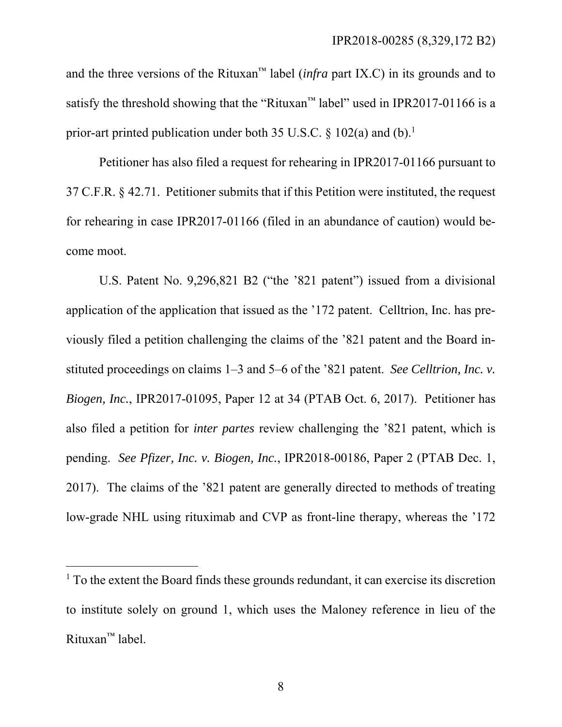and the three versions of the Rituxan<sup>™</sup> label (*infra* part IX.C) in its grounds and to satisfy the threshold showing that the "Rituxan<sup>"</sup> label" used in IPR2017-01166 is a prior-art printed publication under both 35 U.S.C.  $\S$  102(a) and (b).<sup>1</sup>

Petitioner has also filed a request for rehearing in IPR2017-01166 pursuant to 37 C.F.R. § 42.71. Petitioner submits that if this Petition were instituted, the request for rehearing in case IPR2017-01166 (filed in an abundance of caution) would become moot.

U.S. Patent No. 9,296,821 B2 ("the '821 patent") issued from a divisional application of the application that issued as the '172 patent. Celltrion, Inc. has previously filed a petition challenging the claims of the '821 patent and the Board instituted proceedings on claims 1–3 and 5–6 of the '821 patent. *See Celltrion, Inc. v. Biogen, Inc.*, IPR2017-01095, Paper 12 at 34 (PTAB Oct. 6, 2017). Petitioner has also filed a petition for *inter partes* review challenging the '821 patent, which is pending. *See Pfizer, Inc. v. Biogen, Inc.*, IPR2018-00186, Paper 2 (PTAB Dec. 1, 2017). The claims of the '821 patent are generally directed to methods of treating low-grade NHL using rituximab and CVP as front-line therapy, whereas the '172

l

<sup>&</sup>lt;sup>1</sup> To the extent the Board finds these grounds redundant, it can exercise its discretion to institute solely on ground 1, which uses the Maloney reference in lieu of the Rituxan™ label.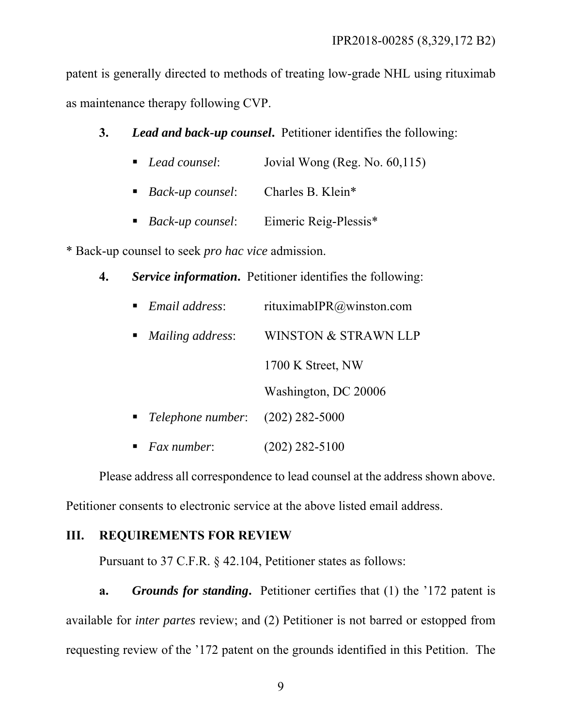patent is generally directed to methods of treating low-grade NHL using rituximab as maintenance therapy following CVP.

### **3.** *Lead and back-up counsel***.** Petitioner identifies the following:

- *Lead counsel*: Jovial Wong (Reg. No. 60,115)
- *Back-up counsel*: Charles B. Klein\*
- *Back-up counsel*: Eimeric Reig-Plessis\*

\* Back-up counsel to seek *pro hac vice* admission.

**4.** *Service information***.** Petitioner identifies the following:

| Email address:                           | rituximabIPR@winston.com        |
|------------------------------------------|---------------------------------|
| <i>Mailing address:</i>                  | <b>WINSTON &amp; STRAWN LLP</b> |
|                                          | 1700 K Street, NW               |
|                                          | Washington, DC 20006            |
| <i>Telephone number</i> : (202) 282-5000 |                                 |
| $\blacksquare$ Fax number:               | (202) 282-5100                  |

Please address all correspondence to lead counsel at the address shown above.

Petitioner consents to electronic service at the above listed email address.

### **III. REQUIREMENTS FOR REVIEW**

Pursuant to 37 C.F.R. § 42.104, Petitioner states as follows:

**a.** *Grounds for standing***.** Petitioner certifies that (1) the '172 patent is available for *inter partes* review; and (2) Petitioner is not barred or estopped from requesting review of the '172 patent on the grounds identified in this Petition. The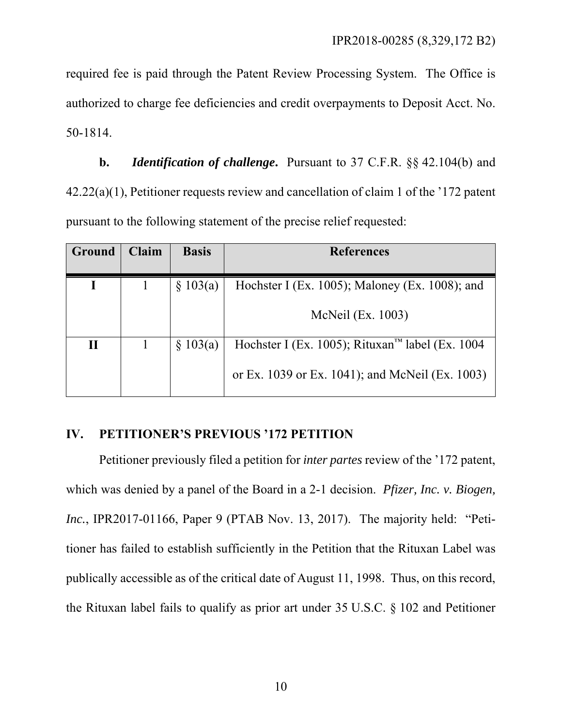required fee is paid through the Patent Review Processing System. The Office is authorized to charge fee deficiencies and credit overpayments to Deposit Acct. No. 50-1814.

**b.** *Identification of challenge***.** Pursuant to 37 C.F.R. §§ 42.104(b) and 42.22(a)(1), Petitioner requests review and cancellation of claim 1 of the '172 patent pursuant to the following statement of the precise relief requested:

| <b>Ground</b> | <b>Claim</b> | <b>Basis</b> | <b>References</b>                                           |
|---------------|--------------|--------------|-------------------------------------------------------------|
|               |              | \$103(a)     | Hochster I (Ex. 1005); Maloney (Ex. 1008); and              |
|               |              |              | McNeil (Ex. 1003)                                           |
| П             |              | \$103(a)     | Hochster I (Ex. 1005); Rituxan <sup>™</sup> label (Ex. 1004 |
|               |              |              | or Ex. 1039 or Ex. 1041); and McNeil (Ex. 1003)             |

### **IV. PETITIONER'S PREVIOUS '172 PETITION**

Petitioner previously filed a petition for *inter partes* review of the '172 patent, which was denied by a panel of the Board in a 2-1 decision. *Pfizer, Inc. v. Biogen, Inc.*, IPR2017-01166, Paper 9 (PTAB Nov. 13, 2017). The majority held: "Petitioner has failed to establish sufficiently in the Petition that the Rituxan Label was publically accessible as of the critical date of August 11, 1998. Thus, on this record, the Rituxan label fails to qualify as prior art under 35 U.S.C. § 102 and Petitioner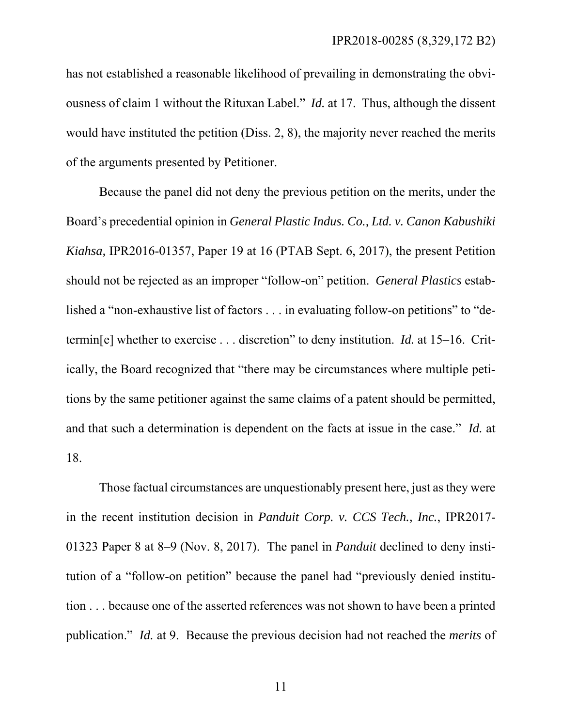has not established a reasonable likelihood of prevailing in demonstrating the obviousness of claim 1 without the Rituxan Label." *Id.* at 17. Thus, although the dissent would have instituted the petition (Diss. 2, 8), the majority never reached the merits of the arguments presented by Petitioner.

Because the panel did not deny the previous petition on the merits, under the Board's precedential opinion in *General Plastic Indus. Co., Ltd. v. Canon Kabushiki Kiahsa,* IPR2016-01357, Paper 19 at 16 (PTAB Sept. 6, 2017), the present Petition should not be rejected as an improper "follow-on" petition. *General Plastics* established a "non-exhaustive list of factors . . . in evaluating follow-on petitions" to "determin[e] whether to exercise . . . discretion" to deny institution. *Id.* at 15–16. Critically, the Board recognized that "there may be circumstances where multiple petitions by the same petitioner against the same claims of a patent should be permitted, and that such a determination is dependent on the facts at issue in the case." *Id.* at 18.

Those factual circumstances are unquestionably present here, just as they were in the recent institution decision in *Panduit Corp. v. CCS Tech., Inc.*, IPR2017- 01323 Paper 8 at 8–9 (Nov. 8, 2017). The panel in *Panduit* declined to deny institution of a "follow-on petition" because the panel had "previously denied institution . . . because one of the asserted references was not shown to have been a printed publication." *Id.* at 9. Because the previous decision had not reached the *merits* of

11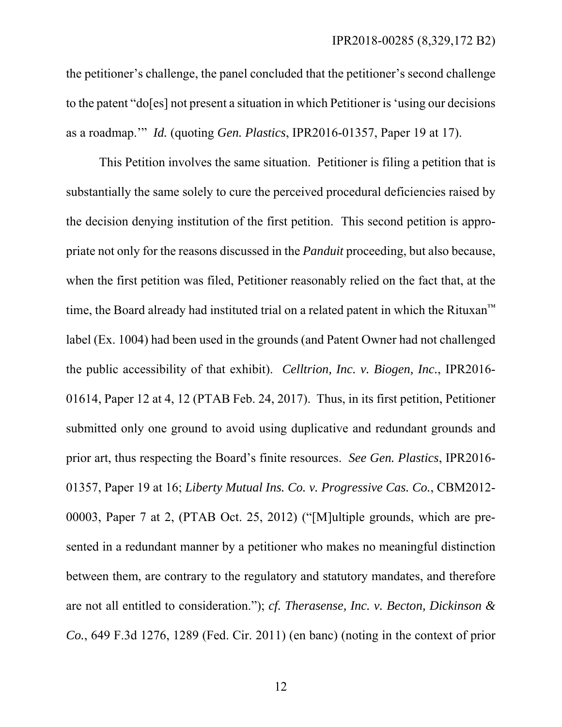the petitioner's challenge, the panel concluded that the petitioner's second challenge to the patent "do[es] not present a situation in which Petitioner is 'using our decisions as a roadmap.'" *Id.* (quoting *Gen. Plastics*, IPR2016-01357, Paper 19 at 17).

This Petition involves the same situation. Petitioner is filing a petition that is substantially the same solely to cure the perceived procedural deficiencies raised by the decision denying institution of the first petition. This second petition is appropriate not only for the reasons discussed in the *Panduit* proceeding, but also because, when the first petition was filed, Petitioner reasonably relied on the fact that, at the time, the Board already had instituted trial on a related patent in which the Rituxan™ label (Ex. 1004) had been used in the grounds (and Patent Owner had not challenged the public accessibility of that exhibit). *Celltrion, Inc. v. Biogen, Inc.*, IPR2016- 01614, Paper 12 at 4, 12 (PTAB Feb. 24, 2017). Thus, in its first petition, Petitioner submitted only one ground to avoid using duplicative and redundant grounds and prior art, thus respecting the Board's finite resources. *See Gen. Plastics*, IPR2016- 01357, Paper 19 at 16; *Liberty Mutual Ins. Co. v. Progressive Cas. Co.*, CBM2012- 00003, Paper 7 at 2, (PTAB Oct. 25, 2012) ("[M]ultiple grounds, which are presented in a redundant manner by a petitioner who makes no meaningful distinction between them, are contrary to the regulatory and statutory mandates, and therefore are not all entitled to consideration."); *cf. Therasense, Inc. v. Becton, Dickinson & Co.*, 649 F.3d 1276, 1289 (Fed. Cir. 2011) (en banc) (noting in the context of prior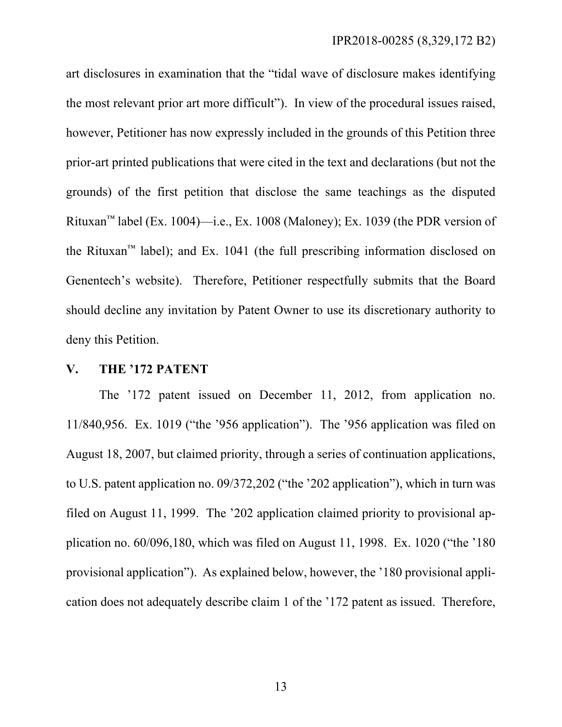art disclosures in examination that the "tidal wave of disclosure makes identifying the most relevant prior art more difficult"). In view of the procedural issues raised, however, Petitioner has now expressly included in the grounds of this Petition three prior-art printed publications that were cited in the text and declarations (but not the grounds) of the first petition that disclose the same teachings as the disputed Rituxan<sup>™</sup> label (Ex. 1004)—i.e., Ex. 1008 (Maloney); Ex. 1039 (the PDR version of the Rituxan<sup>™</sup> label); and Ex. 1041 (the full prescribing information disclosed on Genentech's website). Therefore, Petitioner respectfully submits that the Board should decline any invitation by Patent Owner to use its discretionary authority to deny this Petition.

#### **V. THE '172 PATENT**

The '172 patent issued on December 11, 2012, from application no. 11/840,956. Ex. 1019 ("the '956 application"). The '956 application was filed on August 18, 2007, but claimed priority, through a series of continuation applications, to U.S. patent application no. 09/372,202 ("the '202 application"), which in turn was filed on August 11, 1999. The '202 application claimed priority to provisional application no. 60/096,180, which was filed on August 11, 1998. Ex. 1020 ("the '180 provisional application"). As explained below, however, the '180 provisional application does not adequately describe claim 1 of the '172 patent as issued. Therefore,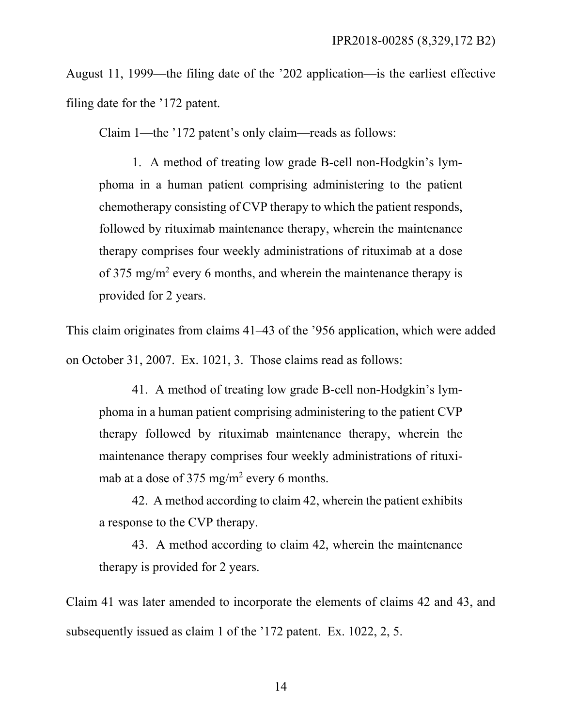August 11, 1999—the filing date of the '202 application—is the earliest effective filing date for the '172 patent.

Claim 1—the '172 patent's only claim—reads as follows:

1. A method of treating low grade B-cell non-Hodgkin's lymphoma in a human patient comprising administering to the patient chemotherapy consisting of CVP therapy to which the patient responds, followed by rituximab maintenance therapy, wherein the maintenance therapy comprises four weekly administrations of rituximab at a dose of 375 mg/m<sup>2</sup> every 6 months, and wherein the maintenance therapy is provided for 2 years.

This claim originates from claims 41–43 of the '956 application, which were added on October 31, 2007. Ex. 1021, 3. Those claims read as follows:

41. A method of treating low grade B-cell non-Hodgkin's lymphoma in a human patient comprising administering to the patient CVP therapy followed by rituximab maintenance therapy, wherein the maintenance therapy comprises four weekly administrations of rituximab at a dose of  $375 \text{ mg/m}^2$  every 6 months.

42. A method according to claim 42, wherein the patient exhibits a response to the CVP therapy.

43. A method according to claim 42, wherein the maintenance therapy is provided for 2 years.

Claim 41 was later amended to incorporate the elements of claims 42 and 43, and subsequently issued as claim 1 of the '172 patent. Ex. 1022, 2, 5.

14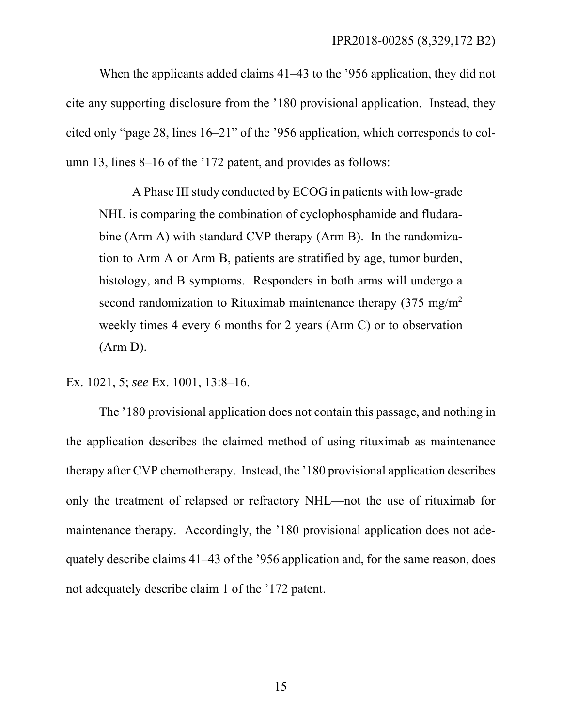When the applicants added claims 41–43 to the '956 application, they did not cite any supporting disclosure from the '180 provisional application. Instead, they cited only "page 28, lines 16–21" of the '956 application, which corresponds to column 13, lines 8–16 of the '172 patent, and provides as follows:

A Phase III study conducted by ECOG in patients with low-grade NHL is comparing the combination of cyclophosphamide and fludarabine (Arm A) with standard CVP therapy (Arm B). In the randomization to Arm A or Arm B, patients are stratified by age, tumor burden, histology, and B symptoms. Responders in both arms will undergo a second randomization to Rituximab maintenance therapy  $(375 \text{ mg/m}^2)$ weekly times 4 every 6 months for 2 years (Arm C) or to observation (Arm D).

Ex. 1021, 5; *see* Ex. 1001, 13:8–16.

The '180 provisional application does not contain this passage, and nothing in the application describes the claimed method of using rituximab as maintenance therapy after CVP chemotherapy. Instead, the '180 provisional application describes only the treatment of relapsed or refractory NHL—not the use of rituximab for maintenance therapy. Accordingly, the '180 provisional application does not adequately describe claims 41–43 of the '956 application and, for the same reason, does not adequately describe claim 1 of the '172 patent.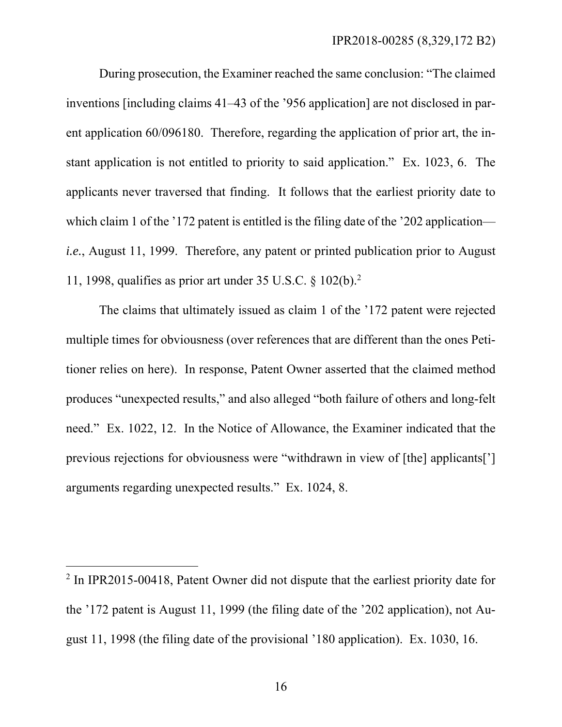During prosecution, the Examiner reached the same conclusion: "The claimed inventions [including claims 41–43 of the '956 application] are not disclosed in parent application 60/096180. Therefore, regarding the application of prior art, the instant application is not entitled to priority to said application." Ex. 1023, 6. The applicants never traversed that finding. It follows that the earliest priority date to which claim 1 of the '172 patent is entitled is the filing date of the '202 application *i.e.*, August 11, 1999. Therefore, any patent or printed publication prior to August 11, 1998, qualifies as prior art under 35 U.S.C. § 102(b).2

The claims that ultimately issued as claim 1 of the '172 patent were rejected multiple times for obviousness (over references that are different than the ones Petitioner relies on here). In response, Patent Owner asserted that the claimed method produces "unexpected results," and also alleged "both failure of others and long-felt need." Ex. 1022, 12. In the Notice of Allowance, the Examiner indicated that the previous rejections for obviousness were "withdrawn in view of [the] applicants['] arguments regarding unexpected results." Ex. 1024, 8.

 $\overline{a}$ 

<sup>&</sup>lt;sup>2</sup> In IPR2015-00418, Patent Owner did not dispute that the earliest priority date for the '172 patent is August 11, 1999 (the filing date of the '202 application), not August 11, 1998 (the filing date of the provisional '180 application). Ex. 1030, 16.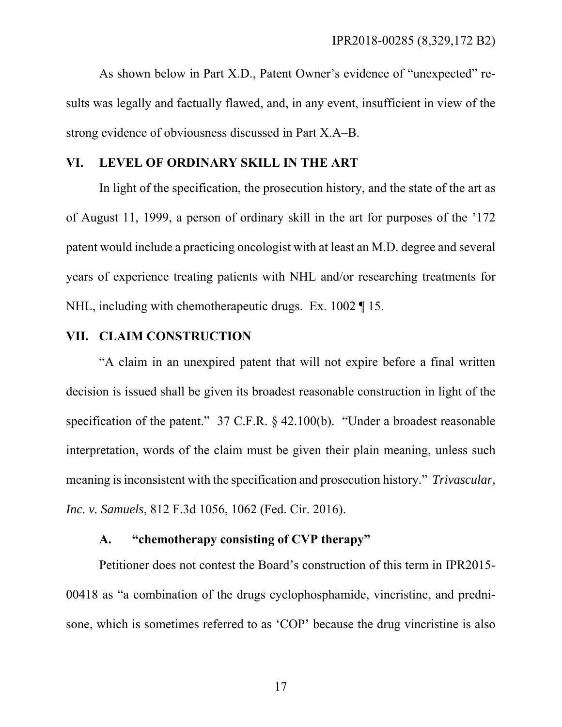As shown below in Part X.D., Patent Owner's evidence of "unexpected" results was legally and factually flawed, and, in any event, insufficient in view of the strong evidence of obviousness discussed in Part X.A–B.

### **VI. LEVEL OF ORDINARY SKILL IN THE ART**

In light of the specification, the prosecution history, and the state of the art as of August 11, 1999, a person of ordinary skill in the art for purposes of the '172 patent would include a practicing oncologist with at least an M.D. degree and several years of experience treating patients with NHL and/or researching treatments for NHL, including with chemotherapeutic drugs. Ex. 1002 ¶ 15.

#### **VII. CLAIM CONSTRUCTION**

"A claim in an unexpired patent that will not expire before a final written decision is issued shall be given its broadest reasonable construction in light of the specification of the patent." 37 C.F.R. § 42.100(b). "Under a broadest reasonable interpretation, words of the claim must be given their plain meaning, unless such meaning is inconsistent with the specification and prosecution history." *Trivascular, Inc. v. Samuels*, 812 F.3d 1056, 1062 (Fed. Cir. 2016).

### **A. "chemotherapy consisting of CVP therapy"**

Petitioner does not contest the Board's construction of this term in IPR2015- 00418 as "a combination of the drugs cyclophosphamide, vincristine, and prednisone, which is sometimes referred to as 'COP' because the drug vincristine is also

17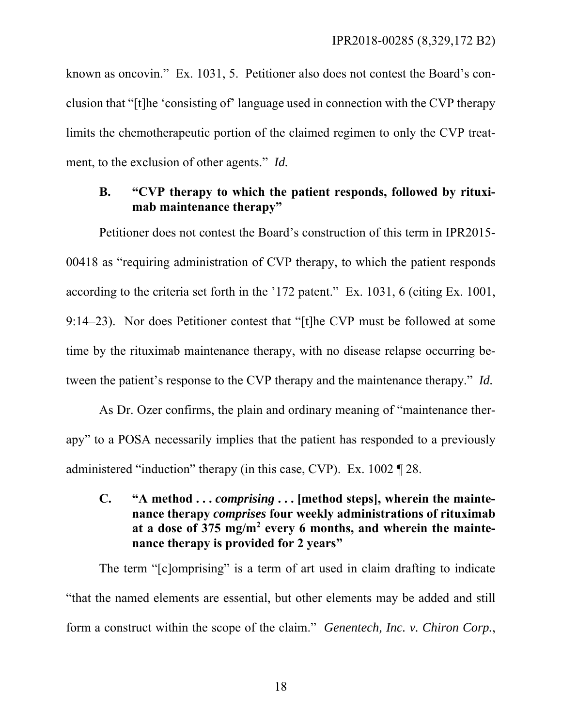known as oncovin." Ex. 1031, 5. Petitioner also does not contest the Board's conclusion that "[t]he 'consisting of' language used in connection with the CVP therapy limits the chemotherapeutic portion of the claimed regimen to only the CVP treatment, to the exclusion of other agents." *Id.*

### **B. "CVP therapy to which the patient responds, followed by rituximab maintenance therapy"**

Petitioner does not contest the Board's construction of this term in IPR2015- 00418 as "requiring administration of CVP therapy, to which the patient responds according to the criteria set forth in the '172 patent." Ex. 1031, 6 (citing Ex. 1001, 9:14–23). Nor does Petitioner contest that "[t]he CVP must be followed at some time by the rituximab maintenance therapy, with no disease relapse occurring between the patient's response to the CVP therapy and the maintenance therapy." *Id.*

As Dr. Ozer confirms, the plain and ordinary meaning of "maintenance therapy" to a POSA necessarily implies that the patient has responded to a previously administered "induction" therapy (in this case, CVP). Ex. 1002 ¶ 28.

**C.** "A method ... *comprising* ... [method steps], wherein the mainte**nance therapy** *comprises* **four weekly administrations of rituximab at a dose of 375 mg/m<sup>2</sup> every 6 months, and wherein the maintenance therapy is provided for 2 years"** 

The term "[c]omprising" is a term of art used in claim drafting to indicate "that the named elements are essential, but other elements may be added and still form a construct within the scope of the claim." *Genentech, Inc. v. Chiron Corp.*,

18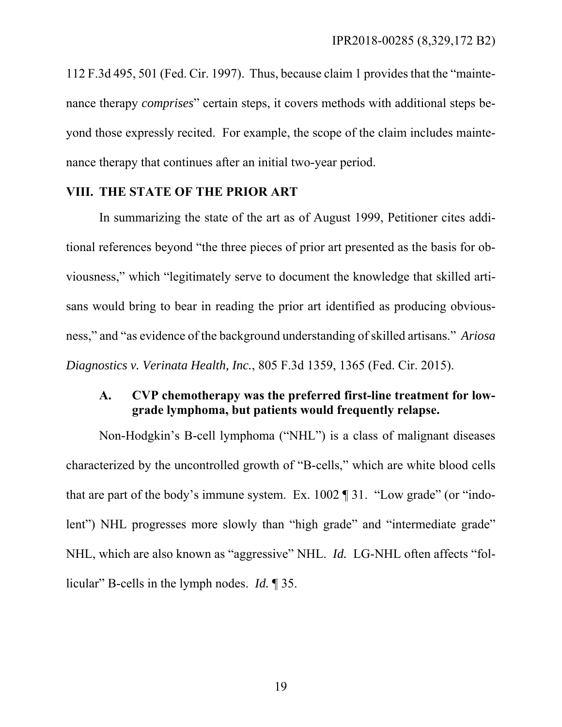112 F.3d 495, 501 (Fed. Cir. 1997). Thus, because claim 1 provides that the "maintenance therapy *comprises*" certain steps, it covers methods with additional steps beyond those expressly recited. For example, the scope of the claim includes maintenance therapy that continues after an initial two-year period.

### **VIII. THE STATE OF THE PRIOR ART**

In summarizing the state of the art as of August 1999, Petitioner cites additional references beyond "the three pieces of prior art presented as the basis for obviousness," which "legitimately serve to document the knowledge that skilled artisans would bring to bear in reading the prior art identified as producing obviousness," and "as evidence of the background understanding of skilled artisans." *Ariosa Diagnostics v. Verinata Health, Inc.*, 805 F.3d 1359, 1365 (Fed. Cir. 2015).

### **A. CVP chemotherapy was the preferred first-line treatment for lowgrade lymphoma, but patients would frequently relapse.**

Non-Hodgkin's B-cell lymphoma ("NHL") is a class of malignant diseases characterized by the uncontrolled growth of "B-cells," which are white blood cells that are part of the body's immune system. Ex. 1002 ¶ 31. "Low grade" (or "indolent") NHL progresses more slowly than "high grade" and "intermediate grade" NHL, which are also known as "aggressive" NHL. *Id.* LG-NHL often affects "follicular" B-cells in the lymph nodes. *Id.* ¶ 35.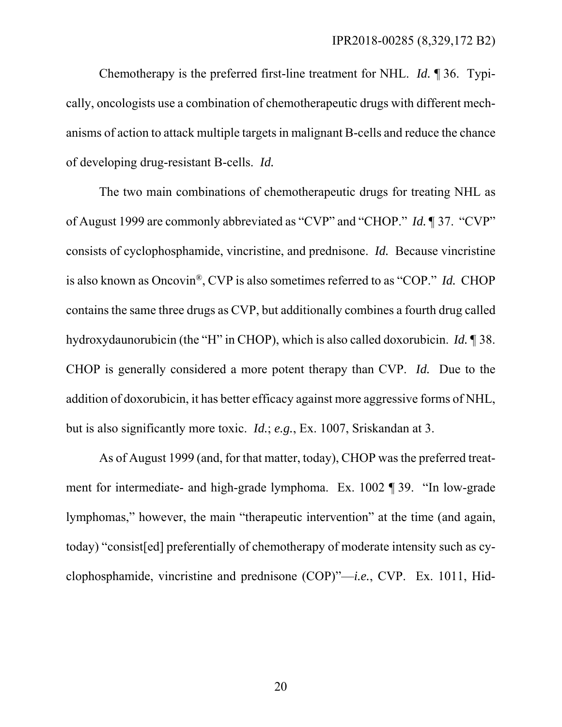Chemotherapy is the preferred first-line treatment for NHL. *Id.* ¶ 36. Typically, oncologists use a combination of chemotherapeutic drugs with different mechanisms of action to attack multiple targets in malignant B-cells and reduce the chance of developing drug-resistant B-cells. *Id.*

The two main combinations of chemotherapeutic drugs for treating NHL as of August 1999 are commonly abbreviated as "CVP" and "CHOP." *Id.* ¶ 37. "CVP" consists of cyclophosphamide, vincristine, and prednisone. *Id.* Because vincristine is also known as Oncovin®, CVP is also sometimes referred to as "COP." *Id.* CHOP contains the same three drugs as CVP, but additionally combines a fourth drug called hydroxydaunorubicin (the "H" in CHOP), which is also called doxorubicin. *Id.* ¶ 38. CHOP is generally considered a more potent therapy than CVP. *Id.* Due to the addition of doxorubicin, it has better efficacy against more aggressive forms of NHL, but is also significantly more toxic. *Id.*; *e.g.*, Ex. 1007, Sriskandan at 3.

As of August 1999 (and, for that matter, today), CHOP was the preferred treatment for intermediate- and high-grade lymphoma. Ex. 1002 ¶ 39. "In low-grade lymphomas," however, the main "therapeutic intervention" at the time (and again, today) "consist[ed] preferentially of chemotherapy of moderate intensity such as cyclophosphamide, vincristine and prednisone (COP)"—*i.e.*, CVP. Ex. 1011, Hid-

20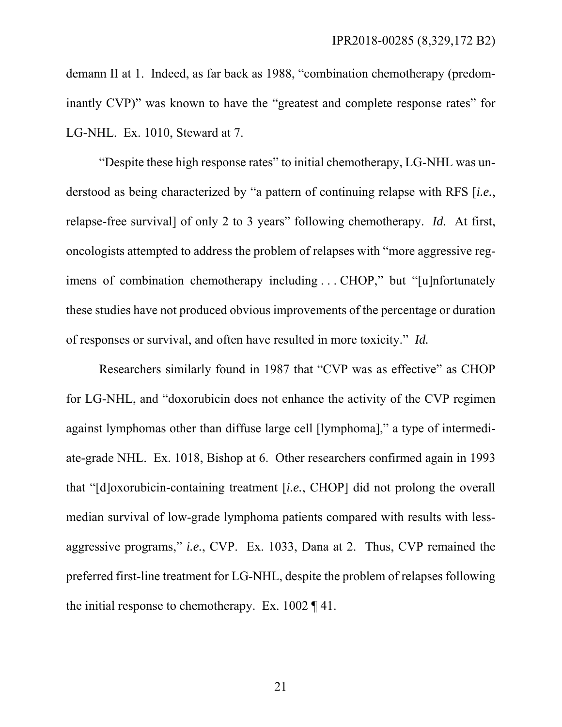demann II at 1. Indeed, as far back as 1988, "combination chemotherapy (predominantly CVP)" was known to have the "greatest and complete response rates" for LG-NHL. Ex. 1010, Steward at 7.

"Despite these high response rates" to initial chemotherapy, LG-NHL was understood as being characterized by "a pattern of continuing relapse with RFS [*i.e.*, relapse-free survival] of only 2 to 3 years" following chemotherapy. *Id.* At first, oncologists attempted to address the problem of relapses with "more aggressive regimens of combination chemotherapy including . . . CHOP," but "[u]nfortunately these studies have not produced obvious improvements of the percentage or duration of responses or survival, and often have resulted in more toxicity." *Id.*

Researchers similarly found in 1987 that "CVP was as effective" as CHOP for LG-NHL, and "doxorubicin does not enhance the activity of the CVP regimen against lymphomas other than diffuse large cell [lymphoma]," a type of intermediate-grade NHL. Ex. 1018, Bishop at 6. Other researchers confirmed again in 1993 that "[d]oxorubicin-containing treatment [*i.e.*, CHOP] did not prolong the overall median survival of low-grade lymphoma patients compared with results with lessaggressive programs," *i.e.*, CVP. Ex. 1033, Dana at 2. Thus, CVP remained the preferred first-line treatment for LG-NHL, despite the problem of relapses following the initial response to chemotherapy. Ex. 1002 ¶ 41.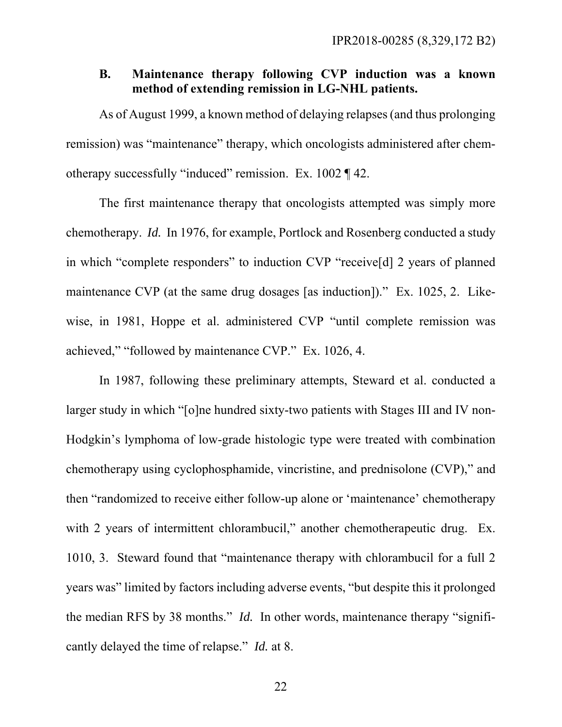### **B. Maintenance therapy following CVP induction was a known method of extending remission in LG-NHL patients.**

As of August 1999, a known method of delaying relapses (and thus prolonging remission) was "maintenance" therapy, which oncologists administered after chemotherapy successfully "induced" remission. Ex. 1002 ¶ 42.

The first maintenance therapy that oncologists attempted was simply more chemotherapy. *Id.* In 1976, for example, Portlock and Rosenberg conducted a study in which "complete responders" to induction CVP "receive[d] 2 years of planned maintenance CVP (at the same drug dosages [as induction])." Ex. 1025, 2. Likewise, in 1981, Hoppe et al. administered CVP "until complete remission was achieved," "followed by maintenance CVP." Ex. 1026, 4.

In 1987, following these preliminary attempts, Steward et al. conducted a larger study in which "[o]ne hundred sixty-two patients with Stages III and IV non-Hodgkin's lymphoma of low-grade histologic type were treated with combination chemotherapy using cyclophosphamide, vincristine, and prednisolone (CVP)," and then "randomized to receive either follow-up alone or 'maintenance' chemotherapy with 2 years of intermittent chlorambucil," another chemotherapeutic drug. Ex. 1010, 3. Steward found that "maintenance therapy with chlorambucil for a full 2 years was" limited by factors including adverse events, "but despite this it prolonged the median RFS by 38 months." *Id.* In other words, maintenance therapy "significantly delayed the time of relapse." *Id.* at 8.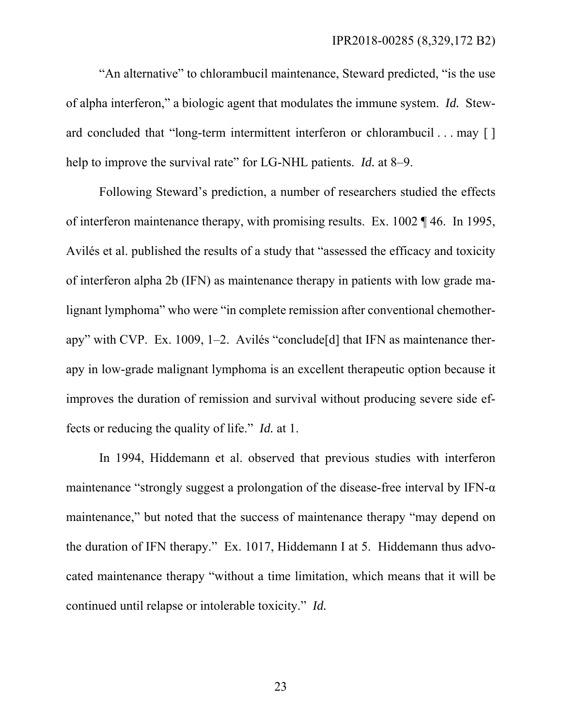"An alternative" to chlorambucil maintenance, Steward predicted, "is the use of alpha interferon," a biologic agent that modulates the immune system. *Id.* Steward concluded that "long-term intermittent interferon or chlorambucil . . . may [ ] help to improve the survival rate" for LG-NHL patients. *Id.* at 8–9.

Following Steward's prediction, a number of researchers studied the effects of interferon maintenance therapy, with promising results. Ex. 1002 ¶ 46. In 1995, Avilés et al. published the results of a study that "assessed the efficacy and toxicity of interferon alpha 2b (IFN) as maintenance therapy in patients with low grade malignant lymphoma" who were "in complete remission after conventional chemotherapy" with CVP. Ex. 1009, 1–2. Avilés "conclude[d] that IFN as maintenance therapy in low-grade malignant lymphoma is an excellent therapeutic option because it improves the duration of remission and survival without producing severe side effects or reducing the quality of life." *Id.* at 1.

In 1994, Hiddemann et al. observed that previous studies with interferon maintenance "strongly suggest a prolongation of the disease-free interval by IFN- $\alpha$ maintenance," but noted that the success of maintenance therapy "may depend on the duration of IFN therapy." Ex. 1017, Hiddemann I at 5. Hiddemann thus advocated maintenance therapy "without a time limitation, which means that it will be continued until relapse or intolerable toxicity." *Id.*

23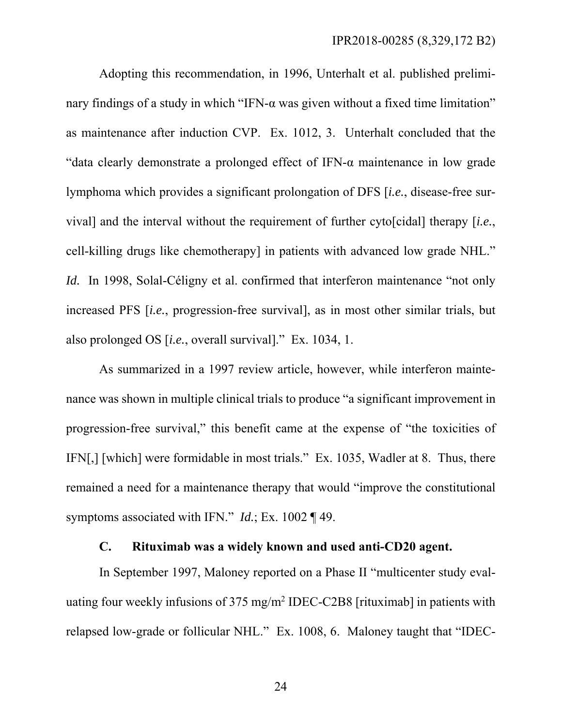Adopting this recommendation, in 1996, Unterhalt et al. published preliminary findings of a study in which "IFN- $\alpha$  was given without a fixed time limitation" as maintenance after induction CVP. Ex. 1012, 3. Unterhalt concluded that the "data clearly demonstrate a prolonged effect of IFN-α maintenance in low grade lymphoma which provides a significant prolongation of DFS [*i.e.*, disease-free survival] and the interval without the requirement of further cyto[cidal] therapy [*i.e.*, cell-killing drugs like chemotherapy] in patients with advanced low grade NHL." *Id.* In 1998, Solal-Céligny et al. confirmed that interferon maintenance "not only increased PFS [*i.e.*, progression-free survival], as in most other similar trials, but also prolonged OS [*i.e.*, overall survival]." Ex. 1034, 1.

As summarized in a 1997 review article, however, while interferon maintenance was shown in multiple clinical trials to produce "a significant improvement in progression-free survival," this benefit came at the expense of "the toxicities of IFN[,] [which] were formidable in most trials." Ex. 1035, Wadler at 8. Thus, there remained a need for a maintenance therapy that would "improve the constitutional symptoms associated with IFN." *Id.*; Ex. 1002 ¶ 49.

# **C. Rituximab was a widely known and used anti-CD20 agent.**

In September 1997, Maloney reported on a Phase II "multicenter study evaluating four weekly infusions of 375 mg/m<sup>2</sup> IDEC-C2B8 [rituximab] in patients with relapsed low-grade or follicular NHL." Ex. 1008, 6. Maloney taught that "IDEC-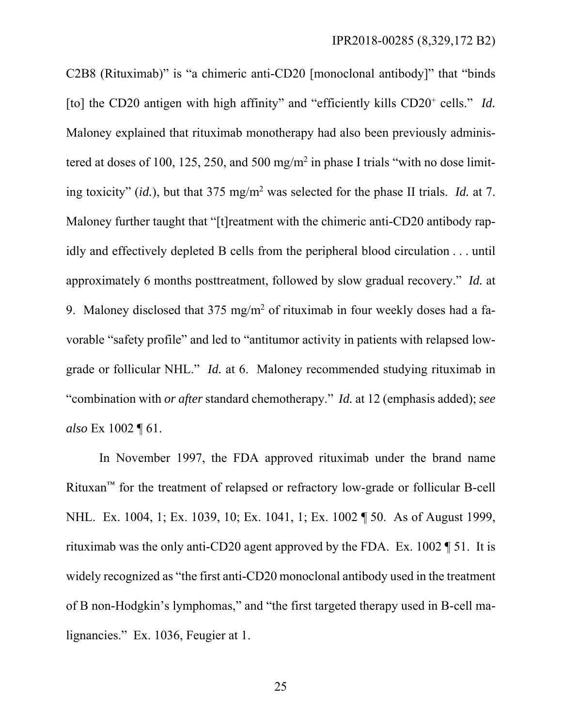C2B8 (Rituximab)" is "a chimeric anti-CD20 [monoclonal antibody]" that "binds [to] the CD20 antigen with high affinity" and "efficiently kills CD20<sup>+</sup> cells." *Id.* Maloney explained that rituximab monotherapy had also been previously administered at doses of 100, 125, 250, and 500 mg/m<sup>2</sup> in phase I trials "with no dose limiting toxicity" (*id.*), but that 375 mg/m2 was selected for the phase II trials. *Id.* at 7. Maloney further taught that "[t]reatment with the chimeric anti-CD20 antibody rapidly and effectively depleted B cells from the peripheral blood circulation . . . until approximately 6 months posttreatment, followed by slow gradual recovery." *Id.* at 9. Maloney disclosed that  $375 \text{ mg/m}^2$  of rituximab in four weekly doses had a favorable "safety profile" and led to "antitumor activity in patients with relapsed lowgrade or follicular NHL." *Id.* at 6. Maloney recommended studying rituximab in "combination with *or after* standard chemotherapy." *Id.* at 12 (emphasis added); *see also* Ex 1002 ¶ 61.

In November 1997, the FDA approved rituximab under the brand name Rituxan™ for the treatment of relapsed or refractory low-grade or follicular B-cell NHL. Ex. 1004, 1; Ex. 1039, 10; Ex. 1041, 1; Ex. 1002 ¶ 50. As of August 1999, rituximab was the only anti-CD20 agent approved by the FDA. Ex. 1002 ¶ 51. It is widely recognized as "the first anti-CD20 monoclonal antibody used in the treatment of B non-Hodgkin's lymphomas," and "the first targeted therapy used in B-cell malignancies." Ex. 1036, Feugier at 1.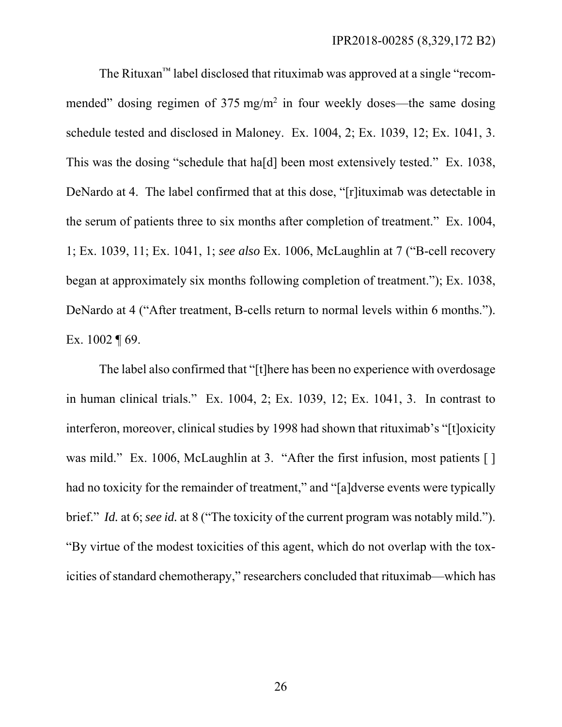The Rituxan™ label disclosed that rituximab was approved at a single "recommended" dosing regimen of  $375 \text{ mg/m}^2$  in four weekly doses—the same dosing schedule tested and disclosed in Maloney. Ex. 1004, 2; Ex. 1039, 12; Ex. 1041, 3. This was the dosing "schedule that ha[d] been most extensively tested." Ex. 1038, DeNardo at 4. The label confirmed that at this dose, "[r]ituximab was detectable in the serum of patients three to six months after completion of treatment." Ex. 1004, 1; Ex. 1039, 11; Ex. 1041, 1; *see also* Ex. 1006, McLaughlin at 7 ("B-cell recovery began at approximately six months following completion of treatment."); Ex. 1038, DeNardo at 4 ("After treatment, B-cells return to normal levels within 6 months."). Ex. 1002 ¶ 69.

The label also confirmed that "[t]here has been no experience with overdosage in human clinical trials." Ex. 1004, 2; Ex. 1039, 12; Ex. 1041, 3. In contrast to interferon, moreover, clinical studies by 1998 had shown that rituximab's "[t]oxicity was mild." Ex. 1006, McLaughlin at 3. "After the first infusion, most patients [] had no toxicity for the remainder of treatment," and "[a]dverse events were typically brief." *Id.* at 6; *see id.* at 8 ("The toxicity of the current program was notably mild."). "By virtue of the modest toxicities of this agent, which do not overlap with the toxicities of standard chemotherapy," researchers concluded that rituximab—which has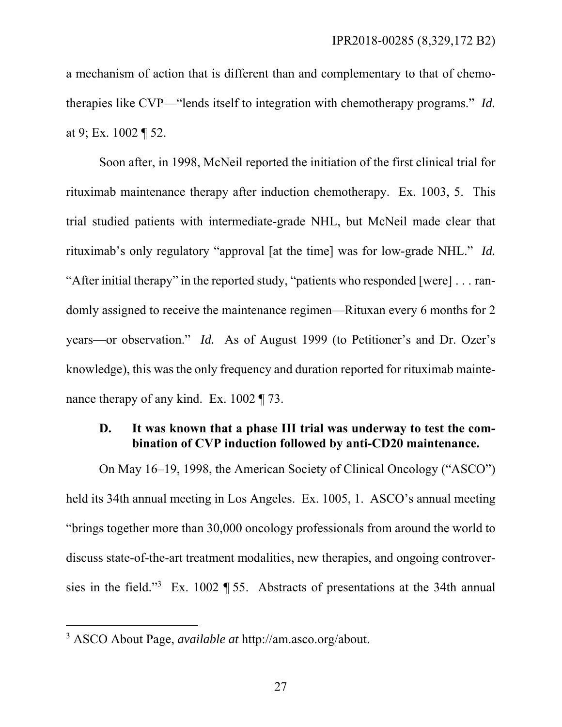a mechanism of action that is different than and complementary to that of chemotherapies like CVP—"lends itself to integration with chemotherapy programs." *Id.* at 9; Ex. 1002 ¶ 52.

Soon after, in 1998, McNeil reported the initiation of the first clinical trial for rituximab maintenance therapy after induction chemotherapy. Ex. 1003, 5. This trial studied patients with intermediate-grade NHL, but McNeil made clear that rituximab's only regulatory "approval [at the time] was for low-grade NHL." *Id.* "After initial therapy" in the reported study, "patients who responded [were] . . . randomly assigned to receive the maintenance regimen—Rituxan every 6 months for 2 years—or observation." *Id.* As of August 1999 (to Petitioner's and Dr. Ozer's knowledge), this was the only frequency and duration reported for rituximab maintenance therapy of any kind. Ex. 1002 ¶ 73.

# **D. It was known that a phase III trial was underway to test the combination of CVP induction followed by anti-CD20 maintenance.**

On May 16–19, 1998, the American Society of Clinical Oncology ("ASCO") held its 34th annual meeting in Los Angeles. Ex. 1005, 1. ASCO's annual meeting "brings together more than 30,000 oncology professionals from around the world to discuss state-of-the-art treatment modalities, new therapies, and ongoing controversies in the field."3 Ex. 1002 ¶ 55. Abstracts of presentations at the 34th annual

 $\overline{a}$ 

<sup>3</sup> ASCO About Page, *available at* http://am.asco.org/about.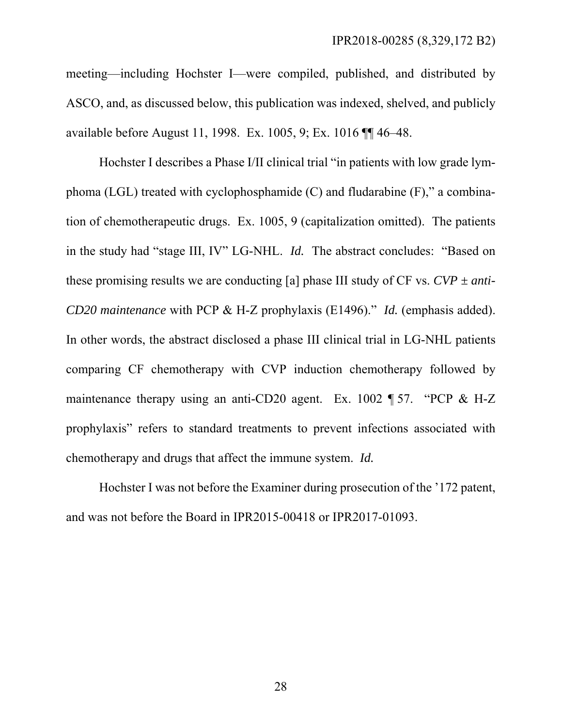meeting—including Hochster I—were compiled, published, and distributed by ASCO, and, as discussed below, this publication was indexed, shelved, and publicly available before August 11, 1998. Ex. 1005, 9; Ex. 1016 ¶¶ 46–48.

Hochster I describes a Phase I/II clinical trial "in patients with low grade lymphoma (LGL) treated with cyclophosphamide (C) and fludarabine (F)," a combination of chemotherapeutic drugs. Ex. 1005, 9 (capitalization omitted). The patients in the study had "stage III, IV" LG-NHL. *Id.* The abstract concludes: "Based on these promising results we are conducting [a] phase III study of  $CF$  vs.  $CVP \pm anti-$ *CD20 maintenance* with PCP & H-Z prophylaxis (E1496)." *Id.* (emphasis added). In other words, the abstract disclosed a phase III clinical trial in LG-NHL patients comparing CF chemotherapy with CVP induction chemotherapy followed by maintenance therapy using an anti-CD20 agent. Ex. 1002 ¶ 57. "PCP & H-Z prophylaxis" refers to standard treatments to prevent infections associated with chemotherapy and drugs that affect the immune system. *Id.*

Hochster I was not before the Examiner during prosecution of the '172 patent, and was not before the Board in IPR2015-00418 or IPR2017-01093.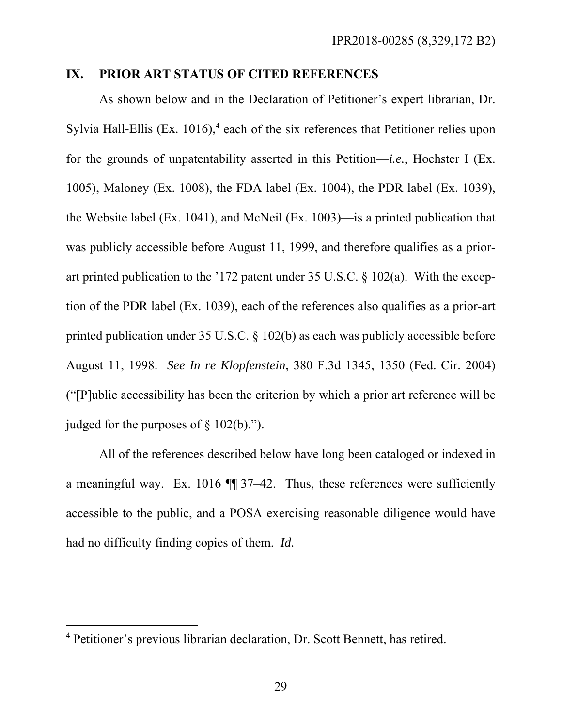#### **IX. PRIOR ART STATUS OF CITED REFERENCES**

As shown below and in the Declaration of Petitioner's expert librarian, Dr. Sylvia Hall-Ellis (Ex.  $1016$ ),<sup>4</sup> each of the six references that Petitioner relies upon for the grounds of unpatentability asserted in this Petition—*i.e.*, Hochster I (Ex. 1005), Maloney (Ex. 1008), the FDA label (Ex. 1004), the PDR label (Ex. 1039), the Website label (Ex. 1041), and McNeil (Ex. 1003)—is a printed publication that was publicly accessible before August 11, 1999, and therefore qualifies as a priorart printed publication to the '172 patent under 35 U.S.C. § 102(a). With the exception of the PDR label (Ex. 1039), each of the references also qualifies as a prior-art printed publication under 35 U.S.C. § 102(b) as each was publicly accessible before August 11, 1998. *See In re Klopfenstein*, 380 F.3d 1345, 1350 (Fed. Cir. 2004) ("[P]ublic accessibility has been the criterion by which a prior art reference will be judged for the purposes of  $\S$  102(b).").

All of the references described below have long been cataloged or indexed in a meaningful way. Ex. 1016 ¶¶ 37–42. Thus, these references were sufficiently accessible to the public, and a POSA exercising reasonable diligence would have had no difficulty finding copies of them. *Id.*

 $\overline{a}$ 

<sup>4</sup> Petitioner's previous librarian declaration, Dr. Scott Bennett, has retired.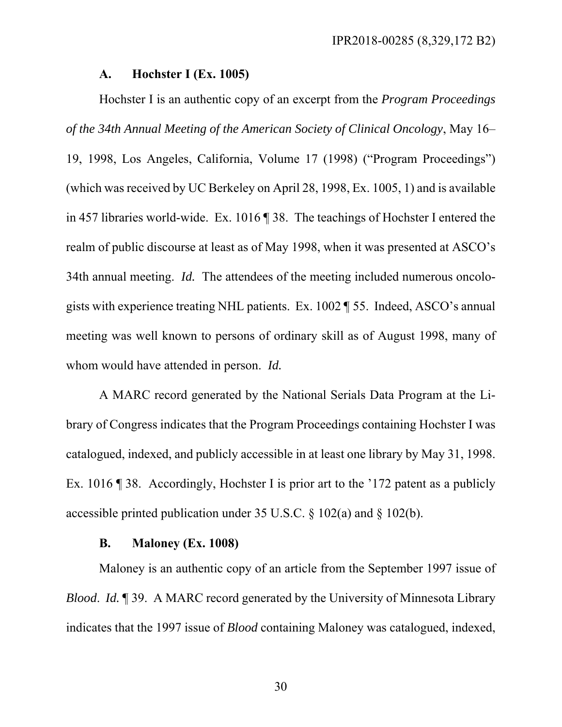#### **A. Hochster I (Ex. 1005)**

Hochster I is an authentic copy of an excerpt from the *Program Proceedings of the 34th Annual Meeting of the American Society of Clinical Oncology*, May 16–

19, 1998, Los Angeles, California, Volume 17 (1998) ("Program Proceedings") (which was received by UC Berkeley on April 28, 1998, Ex. 1005, 1) and is available in 457 libraries world-wide. Ex. 1016 ¶ 38. The teachings of Hochster I entered the realm of public discourse at least as of May 1998, when it was presented at ASCO's 34th annual meeting. *Id.* The attendees of the meeting included numerous oncologists with experience treating NHL patients. Ex. 1002 ¶ 55. Indeed, ASCO's annual meeting was well known to persons of ordinary skill as of August 1998, many of whom would have attended in person. *Id.* 

A MARC record generated by the National Serials Data Program at the Library of Congress indicates that the Program Proceedings containing Hochster I was catalogued, indexed, and publicly accessible in at least one library by May 31, 1998. Ex. 1016 ¶ 38. Accordingly, Hochster I is prior art to the '172 patent as a publicly accessible printed publication under 35 U.S.C. § 102(a) and § 102(b).

### **B. Maloney (Ex. 1008)**

Maloney is an authentic copy of an article from the September 1997 issue of *Blood. Id.* 199. A MARC record generated by the University of Minnesota Library indicates that the 1997 issue of *Blood* containing Maloney was catalogued, indexed,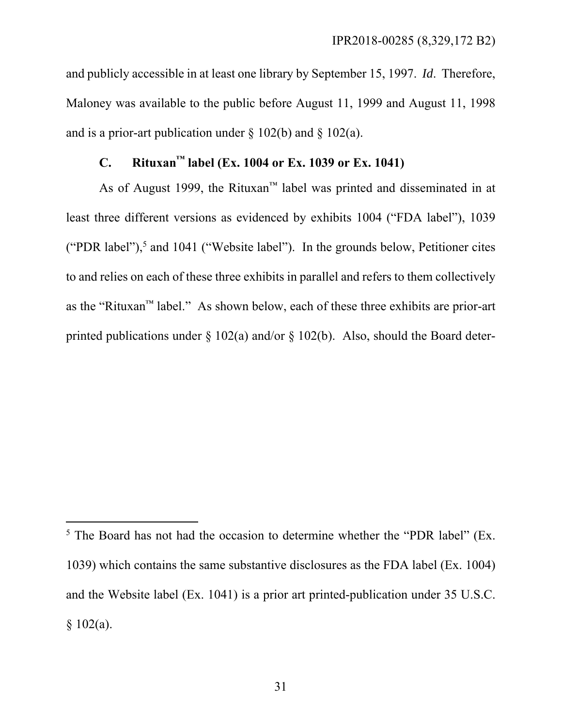and publicly accessible in at least one library by September 15, 1997. *Id*. Therefore, Maloney was available to the public before August 11, 1999 and August 11, 1998 and is a prior-art publication under  $\S$  102(b) and  $\S$  102(a).

# **C. Rituxan™ label (Ex. 1004 or Ex. 1039 or Ex. 1041)**

As of August 1999, the Rituxan™ label was printed and disseminated in at least three different versions as evidenced by exhibits 1004 ("FDA label"), 1039 ("PDR label"),<sup>5</sup> and 1041 ("Website label"). In the grounds below, Petitioner cites to and relies on each of these three exhibits in parallel and refers to them collectively as the "Rituxan™ label." As shown below, each of these three exhibits are prior-art printed publications under  $\S$  102(a) and/or  $\S$  102(b). Also, should the Board deter-

 $\overline{a}$ 

<sup>&</sup>lt;sup>5</sup> The Board has not had the occasion to determine whether the "PDR label" (Ex. 1039) which contains the same substantive disclosures as the FDA label (Ex. 1004) and the Website label (Ex. 1041) is a prior art printed-publication under 35 U.S.C.  $§ 102(a).$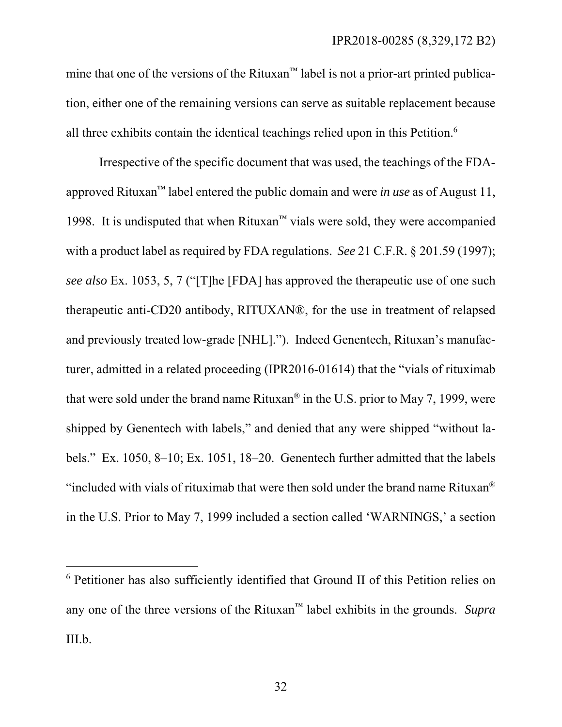mine that one of the versions of the Rituxan™ label is not a prior-art printed publication, either one of the remaining versions can serve as suitable replacement because all three exhibits contain the identical teachings relied upon in this Petition.6

Irrespective of the specific document that was used, the teachings of the FDAapproved Rituxan™ label entered the public domain and were *in use* as of August 11, 1998. It is undisputed that when Rituxan<sup>™</sup> vials were sold, they were accompanied with a product label as required by FDA regulations. *See* 21 C.F.R. § 201.59 (1997); *see also* Ex. 1053, 5, 7 ("[T]he [FDA] has approved the therapeutic use of one such therapeutic anti-CD20 antibody, RITUXAN®, for the use in treatment of relapsed and previously treated low-grade [NHL]."). Indeed Genentech, Rituxan's manufacturer, admitted in a related proceeding (IPR2016-01614) that the "vials of rituximab that were sold under the brand name Rituxan® in the U.S. prior to May 7, 1999, were shipped by Genentech with labels," and denied that any were shipped "without labels." Ex. 1050, 8–10; Ex. 1051, 18–20. Genentech further admitted that the labels "included with vials of rituximab that were then sold under the brand name Rituxan® in the U.S. Prior to May 7, 1999 included a section called 'WARNINGS,' a section

 $\overline{a}$ 

<sup>6</sup> Petitioner has also sufficiently identified that Ground II of this Petition relies on any one of the three versions of the Rituxan™ label exhibits in the grounds. *Supra*  III.b.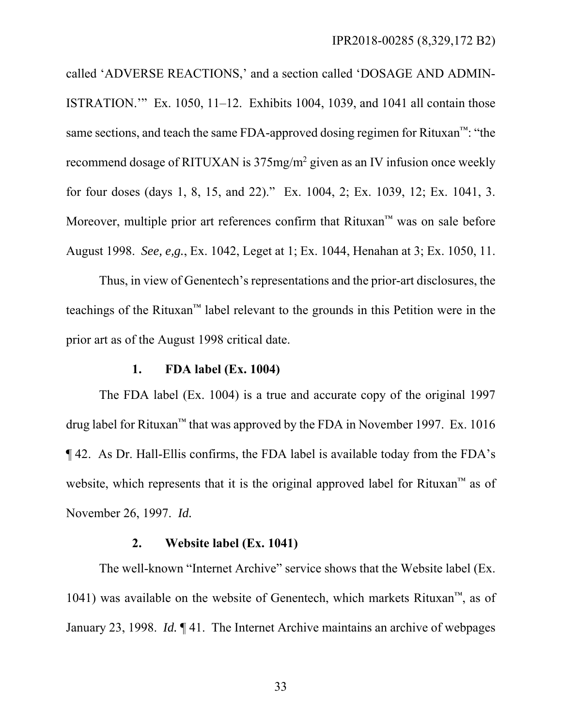called 'ADVERSE REACTIONS,' and a section called 'DOSAGE AND ADMIN-ISTRATION.'" Ex. 1050, 11–12. Exhibits 1004, 1039, and 1041 all contain those same sections, and teach the same FDA-approved dosing regimen for Rituxan™: "the recommend dosage of RITUXAN is 375mg/m<sup>2</sup> given as an IV infusion once weekly for four doses (days 1, 8, 15, and 22)." Ex. 1004, 2; Ex. 1039, 12; Ex. 1041, 3. Moreover, multiple prior art references confirm that Rituxan™ was on sale before August 1998. *See, e,g.*, Ex. 1042, Leget at 1; Ex. 1044, Henahan at 3; Ex. 1050, 11.

Thus, in view of Genentech's representations and the prior-art disclosures, the teachings of the Rituxan™ label relevant to the grounds in this Petition were in the prior art as of the August 1998 critical date.

#### **1. FDA label (Ex. 1004)**

The FDA label (Ex. 1004) is a true and accurate copy of the original 1997 drug label for Rituxan<sup>™</sup> that was approved by the FDA in November 1997. Ex. 1016 ¶ 42. As Dr. Hall-Ellis confirms, the FDA label is available today from the FDA's website, which represents that it is the original approved label for Rituxan™ as of November 26, 1997. *Id.*

### **2. Website label (Ex. 1041)**

The well-known "Internet Archive" service shows that the Website label (Ex. 1041) was available on the website of Genentech, which markets Rituxan<sup>™</sup>, as of January 23, 1998. *Id.* ¶ 41. The Internet Archive maintains an archive of webpages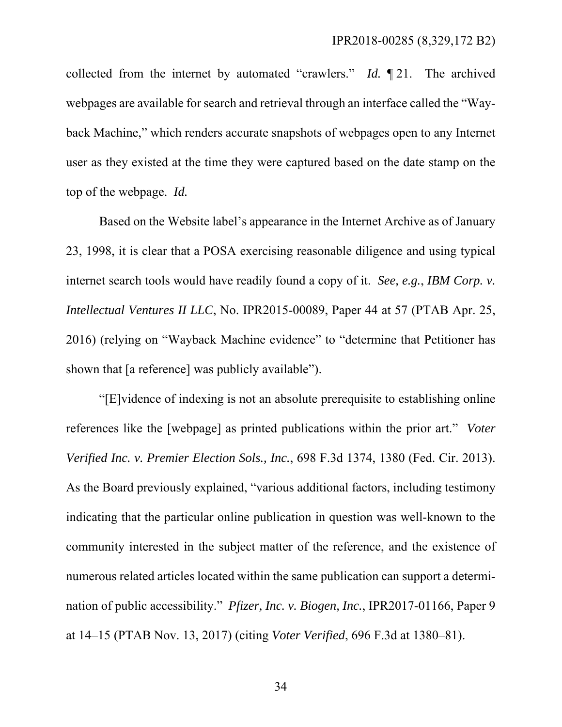collected from the internet by automated "crawlers." *Id.* ¶ 21. The archived webpages are available for search and retrieval through an interface called the "Wayback Machine," which renders accurate snapshots of webpages open to any Internet user as they existed at the time they were captured based on the date stamp on the top of the webpage. *Id.*

Based on the Website label's appearance in the Internet Archive as of January 23, 1998, it is clear that a POSA exercising reasonable diligence and using typical internet search tools would have readily found a copy of it. *See, e.g.*, *IBM Corp. v. Intellectual Ventures II LLC*, No. IPR2015-00089, Paper 44 at 57 (PTAB Apr. 25, 2016) (relying on "Wayback Machine evidence" to "determine that Petitioner has shown that [a reference] was publicly available").

"[E]vidence of indexing is not an absolute prerequisite to establishing online references like the [webpage] as printed publications within the prior art." *Voter Verified Inc. v. Premier Election Sols., Inc.*, 698 F.3d 1374, 1380 (Fed. Cir. 2013). As the Board previously explained, "various additional factors, including testimony indicating that the particular online publication in question was well-known to the community interested in the subject matter of the reference, and the existence of numerous related articles located within the same publication can support a determination of public accessibility." *Pfizer, Inc. v. Biogen, Inc.*, IPR2017-01166, Paper 9 at 14–15 (PTAB Nov. 13, 2017) (citing *Voter Verified*, 696 F.3d at 1380–81).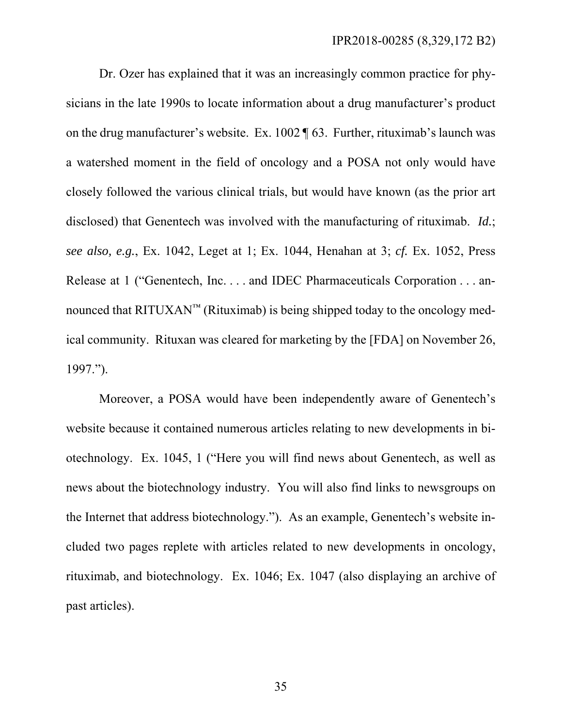Dr. Ozer has explained that it was an increasingly common practice for physicians in the late 1990s to locate information about a drug manufacturer's product on the drug manufacturer's website. Ex. 1002 ¶ 63. Further, rituximab's launch was a watershed moment in the field of oncology and a POSA not only would have closely followed the various clinical trials, but would have known (as the prior art disclosed) that Genentech was involved with the manufacturing of rituximab. *Id.*; *see also, e.g.*, Ex. 1042, Leget at 1; Ex. 1044, Henahan at 3; *cf.* Ex. 1052, Press Release at 1 ("Genentech, Inc. . . . and IDEC Pharmaceuticals Corporation . . . announced that  $\text{RITUXAN}^{\text{TM}}$  (Rituximab) is being shipped today to the oncology medical community. Rituxan was cleared for marketing by the [FDA] on November 26, 1997.").

Moreover, a POSA would have been independently aware of Genentech's website because it contained numerous articles relating to new developments in biotechnology. Ex. 1045, 1 ("Here you will find news about Genentech, as well as news about the biotechnology industry. You will also find links to newsgroups on the Internet that address biotechnology."). As an example, Genentech's website included two pages replete with articles related to new developments in oncology, rituximab, and biotechnology. Ex. 1046; Ex. 1047 (also displaying an archive of past articles).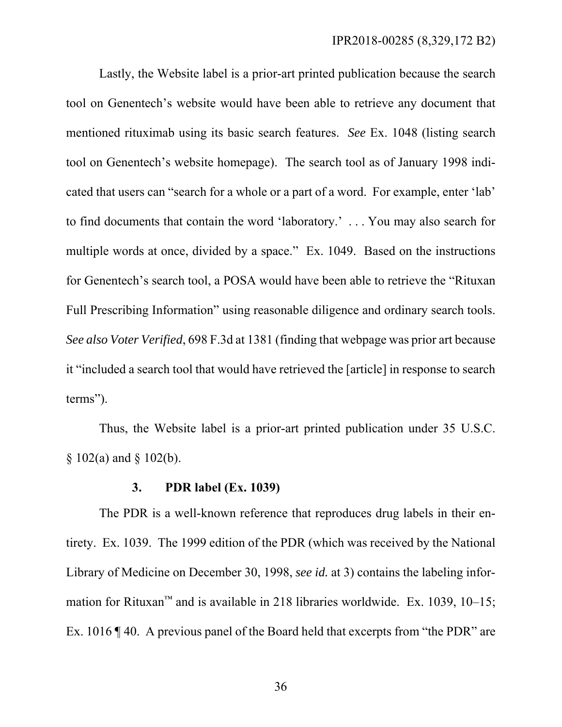Lastly, the Website label is a prior-art printed publication because the search tool on Genentech's website would have been able to retrieve any document that mentioned rituximab using its basic search features. *See* Ex. 1048 (listing search tool on Genentech's website homepage). The search tool as of January 1998 indicated that users can "search for a whole or a part of a word. For example, enter 'lab' to find documents that contain the word 'laboratory.' . . . You may also search for multiple words at once, divided by a space." Ex. 1049. Based on the instructions for Genentech's search tool, a POSA would have been able to retrieve the "Rituxan Full Prescribing Information" using reasonable diligence and ordinary search tools. *See also Voter Verified*, 698 F.3d at 1381 (finding that webpage was prior art because it "included a search tool that would have retrieved the [article] in response to search terms").

Thus, the Website label is a prior-art printed publication under 35 U.S.C.  $§ 102(a)$  and  $§ 102(b)$ .

## **3. PDR label (Ex. 1039)**

The PDR is a well-known reference that reproduces drug labels in their entirety. Ex. 1039. The 1999 edition of the PDR (which was received by the National Library of Medicine on December 30, 1998, *see id.* at 3) contains the labeling information for Rituxan<sup>™</sup> and is available in 218 libraries worldwide. Ex. 1039, 10–15; Ex. 1016 ¶ 40. A previous panel of the Board held that excerpts from "the PDR" are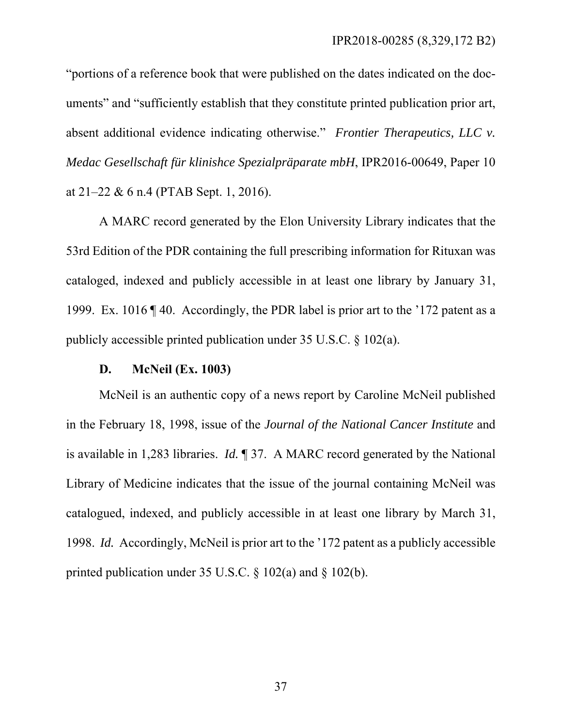"portions of a reference book that were published on the dates indicated on the documents" and "sufficiently establish that they constitute printed publication prior art, absent additional evidence indicating otherwise." *Frontier Therapeutics, LLC v. Medac Gesellschaft für klinishce Spezialpräparate mbH*, IPR2016-00649, Paper 10 at 21–22 & 6 n.4 (PTAB Sept. 1, 2016).

A MARC record generated by the Elon University Library indicates that the 53rd Edition of the PDR containing the full prescribing information for Rituxan was cataloged, indexed and publicly accessible in at least one library by January 31, 1999. Ex. 1016 ¶ 40.Accordingly, the PDR label is prior art to the '172 patent as a publicly accessible printed publication under 35 U.S.C. § 102(a).

### **D. McNeil (Ex. 1003)**

McNeil is an authentic copy of a news report by Caroline McNeil published in the February 18, 1998, issue of the *Journal of the National Cancer Institute* and is available in 1,283 libraries. *Id.* ¶ 37. A MARC record generated by the National Library of Medicine indicates that the issue of the journal containing McNeil was catalogued, indexed, and publicly accessible in at least one library by March 31, 1998. *Id.* Accordingly, McNeil is prior art to the '172 patent as a publicly accessible printed publication under 35 U.S.C. § 102(a) and § 102(b).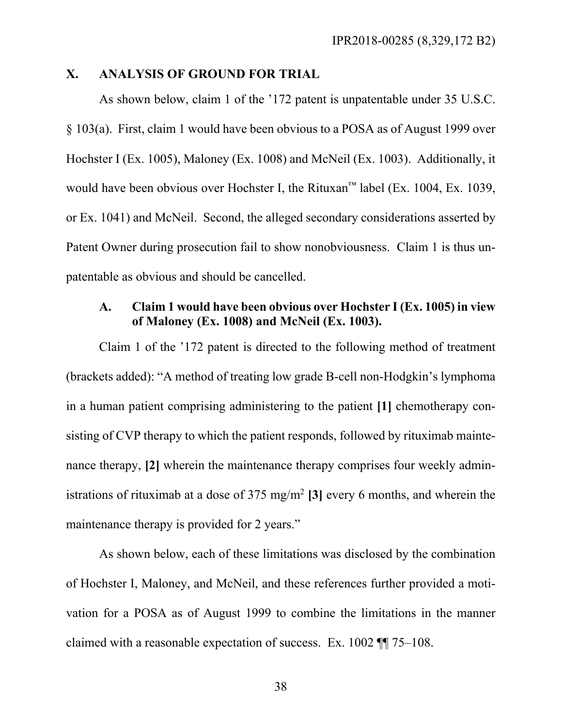### **X. ANALYSIS OF GROUND FOR TRIAL**

As shown below, claim 1 of the '172 patent is unpatentable under 35 U.S.C. § 103(a). First, claim 1 would have been obvious to a POSA as of August 1999 over Hochster I (Ex. 1005), Maloney (Ex. 1008) and McNeil (Ex. 1003). Additionally, it would have been obvious over Hochster I, the Rituxan™ label (Ex. 1004, Ex. 1039, or Ex. 1041) and McNeil. Second, the alleged secondary considerations asserted by Patent Owner during prosecution fail to show nonobviousness. Claim 1 is thus unpatentable as obvious and should be cancelled.

# **A. Claim 1 would have been obvious over Hochster I (Ex. 1005) in view of Maloney (Ex. 1008) and McNeil (Ex. 1003).**

Claim 1 of the '172 patent is directed to the following method of treatment (brackets added): "A method of treating low grade B-cell non-Hodgkin's lymphoma in a human patient comprising administering to the patient **[1]** chemotherapy consisting of CVP therapy to which the patient responds, followed by rituximab maintenance therapy, **[2]** wherein the maintenance therapy comprises four weekly administrations of rituximab at a dose of 375 mg/m2 **[3]** every 6 months, and wherein the maintenance therapy is provided for 2 years."

As shown below, each of these limitations was disclosed by the combination of Hochster I, Maloney, and McNeil, and these references further provided a motivation for a POSA as of August 1999 to combine the limitations in the manner claimed with a reasonable expectation of success. Ex. 1002 ¶¶ 75–108.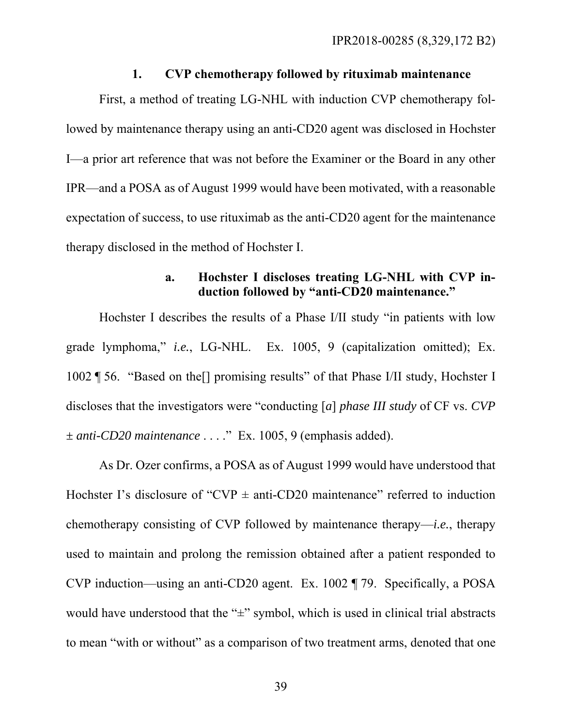#### **1. CVP chemotherapy followed by rituximab maintenance**

First, a method of treating LG-NHL with induction CVP chemotherapy followed by maintenance therapy using an anti-CD20 agent was disclosed in Hochster I—a prior art reference that was not before the Examiner or the Board in any other IPR—and a POSA as of August 1999 would have been motivated, with a reasonable expectation of success, to use rituximab as the anti-CD20 agent for the maintenance therapy disclosed in the method of Hochster I.

# **a. Hochster I discloses treating LG-NHL with CVP induction followed by "anti-CD20 maintenance."**

Hochster I describes the results of a Phase I/II study "in patients with low grade lymphoma," *i.e.*, LG-NHL. Ex. 1005, 9 (capitalization omitted); Ex. 1002 ¶ 56. "Based on the[] promising results" of that Phase I/II study, Hochster I discloses that the investigators were "conducting [*a*] *phase III study* of CF vs. *CVP ± anti-CD20 maintenance* . . . ." Ex. 1005, 9 (emphasis added).

As Dr. Ozer confirms, a POSA as of August 1999 would have understood that Hochster I's disclosure of "CVP  $\pm$  anti-CD20 maintenance" referred to induction chemotherapy consisting of CVP followed by maintenance therapy—*i.e.*, therapy used to maintain and prolong the remission obtained after a patient responded to CVP induction—using an anti-CD20 agent. Ex. 1002 ¶ 79. Specifically, a POSA would have understood that the " $\pm$ " symbol, which is used in clinical trial abstracts to mean "with or without" as a comparison of two treatment arms, denoted that one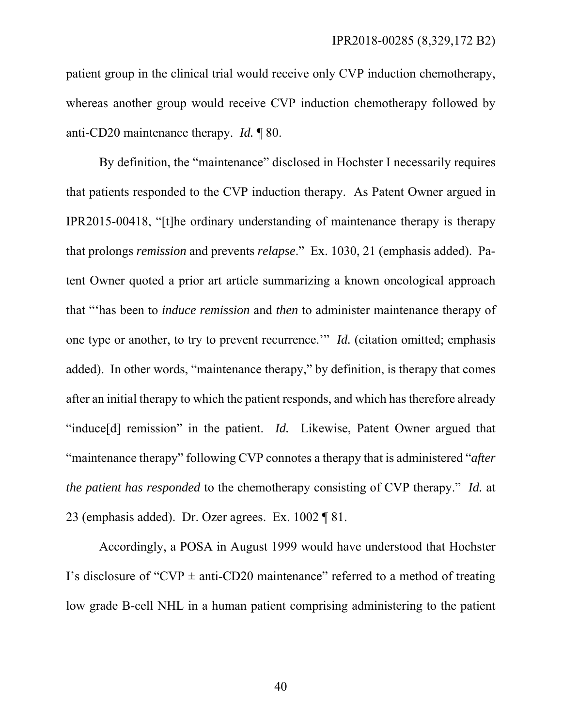patient group in the clinical trial would receive only CVP induction chemotherapy, whereas another group would receive CVP induction chemotherapy followed by anti-CD20 maintenance therapy. *Id.* ¶ 80.

By definition, the "maintenance" disclosed in Hochster I necessarily requires that patients responded to the CVP induction therapy. As Patent Owner argued in IPR2015-00418, "[t]he ordinary understanding of maintenance therapy is therapy that prolongs *remission* and prevents *relapse*." Ex. 1030, 21 (emphasis added). Patent Owner quoted a prior art article summarizing a known oncological approach that "'has been to *induce remission* and *then* to administer maintenance therapy of one type or another, to try to prevent recurrence.'" *Id.* (citation omitted; emphasis added). In other words, "maintenance therapy," by definition, is therapy that comes after an initial therapy to which the patient responds, and which has therefore already "induce[d] remission" in the patient. *Id.* Likewise, Patent Owner argued that "maintenance therapy" following CVP connotes a therapy that is administered "*after the patient has responded* to the chemotherapy consisting of CVP therapy." *Id.* at 23 (emphasis added). Dr. Ozer agrees. Ex. 1002 ¶ 81.

Accordingly, a POSA in August 1999 would have understood that Hochster I's disclosure of "CVP  $\pm$  anti-CD20 maintenance" referred to a method of treating low grade B-cell NHL in a human patient comprising administering to the patient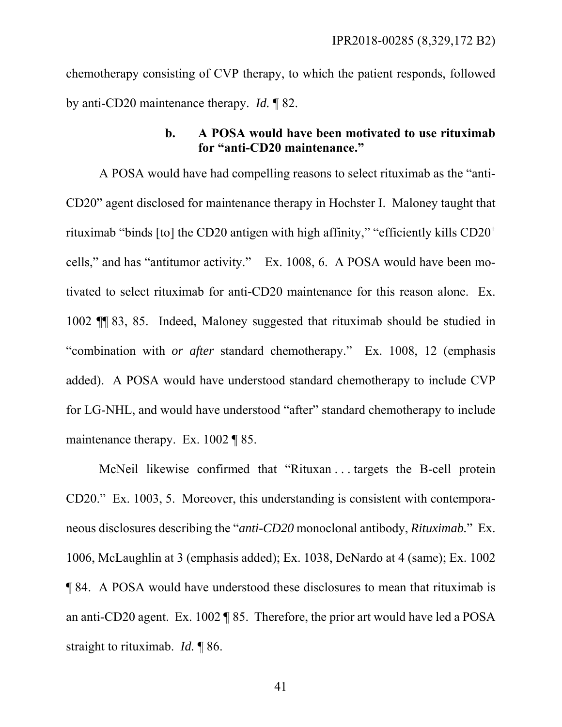chemotherapy consisting of CVP therapy, to which the patient responds, followed by anti-CD20 maintenance therapy. *Id.* ¶ 82.

## **b. A POSA would have been motivated to use rituximab for "anti-CD20 maintenance."**

A POSA would have had compelling reasons to select rituximab as the "anti-CD20" agent disclosed for maintenance therapy in Hochster I. Maloney taught that rituximab "binds [to] the CD20 antigen with high affinity," "efficiently kills CD20+ cells," and has "antitumor activity." Ex. 1008, 6. A POSA would have been motivated to select rituximab for anti-CD20 maintenance for this reason alone. Ex. 1002 ¶¶ 83, 85. Indeed, Maloney suggested that rituximab should be studied in "combination with *or after* standard chemotherapy." Ex. 1008, 12 (emphasis added). A POSA would have understood standard chemotherapy to include CVP for LG-NHL, and would have understood "after" standard chemotherapy to include maintenance therapy. Ex. 1002 ¶ 85.

McNeil likewise confirmed that "Rituxan . . . targets the B-cell protein CD20." Ex. 1003, 5. Moreover, this understanding is consistent with contemporaneous disclosures describing the "*anti-CD20* monoclonal antibody, *Rituximab.*"Ex. 1006, McLaughlin at 3 (emphasis added); Ex. 1038, DeNardo at 4 (same); Ex. 1002 ¶ 84. A POSA would have understood these disclosures to mean that rituximab is an anti-CD20 agent. Ex. 1002 ¶ 85. Therefore, the prior art would have led a POSA straight to rituximab. *Id.* ¶ 86.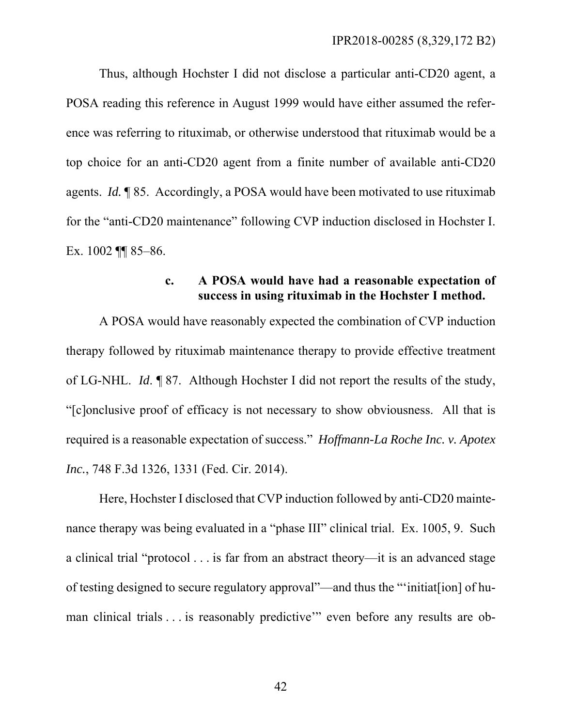Thus, although Hochster I did not disclose a particular anti-CD20 agent, a POSA reading this reference in August 1999 would have either assumed the reference was referring to rituximab, or otherwise understood that rituximab would be a top choice for an anti-CD20 agent from a finite number of available anti-CD20 agents. *Id.* ¶ 85. Accordingly, a POSA would have been motivated to use rituximab for the "anti-CD20 maintenance" following CVP induction disclosed in Hochster I. Ex. 1002 ¶¶ 85–86.

## **c. A POSA would have had a reasonable expectation of success in using rituximab in the Hochster I method.**

A POSA would have reasonably expected the combination of CVP induction therapy followed by rituximab maintenance therapy to provide effective treatment of LG-NHL. *Id*. ¶ 87. Although Hochster I did not report the results of the study, "[c]onclusive proof of efficacy is not necessary to show obviousness. All that is required is a reasonable expectation of success." *Hoffmann-La Roche Inc. v. Apotex Inc.*, 748 F.3d 1326, 1331 (Fed. Cir. 2014).

Here, Hochster I disclosed that CVP induction followed by anti-CD20 maintenance therapy was being evaluated in a "phase III" clinical trial. Ex. 1005, 9. Such a clinical trial "protocol . . . is far from an abstract theory—it is an advanced stage of testing designed to secure regulatory approval"—and thus the "'initiat[ion] of human clinical trials . . . is reasonably predictive'" even before any results are ob-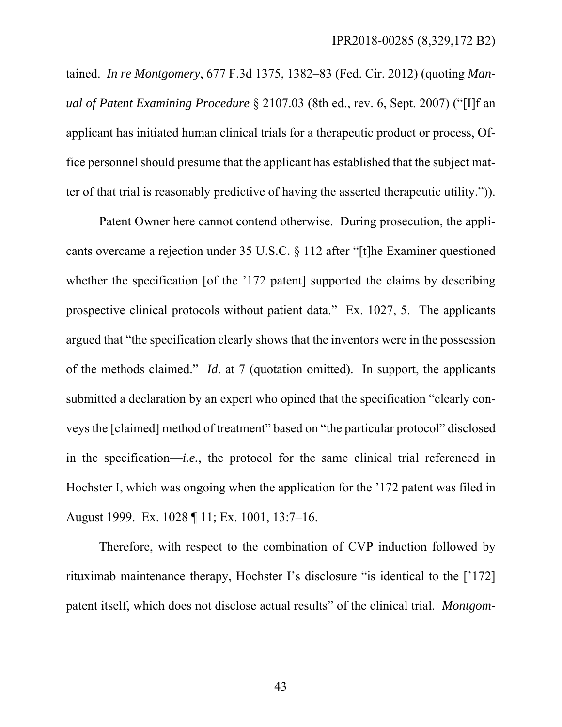tained. *In re Montgomery*, 677 F.3d 1375, 1382–83 (Fed. Cir. 2012) (quoting *Manual of Patent Examining Procedure* § 2107.03 (8th ed., rev. 6, Sept. 2007) ("[I]f an applicant has initiated human clinical trials for a therapeutic product or process, Office personnel should presume that the applicant has established that the subject matter of that trial is reasonably predictive of having the asserted therapeutic utility.")).

Patent Owner here cannot contend otherwise. During prosecution, the applicants overcame a rejection under 35 U.S.C. § 112 after "[t]he Examiner questioned whether the specification [of the '172 patent] supported the claims by describing prospective clinical protocols without patient data." Ex. 1027, 5. The applicants argued that "the specification clearly shows that the inventors were in the possession of the methods claimed." *Id*. at 7 (quotation omitted). In support, the applicants submitted a declaration by an expert who opined that the specification "clearly conveys the [claimed] method of treatment" based on "the particular protocol" disclosed in the specification—*i.e.*, the protocol for the same clinical trial referenced in Hochster I, which was ongoing when the application for the '172 patent was filed in August 1999. Ex. 1028 ¶ 11; Ex. 1001, 13:7–16.

Therefore, with respect to the combination of CVP induction followed by rituximab maintenance therapy, Hochster I's disclosure "is identical to the ['172] patent itself, which does not disclose actual results" of the clinical trial. *Montgom-*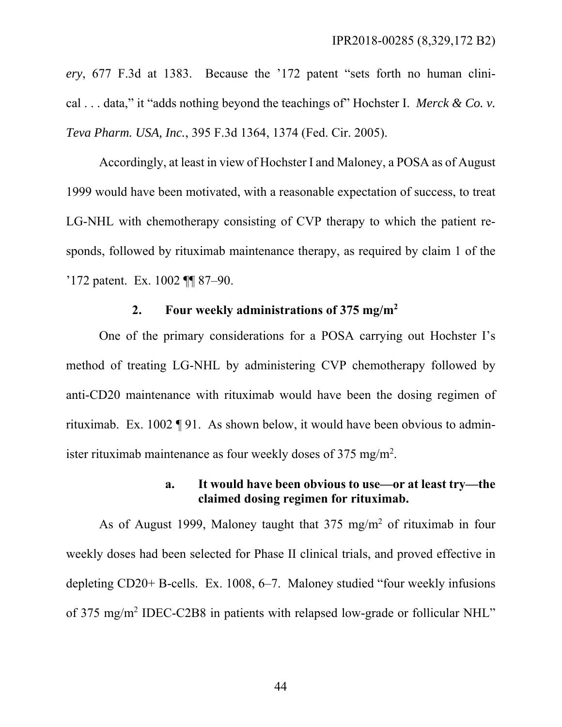*ery*, 677 F.3d at 1383. Because the '172 patent "sets forth no human clinical . . . data," it "adds nothing beyond the teachings of" Hochster I. *Merck & Co. v. Teva Pharm. USA, Inc.*, 395 F.3d 1364, 1374 (Fed. Cir. 2005).

Accordingly, at least in view of Hochster I and Maloney, a POSA as of August 1999 would have been motivated, with a reasonable expectation of success, to treat LG-NHL with chemotherapy consisting of CVP therapy to which the patient responds, followed by rituximab maintenance therapy, as required by claim 1 of the '172 patent. Ex. 1002 ¶¶ 87–90.

# **2. Four weekly administrations of 375 mg/m<sup>2</sup>**

One of the primary considerations for a POSA carrying out Hochster I's method of treating LG-NHL by administering CVP chemotherapy followed by anti-CD20 maintenance with rituximab would have been the dosing regimen of rituximab. Ex. 1002 ¶ 91. As shown below, it would have been obvious to administer rituximab maintenance as four weekly doses of 375 mg/m<sup>2</sup>.

### **a. It would have been obvious to use—or at least try—the claimed dosing regimen for rituximab.**

As of August 1999, Maloney taught that  $375 \text{ mg/m}^2$  of rituximab in four weekly doses had been selected for Phase II clinical trials, and proved effective in depleting CD20+ B-cells. Ex. 1008, 6–7. Maloney studied "four weekly infusions of 375 mg/m<sup>2</sup> IDEC-C2B8 in patients with relapsed low-grade or follicular NHL"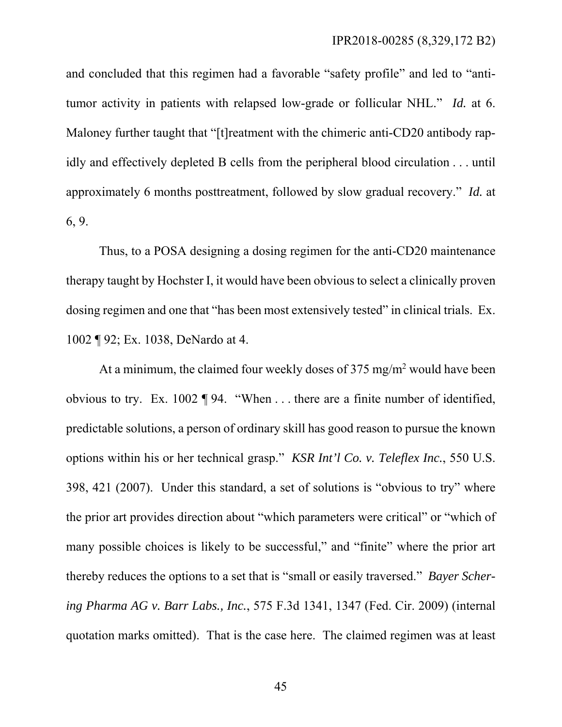and concluded that this regimen had a favorable "safety profile" and led to "antitumor activity in patients with relapsed low-grade or follicular NHL." *Id.* at 6. Maloney further taught that "[t]reatment with the chimeric anti-CD20 antibody rapidly and effectively depleted B cells from the peripheral blood circulation . . . until approximately 6 months posttreatment, followed by slow gradual recovery." *Id.* at 6, 9.

Thus, to a POSA designing a dosing regimen for the anti-CD20 maintenance therapy taught by Hochster I, it would have been obvious to select a clinically proven dosing regimen and one that "has been most extensively tested" in clinical trials. Ex. 1002 ¶ 92; Ex. 1038, DeNardo at 4.

At a minimum, the claimed four weekly doses of  $375 \text{ mg/m}^2$  would have been obvious to try. Ex. 1002 ¶ 94. "When . . . there are a finite number of identified, predictable solutions, a person of ordinary skill has good reason to pursue the known options within his or her technical grasp." *KSR Int'l Co. v. Teleflex Inc.*, 550 U.S. 398, 421 (2007). Under this standard, a set of solutions is "obvious to try" where the prior art provides direction about "which parameters were critical" or "which of many possible choices is likely to be successful," and "finite" where the prior art thereby reduces the options to a set that is "small or easily traversed." *Bayer Schering Pharma AG v. Barr Labs., Inc.*, 575 F.3d 1341, 1347 (Fed. Cir. 2009) (internal quotation marks omitted). That is the case here. The claimed regimen was at least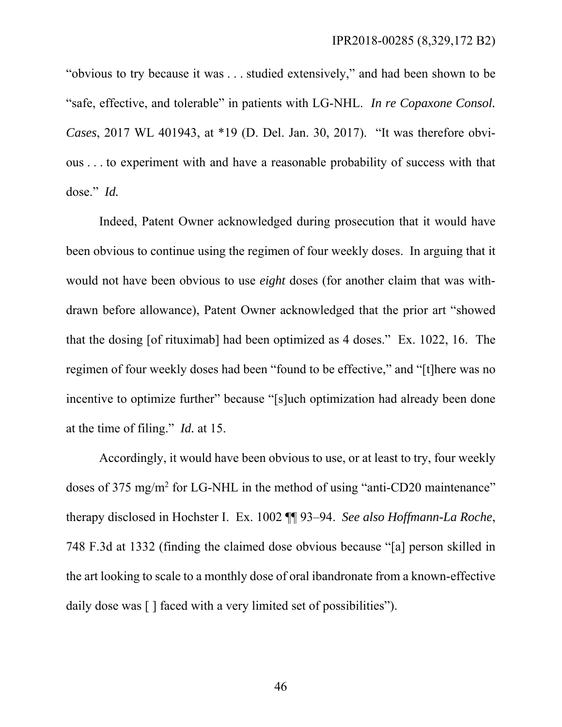"obvious to try because it was . . . studied extensively," and had been shown to be "safe, effective, and tolerable" in patients with LG-NHL. *In re Copaxone Consol. Cases*, 2017 WL 401943, at \*19 (D. Del. Jan. 30, 2017). "It was therefore obvious . . . to experiment with and have a reasonable probability of success with that dose." *Id.*

Indeed, Patent Owner acknowledged during prosecution that it would have been obvious to continue using the regimen of four weekly doses. In arguing that it would not have been obvious to use *eight* doses (for another claim that was withdrawn before allowance), Patent Owner acknowledged that the prior art "showed that the dosing [of rituximab] had been optimized as 4 doses." Ex. 1022, 16. The regimen of four weekly doses had been "found to be effective," and "[t]here was no incentive to optimize further" because "[s]uch optimization had already been done at the time of filing." *Id.* at 15.

Accordingly, it would have been obvious to use, or at least to try, four weekly doses of 375 mg/m<sup>2</sup> for LG-NHL in the method of using "anti-CD20 maintenance" therapy disclosed in Hochster I. Ex. 1002 ¶¶ 93–94. *See also Hoffmann-La Roche*, 748 F.3d at 1332 (finding the claimed dose obvious because "[a] person skilled in the art looking to scale to a monthly dose of oral ibandronate from a known-effective daily dose was [ ] faced with a very limited set of possibilities").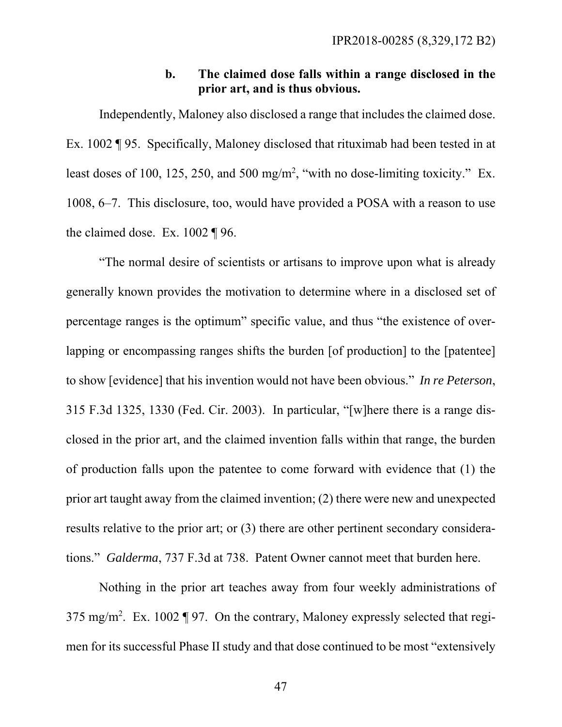## **b. The claimed dose falls within a range disclosed in the prior art, and is thus obvious.**

Independently, Maloney also disclosed a range that includes the claimed dose. Ex. 1002 ¶ 95. Specifically, Maloney disclosed that rituximab had been tested in at least doses of 100, 125, 250, and 500 mg/m<sup>2</sup>, "with no dose-limiting toxicity." Ex. 1008, 6–7. This disclosure, too, would have provided a POSA with a reason to use the claimed dose. Ex. 1002 ¶ 96.

"The normal desire of scientists or artisans to improve upon what is already generally known provides the motivation to determine where in a disclosed set of percentage ranges is the optimum" specific value, and thus "the existence of overlapping or encompassing ranges shifts the burden [of production] to the [patentee] to show [evidence] that his invention would not have been obvious." *In re Peterson*, 315 F.3d 1325, 1330 (Fed. Cir. 2003). In particular, "[w]here there is a range disclosed in the prior art, and the claimed invention falls within that range, the burden of production falls upon the patentee to come forward with evidence that (1) the prior art taught away from the claimed invention; (2) there were new and unexpected results relative to the prior art; or (3) there are other pertinent secondary considerations." *Galderma*, 737 F.3d at 738. Patent Owner cannot meet that burden here.

Nothing in the prior art teaches away from four weekly administrations of 375 mg/m<sup>2</sup>. Ex. 1002 ¶ 97. On the contrary, Maloney expressly selected that regimen for its successful Phase II study and that dose continued to be most "extensively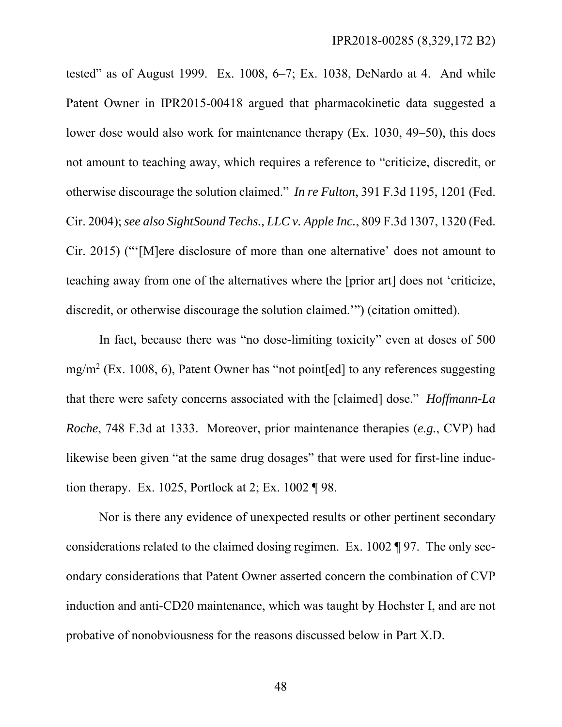tested" as of August 1999. Ex.  $1008$ ,  $6-7$ ; Ex.  $1038$ , DeNardo at 4. And while Patent Owner in IPR2015-00418 argued that pharmacokinetic data suggested a lower dose would also work for maintenance therapy (Ex. 1030, 49–50), this does not amount to teaching away, which requires a reference to "criticize, discredit, or otherwise discourage the solution claimed." *In re Fulton*, 391 F.3d 1195, 1201 (Fed. Cir. 2004); *see also SightSound Techs., LLC v. Apple Inc.*, 809 F.3d 1307, 1320 (Fed. Cir. 2015) ("'[M]ere disclosure of more than one alternative' does not amount to teaching away from one of the alternatives where the [prior art] does not 'criticize, discredit, or otherwise discourage the solution claimed.'") (citation omitted).

In fact, because there was "no dose-limiting toxicity" even at doses of 500 mg/m<sup>2</sup> (Ex. 1008, 6), Patent Owner has "not point[ed] to any references suggesting that there were safety concerns associated with the [claimed] dose." *Hoffmann-La Roche*, 748 F.3d at 1333. Moreover, prior maintenance therapies (*e.g.*, CVP) had likewise been given "at the same drug dosages" that were used for first-line induction therapy. Ex. 1025, Portlock at 2; Ex. 1002 ¶ 98.

Nor is there any evidence of unexpected results or other pertinent secondary considerations related to the claimed dosing regimen. Ex. 1002 ¶ 97. The only secondary considerations that Patent Owner asserted concern the combination of CVP induction and anti-CD20 maintenance, which was taught by Hochster I, and are not probative of nonobviousness for the reasons discussed below in Part X.D.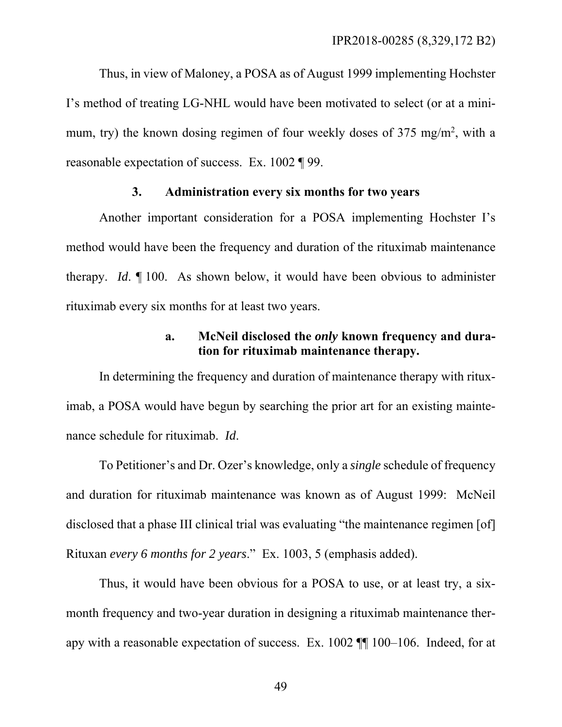Thus, in view of Maloney, a POSA as of August 1999 implementing Hochster I's method of treating LG-NHL would have been motivated to select (or at a minimum, try) the known dosing regimen of four weekly doses of 375 mg/m<sup>2</sup>, with a reasonable expectation of success. Ex. 1002 ¶ 99.

### **3. Administration every six months for two years**

Another important consideration for a POSA implementing Hochster I's method would have been the frequency and duration of the rituximab maintenance therapy. *Id*. ¶ 100. As shown below, it would have been obvious to administer rituximab every six months for at least two years.

# **a. McNeil disclosed the** *only* **known frequency and duration for rituximab maintenance therapy.**

In determining the frequency and duration of maintenance therapy with rituximab, a POSA would have begun by searching the prior art for an existing maintenance schedule for rituximab. *Id*.

To Petitioner's and Dr. Ozer's knowledge, only a *single* schedule of frequency and duration for rituximab maintenance was known as of August 1999: McNeil disclosed that a phase III clinical trial was evaluating "the maintenance regimen [of] Rituxan *every 6 months for 2 years*." Ex. 1003, 5 (emphasis added).

Thus, it would have been obvious for a POSA to use, or at least try, a sixmonth frequency and two-year duration in designing a rituximab maintenance therapy with a reasonable expectation of success. Ex. 1002 ¶¶ 100–106. Indeed, for at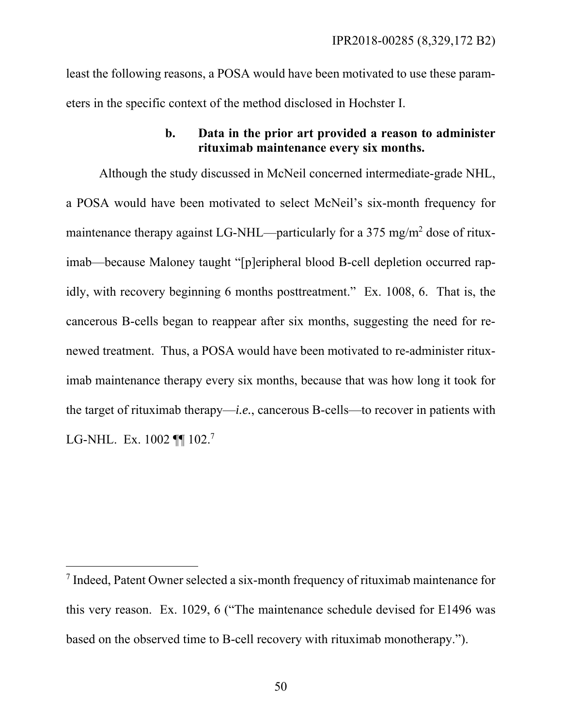least the following reasons, a POSA would have been motivated to use these parameters in the specific context of the method disclosed in Hochster I.

## **b. Data in the prior art provided a reason to administer rituximab maintenance every six months.**

Although the study discussed in McNeil concerned intermediate-grade NHL, a POSA would have been motivated to select McNeil's six-month frequency for maintenance therapy against LG-NHL—particularly for a 375 mg/m<sup>2</sup> dose of rituximab—because Maloney taught "[p]eripheral blood B-cell depletion occurred rapidly, with recovery beginning 6 months posttreatment." Ex. 1008, 6. That is, the cancerous B-cells began to reappear after six months, suggesting the need for renewed treatment. Thus, a POSA would have been motivated to re-administer rituximab maintenance therapy every six months, because that was how long it took for the target of rituximab therapy—*i.e.*, cancerous B-cells—to recover in patients with LG-NHL. Ex. 1002 **[1]** 102.<sup>7</sup>

l

<sup>7</sup> Indeed, Patent Owner selected a six-month frequency of rituximab maintenance for this very reason. Ex. 1029, 6 ("The maintenance schedule devised for E1496 was based on the observed time to B-cell recovery with rituximab monotherapy.").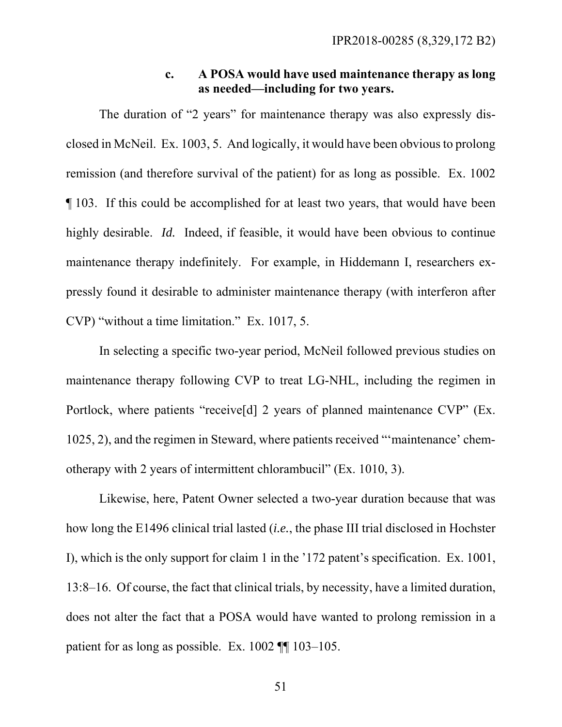## **c. A POSA would have used maintenance therapy as long as needed—including for two years.**

The duration of "2 years" for maintenance therapy was also expressly disclosed in McNeil. Ex. 1003, 5. And logically, it would have been obvious to prolong remission (and therefore survival of the patient) for as long as possible. Ex. 1002 ¶ 103. If this could be accomplished for at least two years, that would have been highly desirable. *Id.* Indeed, if feasible, it would have been obvious to continue maintenance therapy indefinitely. For example, in Hiddemann I, researchers expressly found it desirable to administer maintenance therapy (with interferon after CVP) "without a time limitation." Ex. 1017, 5.

In selecting a specific two-year period, McNeil followed previous studies on maintenance therapy following CVP to treat LG-NHL, including the regimen in Portlock, where patients "receive[d] 2 years of planned maintenance CVP" (Ex. 1025, 2), and the regimen in Steward, where patients received "'maintenance' chemotherapy with 2 years of intermittent chlorambucil" (Ex. 1010, 3).

Likewise, here, Patent Owner selected a two-year duration because that was how long the E1496 clinical trial lasted (*i.e.*, the phase III trial disclosed in Hochster I), which is the only support for claim 1 in the '172 patent's specification. Ex. 1001, 13:8–16. Of course, the fact that clinical trials, by necessity, have a limited duration, does not alter the fact that a POSA would have wanted to prolong remission in a patient for as long as possible. Ex. 1002 ¶¶ 103–105.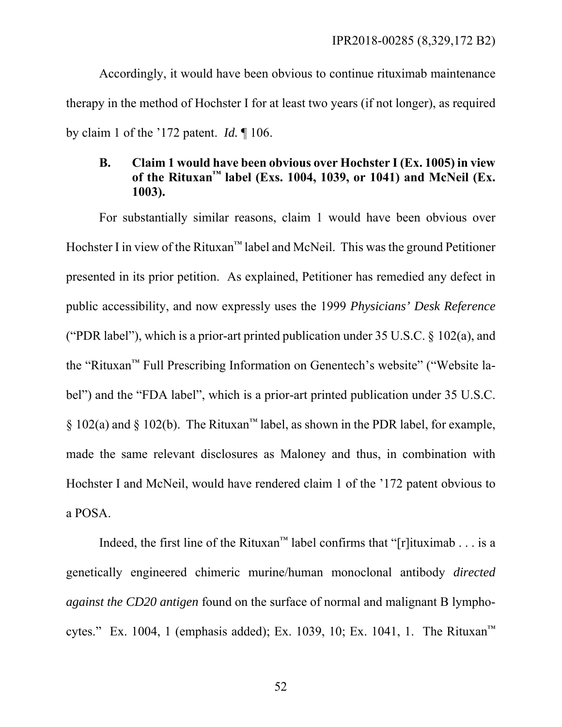Accordingly, it would have been obvious to continue rituximab maintenance therapy in the method of Hochster I for at least two years (if not longer), as required by claim 1 of the '172 patent. *Id.* ¶ 106.

# **B. Claim 1 would have been obvious over Hochster I (Ex. 1005) in view of the Rituxan™ label (Exs. 1004, 1039, or 1041) and McNeil (Ex. 1003).**

For substantially similar reasons, claim 1 would have been obvious over Hochster I in view of the Rituxan™ label and McNeil. This was the ground Petitioner presented in its prior petition. As explained, Petitioner has remedied any defect in public accessibility, and now expressly uses the 1999 *Physicians' Desk Reference* ("PDR label"), which is a prior-art printed publication under  $35 \text{ U.S.C.}$   $\&$  102(a), and the "Rituxan™ Full Prescribing Information on Genentech's website" ("Website label") and the "FDA label", which is a prior-art printed publication under 35 U.S.C. § 102(a) and § 102(b). The Rituxan<sup>™</sup> label, as shown in the PDR label, for example, made the same relevant disclosures as Maloney and thus, in combination with Hochster I and McNeil, would have rendered claim 1 of the '172 patent obvious to a POSA.

Indeed, the first line of the Rituxan™ label confirms that "[r]ituximab . . . is a genetically engineered chimeric murine/human monoclonal antibody *directed against the CD20 antigen* found on the surface of normal and malignant B lymphocytes." Ex. 1004, 1 (emphasis added); Ex. 1039, 10; Ex. 1041, 1. The Rituxan<sup>™</sup>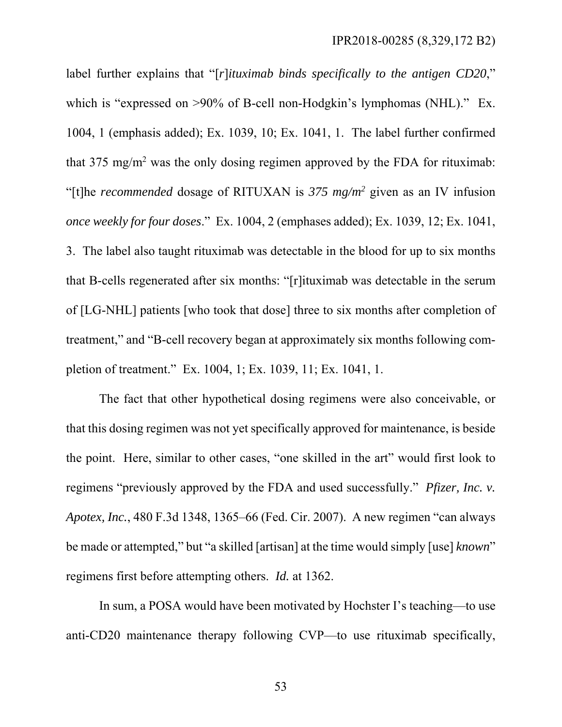label further explains that "[*r*]*ituximab binds specifically to the antigen CD20*," which is "expressed on >90% of B-cell non-Hodgkin's lymphomas (NHL)." Ex. 1004, 1 (emphasis added); Ex. 1039, 10; Ex. 1041, 1. The label further confirmed that  $375 \text{ mg/m}^2$  was the only dosing regimen approved by the FDA for rituximab: "[t]he *recommended* dosage of RITUXAN is *375 mg/m2* given as an IV infusion *once weekly for four doses*." Ex. 1004, 2 (emphases added); Ex. 1039, 12; Ex. 1041, 3. The label also taught rituximab was detectable in the blood for up to six months that B-cells regenerated after six months: "[r]ituximab was detectable in the serum of [LG-NHL] patients [who took that dose] three to six months after completion of treatment," and "B-cell recovery began at approximately six months following completion of treatment." Ex. 1004, 1; Ex. 1039, 11; Ex. 1041, 1.

The fact that other hypothetical dosing regimens were also conceivable, or that this dosing regimen was not yet specifically approved for maintenance, is beside the point. Here, similar to other cases, "one skilled in the art" would first look to regimens "previously approved by the FDA and used successfully." *Pfizer, Inc. v. Apotex, Inc.*, 480 F.3d 1348, 1365–66 (Fed. Cir. 2007). A new regimen "can always be made or attempted," but "a skilled [artisan] at the time would simply [use] *known*" regimens first before attempting others. *Id.* at 1362.

In sum, a POSA would have been motivated by Hochster I's teaching—to use anti-CD20 maintenance therapy following CVP—to use rituximab specifically,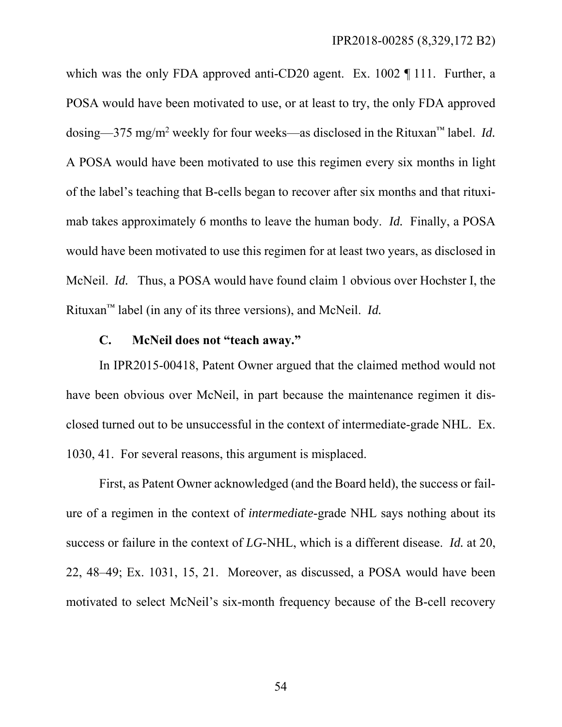which was the only FDA approved anti-CD20 agent. Ex. 1002 ¶ 111. Further, a POSA would have been motivated to use, or at least to try, the only FDA approved dosing—375 mg/m2 weekly for four weeks—as disclosed in the Rituxan™ label. *Id.* A POSA would have been motivated to use this regimen every six months in light of the label's teaching that B-cells began to recover after six months and that rituximab takes approximately 6 months to leave the human body. *Id.* Finally, a POSA would have been motivated to use this regimen for at least two years, as disclosed in McNeil. *Id.* Thus, a POSA would have found claim 1 obvious over Hochster I, the Rituxan™ label (in any of its three versions), and McNeil. *Id.*

# **C. McNeil does not "teach away."**

In IPR2015-00418, Patent Owner argued that the claimed method would not have been obvious over McNeil, in part because the maintenance regimen it disclosed turned out to be unsuccessful in the context of intermediate-grade NHL. Ex. 1030, 41. For several reasons, this argument is misplaced.

First, as Patent Owner acknowledged (and the Board held), the success or failure of a regimen in the context of *intermediate*-grade NHL says nothing about its success or failure in the context of *LG*-NHL, which is a different disease. *Id.* at 20, 22, 48–49; Ex. 1031, 15, 21. Moreover, as discussed, a POSA would have been motivated to select McNeil's six-month frequency because of the B-cell recovery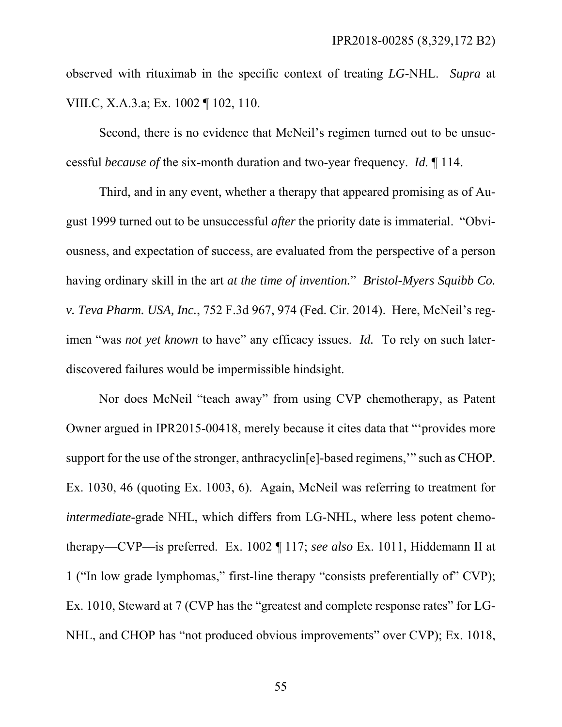observed with rituximab in the specific context of treating *LG*-NHL. *Supra* at VIII.C, X.A.3.a; Ex. 1002 ¶ 102, 110.

Second, there is no evidence that McNeil's regimen turned out to be unsuccessful *because of* the six-month duration and two-year frequency. *Id.* ¶ 114.

Third, and in any event, whether a therapy that appeared promising as of August 1999 turned out to be unsuccessful *after* the priority date is immaterial. "Obviousness, and expectation of success, are evaluated from the perspective of a person having ordinary skill in the art *at the time of invention.*" *Bristol-Myers Squibb Co. v. Teva Pharm. USA, Inc.*, 752 F.3d 967, 974 (Fed. Cir. 2014). Here, McNeil's regimen "was *not yet known* to have" any efficacy issues. *Id.* To rely on such laterdiscovered failures would be impermissible hindsight.

Nor does McNeil "teach away" from using CVP chemotherapy, as Patent Owner argued in IPR2015-00418, merely because it cites data that "'provides more support for the use of the stronger, anthracyclin[e]-based regimens,'" such as CHOP. Ex. 1030, 46 (quoting Ex. 1003, 6). Again, McNeil was referring to treatment for *intermediate*-grade NHL, which differs from LG-NHL, where less potent chemotherapy—CVP—is preferred. Ex. 1002 ¶ 117; *see also* Ex. 1011, Hiddemann II at 1 ("In low grade lymphomas," first-line therapy "consists preferentially of" CVP); Ex. 1010, Steward at 7 (CVP has the "greatest and complete response rates" for LG-NHL, and CHOP has "not produced obvious improvements" over CVP); Ex. 1018,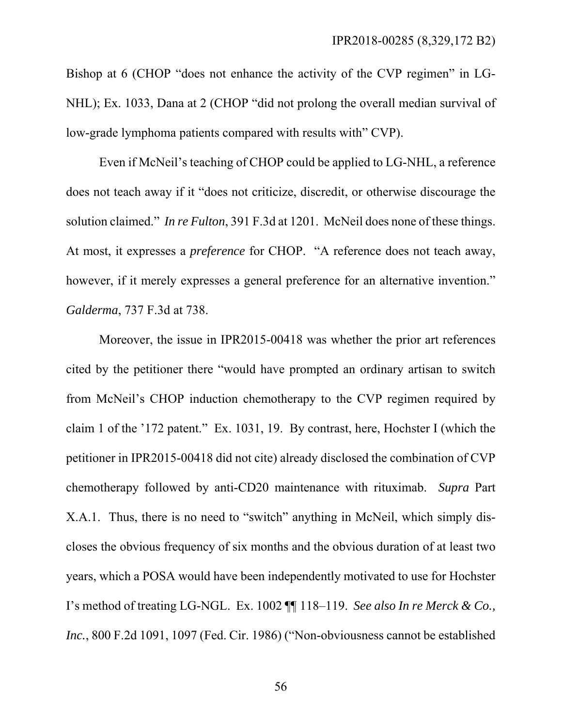Bishop at 6 (CHOP "does not enhance the activity of the CVP regimen" in LG-NHL); Ex. 1033, Dana at 2 (CHOP "did not prolong the overall median survival of low-grade lymphoma patients compared with results with" CVP).

Even if McNeil's teaching of CHOP could be applied to LG-NHL, a reference does not teach away if it "does not criticize, discredit, or otherwise discourage the solution claimed." *In re Fulton*, 391 F.3d at 1201. McNeil does none of these things. At most, it expresses a *preference* for CHOP. "A reference does not teach away, however, if it merely expresses a general preference for an alternative invention." *Galderma*, 737 F.3d at 738.

Moreover, the issue in IPR2015-00418 was whether the prior art references cited by the petitioner there "would have prompted an ordinary artisan to switch from McNeil's CHOP induction chemotherapy to the CVP regimen required by claim 1 of the '172 patent." Ex. 1031, 19. By contrast, here, Hochster I (which the petitioner in IPR2015-00418 did not cite) already disclosed the combination of CVP chemotherapy followed by anti-CD20 maintenance with rituximab. *Supra* Part X.A.1. Thus, there is no need to "switch" anything in McNeil, which simply discloses the obvious frequency of six months and the obvious duration of at least two years, which a POSA would have been independently motivated to use for Hochster I's method of treating LG-NGL. Ex. 1002 ¶¶ 118–119. *See also In re Merck & Co., Inc.*, 800 F.2d 1091, 1097 (Fed. Cir. 1986) ("Non-obviousness cannot be established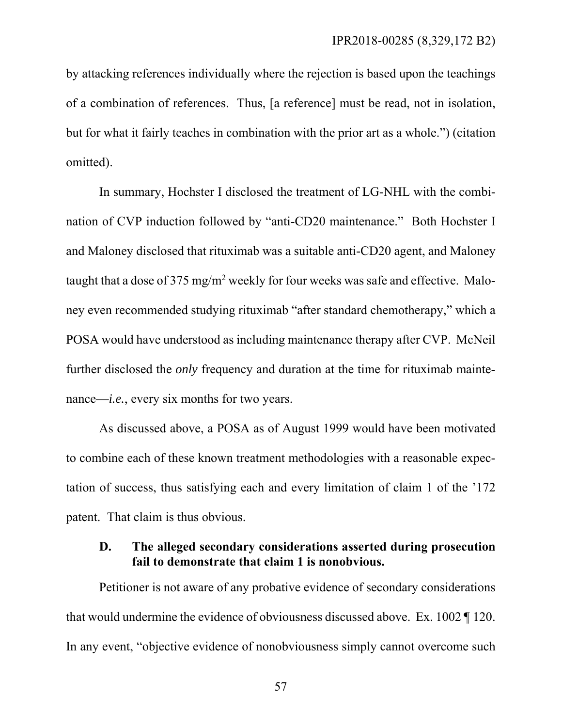by attacking references individually where the rejection is based upon the teachings of a combination of references. Thus, [a reference] must be read, not in isolation, but for what it fairly teaches in combination with the prior art as a whole.") (citation omitted).

In summary, Hochster I disclosed the treatment of LG-NHL with the combination of CVP induction followed by "anti-CD20 maintenance." Both Hochster I and Maloney disclosed that rituximab was a suitable anti-CD20 agent, and Maloney taught that a dose of 375 mg/m<sup>2</sup> weekly for four weeks was safe and effective. Maloney even recommended studying rituximab "after standard chemotherapy," which a POSA would have understood as including maintenance therapy after CVP. McNeil further disclosed the *only* frequency and duration at the time for rituximab maintenance—*i.e.*, every six months for two years.

As discussed above, a POSA as of August 1999 would have been motivated to combine each of these known treatment methodologies with a reasonable expectation of success, thus satisfying each and every limitation of claim 1 of the '172 patent. That claim is thus obvious.

# **D. The alleged secondary considerations asserted during prosecution fail to demonstrate that claim 1 is nonobvious.**

Petitioner is not aware of any probative evidence of secondary considerations that would undermine the evidence of obviousness discussed above. Ex. 1002 ¶ 120. In any event, "objective evidence of nonobviousness simply cannot overcome such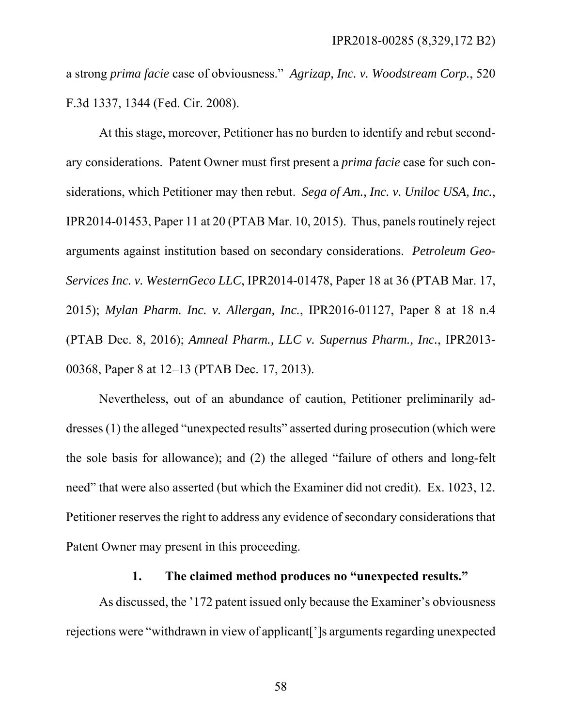a strong *prima facie* case of obviousness." *Agrizap, Inc. v. Woodstream Corp.*, 520 F.3d 1337, 1344 (Fed. Cir. 2008).

At this stage, moreover, Petitioner has no burden to identify and rebut secondary considerations. Patent Owner must first present a *prima facie* case for such considerations, which Petitioner may then rebut. *Sega of Am., Inc. v. Uniloc USA, Inc.*, IPR2014-01453, Paper 11 at 20 (PTAB Mar. 10, 2015). Thus, panels routinely reject arguments against institution based on secondary considerations. *Petroleum Geo-Services Inc. v. WesternGeco LLC*, IPR2014-01478, Paper 18 at 36 (PTAB Mar. 17, 2015); *Mylan Pharm. Inc. v. Allergan, Inc.*, IPR2016-01127, Paper 8 at 18 n.4 (PTAB Dec. 8, 2016); *Amneal Pharm., LLC v. Supernus Pharm., Inc.*, IPR2013- 00368, Paper 8 at 12–13 (PTAB Dec. 17, 2013).

Nevertheless, out of an abundance of caution, Petitioner preliminarily addresses (1) the alleged "unexpected results" asserted during prosecution (which were the sole basis for allowance); and (2) the alleged "failure of others and long-felt need" that were also asserted (but which the Examiner did not credit). Ex. 1023, 12. Petitioner reserves the right to address any evidence of secondary considerations that Patent Owner may present in this proceeding.

### **1. The claimed method produces no "unexpected results."**

As discussed, the '172 patent issued only because the Examiner's obviousness rejections were "withdrawn in view of applicant[']s arguments regarding unexpected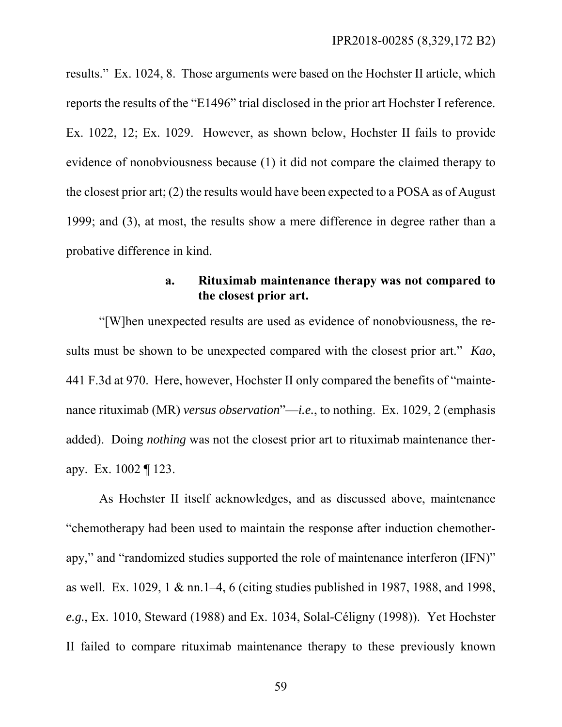results." Ex. 1024, 8. Those arguments were based on the Hochster II article, which reports the results of the "E1496" trial disclosed in the prior art Hochster I reference. Ex. 1022, 12; Ex. 1029. However, as shown below, Hochster II fails to provide evidence of nonobviousness because (1) it did not compare the claimed therapy to the closest prior art; (2) the results would have been expected to a POSA as of August 1999; and (3), at most, the results show a mere difference in degree rather than a probative difference in kind.

## **a. Rituximab maintenance therapy was not compared to the closest prior art.**

"[W]hen unexpected results are used as evidence of nonobviousness, the results must be shown to be unexpected compared with the closest prior art." *Kao*, 441 F.3d at 970. Here, however, Hochster II only compared the benefits of "maintenance rituximab (MR) *versus observation*"—*i.e.*, to nothing. Ex. 1029, 2 (emphasis added). Doing *nothing* was not the closest prior art to rituximab maintenance therapy. Ex. 1002 ¶ 123.

As Hochster II itself acknowledges, and as discussed above, maintenance "chemotherapy had been used to maintain the response after induction chemotherapy," and "randomized studies supported the role of maintenance interferon (IFN)" as well. Ex. 1029, 1 & nn.1–4, 6 (citing studies published in 1987, 1988, and 1998, *e.g.*, Ex. 1010, Steward (1988) and Ex. 1034, Solal-Céligny (1998)). Yet Hochster II failed to compare rituximab maintenance therapy to these previously known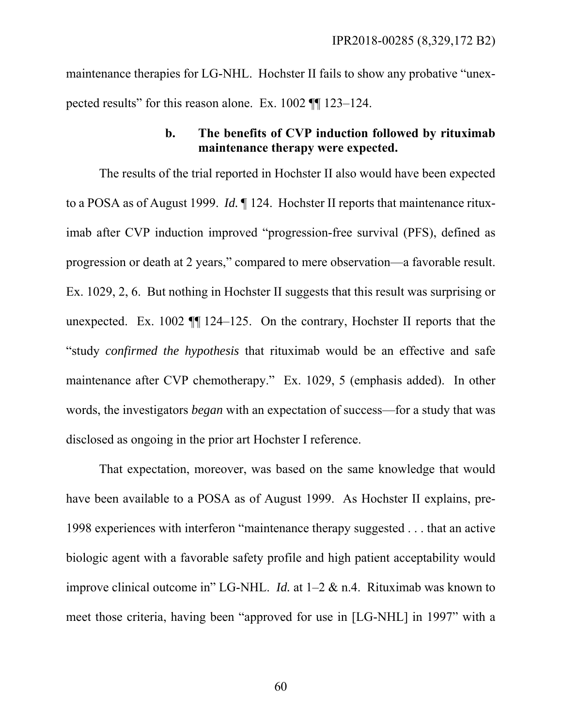maintenance therapies for LG-NHL. Hochster II fails to show any probative "unexpected results" for this reason alone. Ex. 1002 ¶¶ 123–124.

## **b. The benefits of CVP induction followed by rituximab maintenance therapy were expected.**

The results of the trial reported in Hochster II also would have been expected to a POSA as of August 1999. *Id.* ¶ 124. Hochster II reports that maintenance rituximab after CVP induction improved "progression-free survival (PFS), defined as progression or death at 2 years," compared to mere observation—a favorable result. Ex. 1029, 2, 6. But nothing in Hochster II suggests that this result was surprising or unexpected. Ex. 1002 ¶¶ 124–125. On the contrary, Hochster II reports that the "study *confirmed the hypothesis* that rituximab would be an effective and safe maintenance after CVP chemotherapy." Ex. 1029, 5 (emphasis added). In other words, the investigators *began* with an expectation of success—for a study that was disclosed as ongoing in the prior art Hochster I reference.

That expectation, moreover, was based on the same knowledge that would have been available to a POSA as of August 1999. As Hochster II explains, pre-1998 experiences with interferon "maintenance therapy suggested . . . that an active biologic agent with a favorable safety profile and high patient acceptability would improve clinical outcome in" LG-NHL. *Id.* at 1–2 & n.4. Rituximab was known to meet those criteria, having been "approved for use in [LG-NHL] in 1997" with a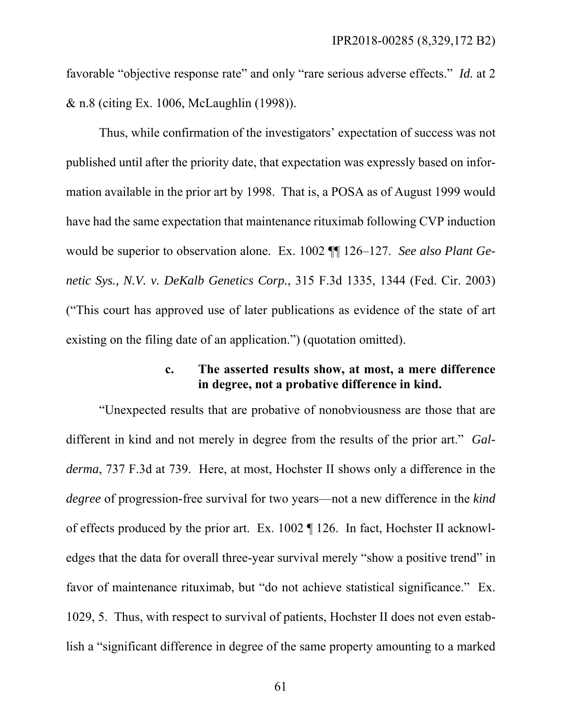favorable "objective response rate" and only "rare serious adverse effects." *Id.* at 2 & n.8 (citing Ex. 1006, McLaughlin (1998)).

Thus, while confirmation of the investigators' expectation of success was not published until after the priority date, that expectation was expressly based on information available in the prior art by 1998. That is, a POSA as of August 1999 would have had the same expectation that maintenance rituximab following CVP induction would be superior to observation alone. Ex. 1002 ¶¶ 126–127. *See also Plant Genetic Sys., N.V. v. DeKalb Genetics Corp.*, 315 F.3d 1335, 1344 (Fed. Cir. 2003) ("This court has approved use of later publications as evidence of the state of art existing on the filing date of an application.") (quotation omitted).

### **c. The asserted results show, at most, a mere difference in degree, not a probative difference in kind.**

"Unexpected results that are probative of nonobviousness are those that are different in kind and not merely in degree from the results of the prior art." *Galderma*, 737 F.3d at 739. Here, at most, Hochster II shows only a difference in the *degree* of progression-free survival for two years—not a new difference in the *kind* of effects produced by the prior art. Ex. 1002 ¶ 126. In fact, Hochster II acknowledges that the data for overall three-year survival merely "show a positive trend" in favor of maintenance rituximab, but "do not achieve statistical significance." Ex. 1029, 5. Thus, with respect to survival of patients, Hochster II does not even establish a "significant difference in degree of the same property amounting to a marked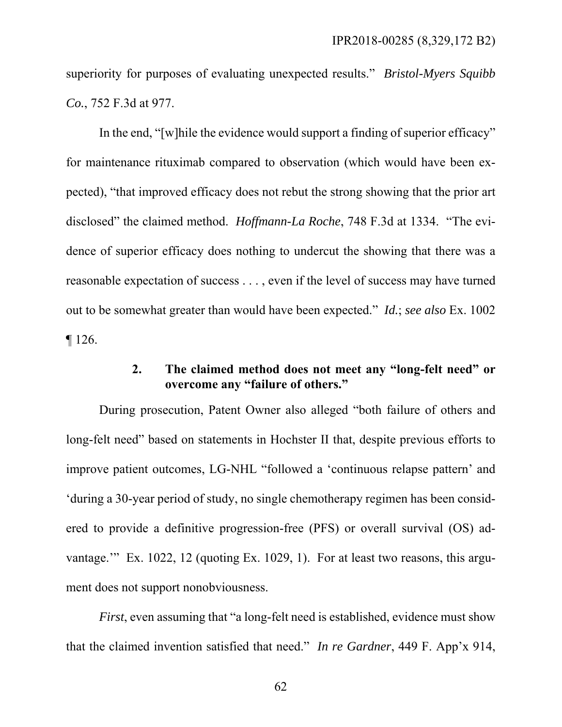superiority for purposes of evaluating unexpected results." *Bristol-Myers Squibb Co.*, 752 F.3d at 977.

In the end, "[w]hile the evidence would support a finding of superior efficacy" for maintenance rituximab compared to observation (which would have been expected), "that improved efficacy does not rebut the strong showing that the prior art disclosed" the claimed method. *Hoffmann-La Roche*, 748 F.3d at 1334. "The evidence of superior efficacy does nothing to undercut the showing that there was a reasonable expectation of success . . . , even if the level of success may have turned out to be somewhat greater than would have been expected." *Id.*; *see also* Ex. 1002  $\P$  126.

# **2. The claimed method does not meet any "long-felt need" or overcome any "failure of others."**

During prosecution, Patent Owner also alleged "both failure of others and long-felt need" based on statements in Hochster II that, despite previous efforts to improve patient outcomes, LG-NHL "followed a 'continuous relapse pattern' and 'during a 30-year period of study, no single chemotherapy regimen has been considered to provide a definitive progression-free (PFS) or overall survival (OS) advantage.'" Ex. 1022, 12 (quoting Ex. 1029, 1). For at least two reasons, this argument does not support nonobviousness.

*First*, even assuming that "a long-felt need is established, evidence must show that the claimed invention satisfied that need." *In re Gardner*, 449 F. App'x 914,

62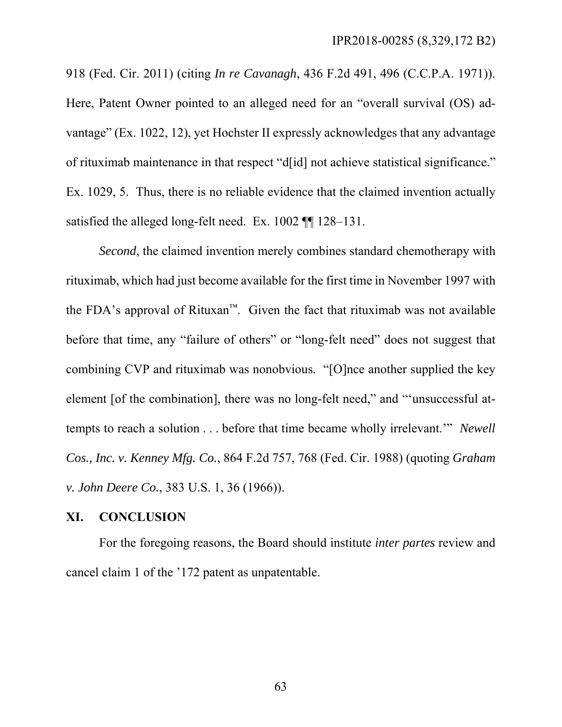918 (Fed. Cir. 2011) (citing *In re Cavanagh*, 436 F.2d 491, 496 (C.C.P.A. 1971)). Here, Patent Owner pointed to an alleged need for an "overall survival (OS) advantage" (Ex. 1022, 12), yet Hochster II expressly acknowledges that any advantage of rituximab maintenance in that respect "d[id] not achieve statistical significance." Ex. 1029, 5. Thus, there is no reliable evidence that the claimed invention actually satisfied the alleged long-felt need. Ex. 1002 ¶¶ 128–131.

*Second*, the claimed invention merely combines standard chemotherapy with rituximab, which had just become available for the first time in November 1997 with the FDA's approval of Rituxan™. Given the fact that rituximab was not available before that time, any "failure of others" or "long-felt need" does not suggest that combining CVP and rituximab was nonobvious. "[O]nce another supplied the key element [of the combination], there was no long-felt need," and "'unsuccessful attempts to reach a solution . . . before that time became wholly irrelevant.'" *Newell Cos., Inc. v. Kenney Mfg. Co.*, 864 F.2d 757, 768 (Fed. Cir. 1988) (quoting *Graham v. John Deere Co.*, 383 U.S. 1, 36 (1966)).

#### **XI. CONCLUSION**

For the foregoing reasons, the Board should institute *inter partes* review and cancel claim 1 of the '172 patent as unpatentable.

63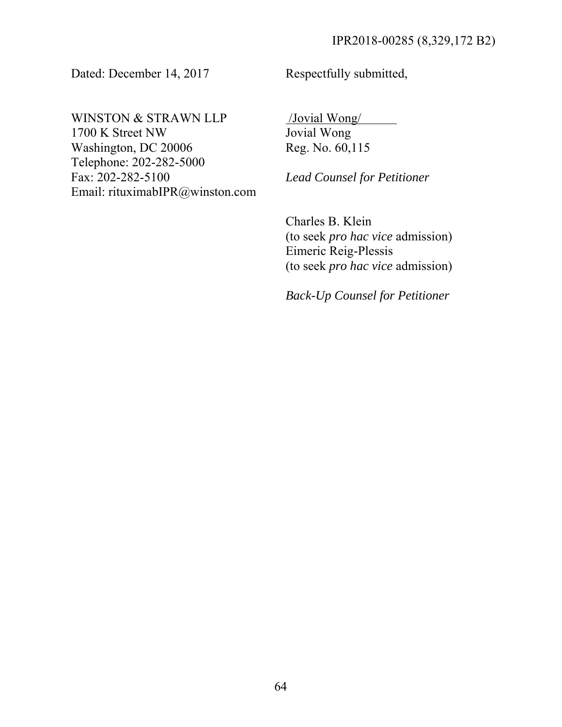Dated: December 14, 2017

Respectfully submitted,

WINSTON & STRAWN LLP 1700 K Street NW Washington, DC 20006 Telephone: 202-282-5000 Fax: 202-282-5100 Email: rituximabIPR@winston.com  /Jovial Wong/ Jovial Wong Reg. No. 60,115

*Lead Counsel for Petitioner* 

Charles B. Klein (to seek *pro hac vice* admission) Eimeric Reig-Plessis (to seek *pro hac vice* admission)

*Back-Up Counsel for Petitioner*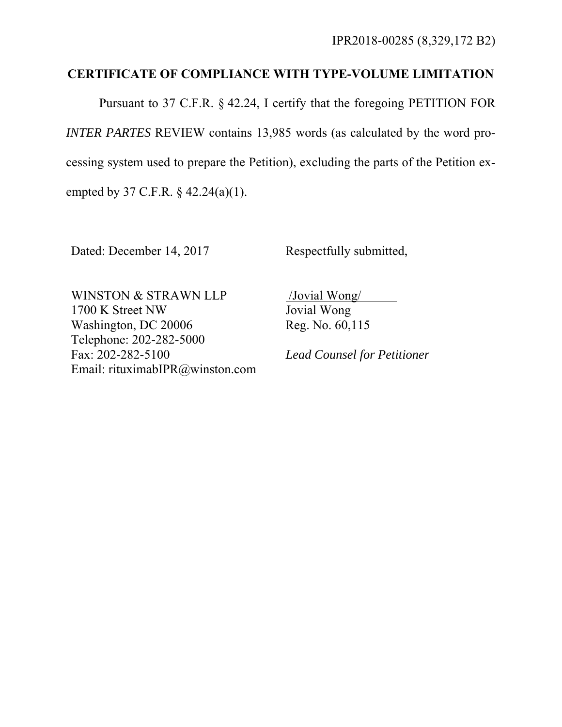# **CERTIFICATE OF COMPLIANCE WITH TYPE-VOLUME LIMITATION**

Pursuant to 37 C.F.R. § 42.24, I certify that the foregoing PETITION FOR *INTER PARTES* REVIEW contains 13,985 words (as calculated by the word processing system used to prepare the Petition), excluding the parts of the Petition exempted by 37 C.F.R. § 42.24(a)(1).

Dated: December 14, 2017

Respectfully submitted,

WINSTON & STRAWN LLP 1700 K Street NW Washington, DC 20006 Telephone: 202-282-5000 Fax: 202-282-5100 Email: rituximabIPR@winston.com  /Jovial Wong/ Jovial Wong Reg. No. 60,115

*Lead Counsel for Petitioner*